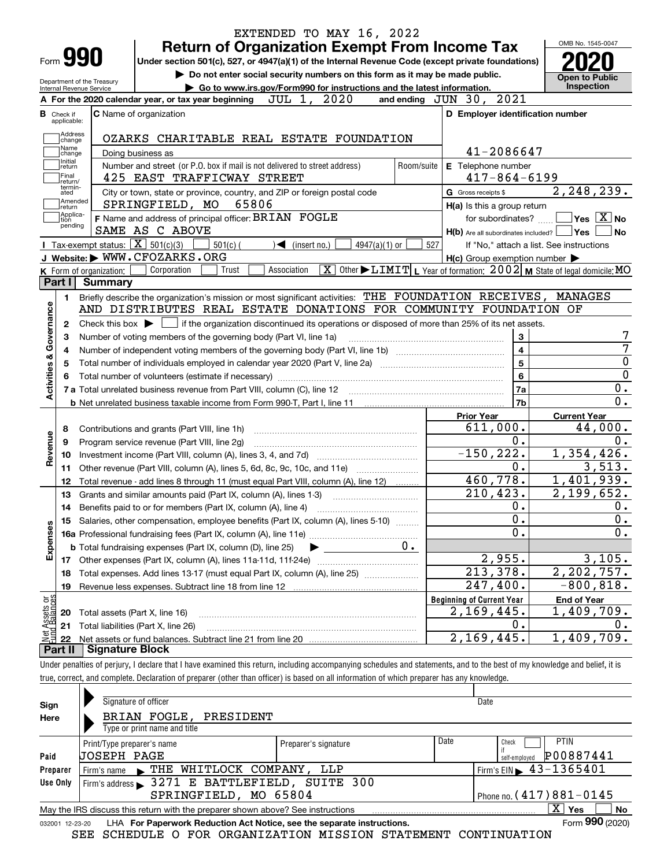|                                                                                        |                                                        |                                                                                                                                                     |                                                                             |                                   |                 |     |                                                     |                  | OMB No. 1545-0047                                                                                    |
|----------------------------------------------------------------------------------------|--------------------------------------------------------|-----------------------------------------------------------------------------------------------------------------------------------------------------|-----------------------------------------------------------------------------|-----------------------------------|-----------------|-----|-----------------------------------------------------|------------------|------------------------------------------------------------------------------------------------------|
| Form <b>990</b>                                                                        |                                                        | Under section 501(c), 527, or 4947(a)(1) of the Internal Revenue Code (except private foundations)                                                  | <b>Return of Organization Exempt From Income Tax</b>                        |                                   |                 |     |                                                     |                  |                                                                                                      |
|                                                                                        |                                                        |                                                                                                                                                     | Do not enter social security numbers on this form as it may be made public. |                                   |                 |     |                                                     |                  |                                                                                                      |
|                                                                                        | Department of the Treasury<br>Internal Revenue Service |                                                                                                                                                     | Go to www.irs.gov/Form990 for instructions and the latest information.      |                                   |                 |     |                                                     |                  | <b>Open to Public</b><br>Inspection                                                                  |
|                                                                                        |                                                        | A For the 2020 calendar year, or tax year beginning                                                                                                 |                                                                             | JUL 1, 2020                       |                 |     | and ending $JUN$ 30, $2021$                         |                  |                                                                                                      |
| в<br>Check if<br>applicable:                                                           |                                                        | <b>C</b> Name of organization                                                                                                                       |                                                                             |                                   |                 |     | D Employer identification number                    |                  |                                                                                                      |
| Address                                                                                |                                                        |                                                                                                                                                     |                                                                             |                                   |                 |     |                                                     |                  |                                                                                                      |
| change<br>Name                                                                         |                                                        | OZARKS CHARITABLE REAL ESTATE FOUNDATION                                                                                                            |                                                                             |                                   |                 |     |                                                     |                  |                                                                                                      |
| change<br>Initial                                                                      |                                                        | Doing business as                                                                                                                                   |                                                                             |                                   |                 |     | 41-2086647                                          |                  |                                                                                                      |
| return<br>Final                                                                        |                                                        | Number and street (or P.O. box if mail is not delivered to street address)                                                                          |                                                                             |                                   | Room/suite      |     | E Telephone number                                  |                  |                                                                                                      |
| return/<br>termin-                                                                     |                                                        | 425 EAST TRAFFICWAY STREET                                                                                                                          |                                                                             |                                   |                 |     | $417 - 864 - 6199$                                  |                  |                                                                                                      |
| ated<br>Amended                                                                        |                                                        | City or town, state or province, country, and ZIP or foreign postal code                                                                            |                                                                             |                                   |                 |     | G Gross receipts \$                                 |                  | 2, 248, 239.                                                                                         |
| return<br>Applica-                                                                     |                                                        | SPRINGFIELD, MO                                                                                                                                     | 65806                                                                       |                                   |                 |     | H(a) Is this a group return                         |                  |                                                                                                      |
| tion<br>pending                                                                        |                                                        | F Name and address of principal officer: BRIAN FOGLE                                                                                                |                                                                             |                                   |                 |     | for subordinates?                                   |                  | $\overline{\mathsf{Yes}}$ $\overline{\mathsf{X}}$ No                                                 |
|                                                                                        |                                                        | SAME AS C ABOVE                                                                                                                                     |                                                                             |                                   |                 |     | $H(b)$ Are all subordinates included? $\Box$ Yes    |                  | No                                                                                                   |
|                                                                                        |                                                        | <b>I</b> Tax-exempt status: $\boxed{\mathbf{X}}$ 501(c)(3)                                                                                          | $501(c)$ (                                                                  | $\blacktriangleleft$ (insert no.) | $4947(a)(1)$ or | 527 |                                                     |                  | If "No," attach a list. See instructions                                                             |
|                                                                                        |                                                        | J Website: WWW.CFOZARKS.ORG                                                                                                                         |                                                                             |                                   |                 |     | $H(c)$ Group exemption number $\blacktriangleright$ |                  |                                                                                                      |
| Part I                                                                                 | K Form of organization:                                | Corporation                                                                                                                                         | Trust<br>Association                                                        | $\overline{\mathbf{x}}$           |                 |     |                                                     |                  | Other $\blacktriangleright$ $\text{LIMIT}$ L Year of formation: $2002$ M State of legal domicile: MO |
|                                                                                        | <b>Summary</b>                                         |                                                                                                                                                     |                                                                             |                                   |                 |     |                                                     |                  |                                                                                                      |
| 1.                                                                                     |                                                        | Briefly describe the organization's mission or most significant activities: THE FOUNDATION RECEIVES, MANAGES                                        |                                                                             |                                   |                 |     |                                                     |                  |                                                                                                      |
|                                                                                        |                                                        | AND DISTRIBUTES REAL ESTATE DONATIONS FOR COMMUNITY FOUNDATION OF                                                                                   |                                                                             |                                   |                 |     |                                                     |                  |                                                                                                      |
|                                                                                        |                                                        |                                                                                                                                                     |                                                                             |                                   |                 |     |                                                     |                  |                                                                                                      |
| 2                                                                                      |                                                        | Check this box $\blacktriangleright$ $\blacksquare$ if the organization discontinued its operations or disposed of more than 25% of its net assets. |                                                                             |                                   |                 |     |                                                     |                  |                                                                                                      |
|                                                                                        |                                                        | Number of voting members of the governing body (Part VI, line 1a)                                                                                   |                                                                             |                                   |                 |     |                                                     | 3                |                                                                                                      |
|                                                                                        |                                                        |                                                                                                                                                     |                                                                             |                                   |                 |     |                                                     | $\overline{4}$   |                                                                                                      |
|                                                                                        |                                                        | Total number of individuals employed in calendar year 2020 (Part V, line 2a) manufacture controller to intervent                                    |                                                                             |                                   |                 |     |                                                     | $\overline{5}$   |                                                                                                      |
|                                                                                        |                                                        |                                                                                                                                                     |                                                                             |                                   |                 |     |                                                     | $6\phantom{a}$   |                                                                                                      |
|                                                                                        |                                                        |                                                                                                                                                     |                                                                             |                                   |                 |     |                                                     | 7a               |                                                                                                      |
|                                                                                        |                                                        |                                                                                                                                                     |                                                                             |                                   |                 |     |                                                     | 7b               |                                                                                                      |
|                                                                                        |                                                        |                                                                                                                                                     |                                                                             |                                   |                 |     | <b>Prior Year</b>                                   |                  | <b>Current Year</b>                                                                                  |
| 8                                                                                      |                                                        | Contributions and grants (Part VIII, line 1h)                                                                                                       |                                                                             |                                   |                 |     | 611,000.                                            |                  | 44,000.                                                                                              |
| 9                                                                                      |                                                        | Program service revenue (Part VIII, line 2g)                                                                                                        |                                                                             |                                   |                 |     |                                                     | 0.               |                                                                                                      |
| 10                                                                                     |                                                        |                                                                                                                                                     |                                                                             |                                   |                 |     | $-150, 222.$                                        |                  | 1,354,426.                                                                                           |
| 11                                                                                     |                                                        | Other revenue (Part VIII, column (A), lines 5, 6d, 8c, 9c, 10c, and 11e)                                                                            |                                                                             |                                   |                 |     |                                                     | 0.               | 3,513.                                                                                               |
| 12                                                                                     |                                                        | Total revenue - add lines 8 through 11 (must equal Part VIII, column (A), line 12)                                                                  |                                                                             |                                   |                 |     | 460,778.                                            |                  | 1,401,939.                                                                                           |
| 13                                                                                     |                                                        | Grants and similar amounts paid (Part IX, column (A), lines 1-3)                                                                                    |                                                                             |                                   |                 |     | 210, 423.                                           |                  | 2,199,652.                                                                                           |
| 14                                                                                     |                                                        | Benefits paid to or for members (Part IX, column (A), line 4)                                                                                       |                                                                             |                                   |                 |     |                                                     | 0.               |                                                                                                      |
|                                                                                        |                                                        | 15 Salaries, other compensation, employee benefits (Part IX, column (A), lines 5-10)                                                                |                                                                             |                                   |                 |     |                                                     | $\overline{0}$ . |                                                                                                      |
|                                                                                        |                                                        |                                                                                                                                                     |                                                                             |                                   |                 |     |                                                     | 0.               |                                                                                                      |
|                                                                                        |                                                        | <b>b</b> Total fundraising expenses (Part IX, column (D), line 25)                                                                                  |                                                                             |                                   | $0 \cdot$       |     |                                                     |                  |                                                                                                      |
|                                                                                        |                                                        |                                                                                                                                                     |                                                                             |                                   |                 |     | 2,955.                                              |                  | 3,105.                                                                                               |
| 18                                                                                     |                                                        | Total expenses. Add lines 13-17 (must equal Part IX, column (A), line 25)                                                                           |                                                                             |                                   |                 |     | 213,378.                                            |                  | $\overline{2,202,757}$ .                                                                             |
| 19                                                                                     |                                                        |                                                                                                                                                     |                                                                             |                                   |                 |     | 247,400.                                            |                  | $-800, 818.$                                                                                         |
|                                                                                        |                                                        |                                                                                                                                                     |                                                                             |                                   |                 |     | <b>Beginning of Current Year</b>                    |                  | <b>End of Year</b>                                                                                   |
| 20                                                                                     |                                                        | Total assets (Part X, line 16)                                                                                                                      |                                                                             |                                   |                 |     | 2,169,445.                                          |                  | 1,409,709.                                                                                           |
| Activities & Governance<br>Revenue<br>Expenses<br>: Assets or<br>dBalances<br>21<br>22 |                                                        | Total liabilities (Part X, line 26)                                                                                                                 |                                                                             |                                   |                 |     | 2,169,445.                                          | 0.               | 1,409,709.                                                                                           |

| Sign            | Signature of officer                                                                                         |                      |                             | Date                                        |  |  |  |  |  |  |
|-----------------|--------------------------------------------------------------------------------------------------------------|----------------------|-----------------------------|---------------------------------------------|--|--|--|--|--|--|
| Here            | BRIAN FOGLE, PRESIDENT                                                                                       |                      |                             |                                             |  |  |  |  |  |  |
|                 | Type or print name and title                                                                                 |                      |                             |                                             |  |  |  |  |  |  |
|                 | Print/Type preparer's name                                                                                   | Preparer's signature | Date                        | <b>PTIN</b><br>Check                        |  |  |  |  |  |  |
| Paid            | UOSEPH PAGE                                                                                                  |                      |                             | P00887441<br>self-employed                  |  |  |  |  |  |  |
| Preparer        | THE WHITLOCK COMPANY,<br>Firm's name                                                                         | LLP                  |                             | Firm's EIN $\blacktriangleright$ 43-1365401 |  |  |  |  |  |  |
| Use Only        | Firm's address > 3271 E BATTLEFIELD, SUITE 300                                                               |                      |                             |                                             |  |  |  |  |  |  |
|                 | SPRINGFIELD, MO 65804                                                                                        |                      | Phone no. $(417)881 - 0145$ |                                             |  |  |  |  |  |  |
|                 | $\mathbf{x}$<br>No<br>Yes<br>May the IRS discuss this return with the preparer shown above? See instructions |                      |                             |                                             |  |  |  |  |  |  |
| 032001 12-23-20 | LHA For Paperwork Reduction Act Notice, see the separate instructions.                                       |                      |                             | Form 990 (2020)                             |  |  |  |  |  |  |

SEE SCHEDULE O FOR ORGANIZATION MISSION STATEMENT CONTINUATION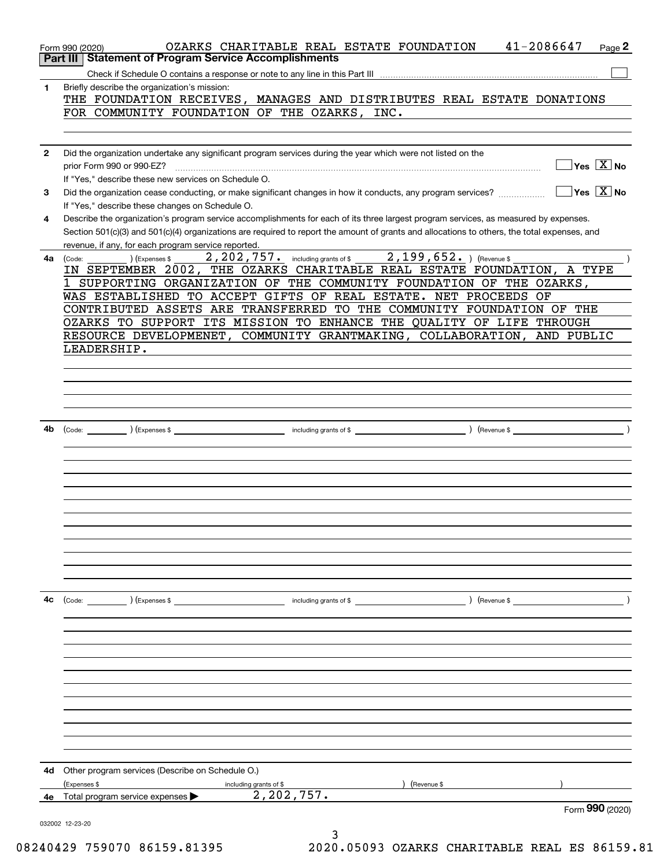| Part III     | 41-2086647<br>OZARKS CHARITABLE REAL ESTATE FOUNDATION<br>Page 2<br>Form 990 (2020)<br><b>Statement of Program Service Accomplishments</b>                                                                                                                                                                                                  |
|--------------|---------------------------------------------------------------------------------------------------------------------------------------------------------------------------------------------------------------------------------------------------------------------------------------------------------------------------------------------|
| 1            | Briefly describe the organization's mission:                                                                                                                                                                                                                                                                                                |
|              | THE FOUNDATION RECEIVES, MANAGES AND DISTRIBUTES REAL ESTATE DONATIONS<br>FOR COMMUNITY FOUNDATION OF THE OZARKS, INC.                                                                                                                                                                                                                      |
|              |                                                                                                                                                                                                                                                                                                                                             |
| $\mathbf{2}$ | Did the organization undertake any significant program services during the year which were not listed on the<br>$\sqrt{}$ Yes $\sqrt{}$ $\overline{\rm X}$ No<br>prior Form 990 or 990-EZ?<br>If "Yes," describe these new services on Schedule O.                                                                                          |
| 3            | $\sqrt{}$ Yes $\sqrt{}$ X $\sqrt{}$ No<br>Did the organization cease conducting, or make significant changes in how it conducts, any program services?<br>If "Yes," describe these changes on Schedule O.                                                                                                                                   |
| 4            | Describe the organization's program service accomplishments for each of its three largest program services, as measured by expenses.<br>Section 501(c)(3) and 501(c)(4) organizations are required to report the amount of grants and allocations to others, the total expenses, and<br>revenue, if any, for each program service reported. |
| 4a           | 2, 202, 757. including grants of \$2, 199, 652. ) (Revenue \$<br>) (Expenses \$<br>(Code:<br>IN SEPTEMBER 2002, THE OZARKS CHARITABLE REAL ESTATE FOUNDATION, A TYPE                                                                                                                                                                        |
|              | 1 SUPPORTING ORGANIZATION OF THE COMMUNITY FOUNDATION OF THE OZARKS,                                                                                                                                                                                                                                                                        |
|              | WAS ESTABLISHED TO ACCEPT GIFTS OF REAL ESTATE. NET PROCEEDS<br>OF<br>CONTRIBUTED ASSETS ARE TRANSFERRED TO THE COMMUNITY FOUNDATION OF THE                                                                                                                                                                                                 |
|              | OZARKS TO SUPPORT ITS MISSION TO ENHANCE THE QUALITY OF LIFE THROUGH                                                                                                                                                                                                                                                                        |
|              | RESOURCE DEVELOPMENET, COMMUNITY GRANTMAKING, COLLABORATION, AND PUBLIC                                                                                                                                                                                                                                                                     |
|              | LEADERSHIP.                                                                                                                                                                                                                                                                                                                                 |
|              |                                                                                                                                                                                                                                                                                                                                             |
|              |                                                                                                                                                                                                                                                                                                                                             |
|              |                                                                                                                                                                                                                                                                                                                                             |
| 4b           |                                                                                                                                                                                                                                                                                                                                             |
|              |                                                                                                                                                                                                                                                                                                                                             |
|              |                                                                                                                                                                                                                                                                                                                                             |
|              |                                                                                                                                                                                                                                                                                                                                             |
|              |                                                                                                                                                                                                                                                                                                                                             |
|              |                                                                                                                                                                                                                                                                                                                                             |
|              |                                                                                                                                                                                                                                                                                                                                             |
|              |                                                                                                                                                                                                                                                                                                                                             |
|              |                                                                                                                                                                                                                                                                                                                                             |
|              |                                                                                                                                                                                                                                                                                                                                             |
| 4c           | (Code: ) (Expenses \$<br>including grants of $$$<br>) (Revenue \$                                                                                                                                                                                                                                                                           |
|              |                                                                                                                                                                                                                                                                                                                                             |
|              |                                                                                                                                                                                                                                                                                                                                             |
|              |                                                                                                                                                                                                                                                                                                                                             |
|              |                                                                                                                                                                                                                                                                                                                                             |
|              |                                                                                                                                                                                                                                                                                                                                             |
|              |                                                                                                                                                                                                                                                                                                                                             |
|              |                                                                                                                                                                                                                                                                                                                                             |
|              |                                                                                                                                                                                                                                                                                                                                             |
|              |                                                                                                                                                                                                                                                                                                                                             |
| 4d           | Other program services (Describe on Schedule O.)                                                                                                                                                                                                                                                                                            |
|              | (Expenses \$<br>(Revenue \$<br>including grants of \$                                                                                                                                                                                                                                                                                       |
| 4e           | 2,202,757.<br>Total program service expenses                                                                                                                                                                                                                                                                                                |
|              | Form 990 (2020)                                                                                                                                                                                                                                                                                                                             |
|              | 032002 12-23-20<br>3                                                                                                                                                                                                                                                                                                                        |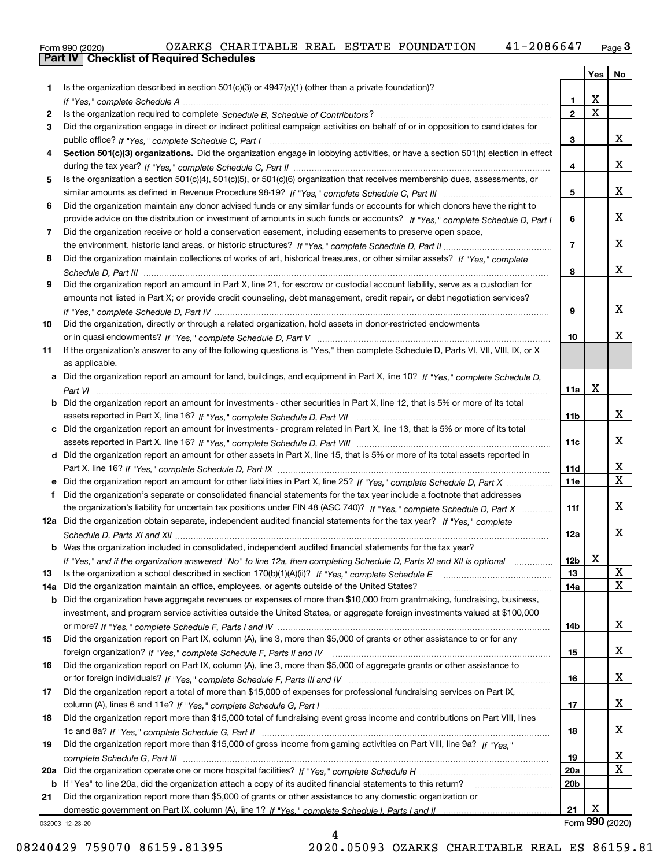|  | Form 990 (2020) |  |
|--|-----------------|--|

|     |                                                                                                                                       |                   | Yes                   | No                      |
|-----|---------------------------------------------------------------------------------------------------------------------------------------|-------------------|-----------------------|-------------------------|
| 1   | Is the organization described in section $501(c)(3)$ or $4947(a)(1)$ (other than a private foundation)?                               |                   |                       |                         |
|     |                                                                                                                                       | 1.                | х                     |                         |
| 2   |                                                                                                                                       | $\mathbf 2$       | $\overline{\text{x}}$ |                         |
| 3   | Did the organization engage in direct or indirect political campaign activities on behalf of or in opposition to candidates for       |                   |                       |                         |
|     |                                                                                                                                       | 3                 |                       | x                       |
| 4   | Section 501(c)(3) organizations. Did the organization engage in lobbying activities, or have a section 501(h) election in effect      |                   |                       |                         |
|     |                                                                                                                                       | 4                 |                       | x                       |
| 5   | Is the organization a section 501(c)(4), 501(c)(5), or 501(c)(6) organization that receives membership dues, assessments, or          |                   |                       |                         |
|     |                                                                                                                                       | 5                 |                       | x                       |
| 6   | Did the organization maintain any donor advised funds or any similar funds or accounts for which donors have the right to             |                   |                       | x                       |
| 7   | provide advice on the distribution or investment of amounts in such funds or accounts? If "Yes," complete Schedule D, Part I          | 6                 |                       |                         |
|     | Did the organization receive or hold a conservation easement, including easements to preserve open space,                             | $\overline{7}$    |                       | x                       |
| 8   | Did the organization maintain collections of works of art, historical treasures, or other similar assets? If "Yes," complete          |                   |                       |                         |
|     |                                                                                                                                       | 8                 |                       | x                       |
| 9   | Did the organization report an amount in Part X, line 21, for escrow or custodial account liability, serve as a custodian for         |                   |                       |                         |
|     | amounts not listed in Part X; or provide credit counseling, debt management, credit repair, or debt negotiation services?             |                   |                       |                         |
|     |                                                                                                                                       | 9                 |                       | x                       |
| 10  | Did the organization, directly or through a related organization, hold assets in donor-restricted endowments                          |                   |                       |                         |
|     |                                                                                                                                       | 10                |                       | x                       |
| 11  | If the organization's answer to any of the following questions is "Yes," then complete Schedule D, Parts VI, VII, VIII, IX, or X      |                   |                       |                         |
|     | as applicable.                                                                                                                        |                   |                       |                         |
|     | a Did the organization report an amount for land, buildings, and equipment in Part X, line 10? If "Yes," complete Schedule D,         |                   |                       |                         |
|     |                                                                                                                                       | 11a               | X                     |                         |
|     | <b>b</b> Did the organization report an amount for investments - other securities in Part X, line 12, that is 5% or more of its total |                   |                       |                         |
|     |                                                                                                                                       | 11b               |                       | X                       |
|     | c Did the organization report an amount for investments - program related in Part X, line 13, that is 5% or more of its total         |                   |                       |                         |
|     |                                                                                                                                       | 11c               |                       | x                       |
|     | d Did the organization report an amount for other assets in Part X, line 15, that is 5% or more of its total assets reported in       |                   |                       | x                       |
|     |                                                                                                                                       | 11d<br><b>11e</b> |                       | $\overline{\mathbf{x}}$ |
| f   | Did the organization's separate or consolidated financial statements for the tax year include a footnote that addresses               |                   |                       |                         |
|     | the organization's liability for uncertain tax positions under FIN 48 (ASC 740)? If "Yes," complete Schedule D. Part X                | 11f               |                       | x                       |
|     | 12a Did the organization obtain separate, independent audited financial statements for the tax year? If "Yes," complete               |                   |                       |                         |
|     |                                                                                                                                       | 12a               |                       | X                       |
|     | <b>b</b> Was the organization included in consolidated, independent audited financial statements for the tax year?                    |                   |                       |                         |
|     | If "Yes," and if the organization answered "No" to line 12a, then completing Schedule D, Parts XI and XII is optional                 | 12b               | X.                    |                         |
| 13  |                                                                                                                                       | 13                |                       | $\mathbf{X}$            |
| 14a | Did the organization maintain an office, employees, or agents outside of the United States?                                           | 14a               |                       | $\overline{\text{x}}$   |
| b   | Did the organization have aggregate revenues or expenses of more than \$10,000 from grantmaking, fundraising, business,               |                   |                       |                         |
|     | investment, and program service activities outside the United States, or aggregate foreign investments valued at \$100,000            |                   |                       |                         |
|     |                                                                                                                                       | 14b               |                       | x                       |
| 15  | Did the organization report on Part IX, column (A), line 3, more than \$5,000 of grants or other assistance to or for any             |                   |                       |                         |
|     |                                                                                                                                       | 15                |                       | x                       |
| 16  | Did the organization report on Part IX, column (A), line 3, more than \$5,000 of aggregate grants or other assistance to              |                   |                       |                         |
|     |                                                                                                                                       | 16                |                       | x                       |
| 17  | Did the organization report a total of more than \$15,000 of expenses for professional fundraising services on Part IX,               |                   |                       | x                       |
| 18  | Did the organization report more than \$15,000 total of fundraising event gross income and contributions on Part VIII, lines          | 17                |                       |                         |
|     |                                                                                                                                       | 18                |                       | x                       |
| 19  | Did the organization report more than \$15,000 of gross income from gaming activities on Part VIII, line 9a? If "Yes."                |                   |                       |                         |
|     |                                                                                                                                       | 19                |                       | x                       |
| 20a |                                                                                                                                       | 20a               |                       | $\overline{\mathbf{x}}$ |
| b   | If "Yes" to line 20a, did the organization attach a copy of its audited financial statements to this return?                          | 20b               |                       |                         |
| 21  | Did the organization report more than \$5,000 of grants or other assistance to any domestic organization or                           |                   |                       |                         |
|     |                                                                                                                                       | 21                | х                     |                         |
|     | 032003 12-23-20                                                                                                                       |                   |                       | Form 990 (2020)         |

032003 12-23-20

4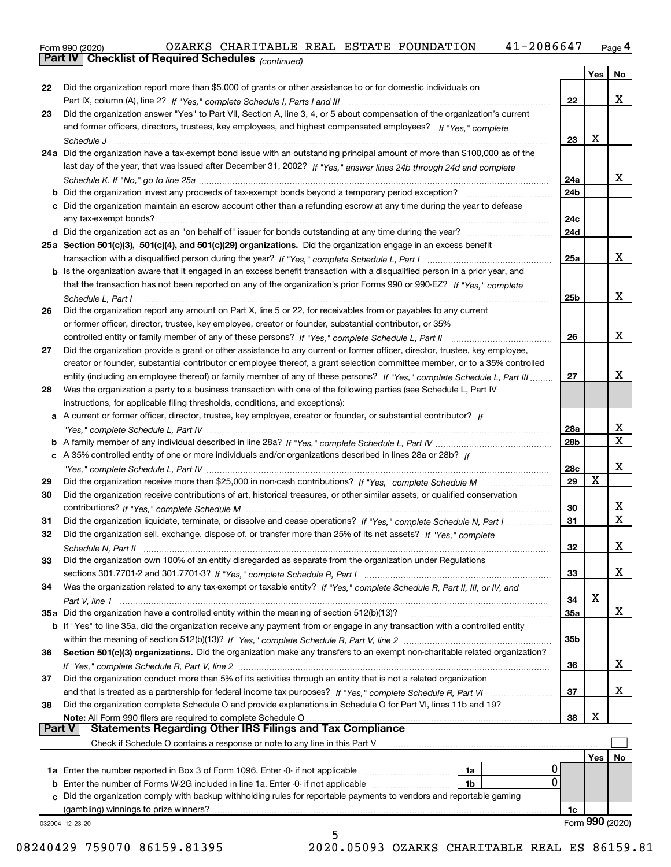Form 990 (2020) OZARKS CHARITABLE REAL ESTATE FOUNDATION 41-2086647 <sub>Page</sub> 4<br>**Part IV | Checklist of Required Schedules** <sub>(continued)</sub>

|          | Pall IV  <br>Crieckist of Required Scriedules (continued)                                                                                                   |                 |     |                 |
|----------|-------------------------------------------------------------------------------------------------------------------------------------------------------------|-----------------|-----|-----------------|
|          |                                                                                                                                                             |                 | Yes | No.             |
| 22       | Did the organization report more than \$5,000 of grants or other assistance to or for domestic individuals on                                               |                 |     |                 |
|          |                                                                                                                                                             | 22              |     | x               |
| 23       | Did the organization answer "Yes" to Part VII, Section A, line 3, 4, or 5 about compensation of the organization's current                                  |                 |     |                 |
|          | and former officers, directors, trustees, key employees, and highest compensated employees? If "Yes," complete                                              |                 |     |                 |
|          | 24a Did the organization have a tax-exempt bond issue with an outstanding principal amount of more than \$100,000 as of the                                 | 23              | x   |                 |
|          | last day of the year, that was issued after December 31, 2002? If "Yes," answer lines 24b through 24d and complete                                          |                 |     |                 |
|          |                                                                                                                                                             | 24a             |     | x               |
|          | <b>b</b> Did the organization invest any proceeds of tax-exempt bonds beyond a temporary period exception?                                                  | 24b             |     |                 |
|          | c Did the organization maintain an escrow account other than a refunding escrow at any time during the year to defease                                      |                 |     |                 |
|          |                                                                                                                                                             | 24c             |     |                 |
|          |                                                                                                                                                             | 24d             |     |                 |
|          | 25a Section 501(c)(3), 501(c)(4), and 501(c)(29) organizations. Did the organization engage in an excess benefit                                            |                 |     |                 |
|          |                                                                                                                                                             | 25a             |     | x               |
|          | b Is the organization aware that it engaged in an excess benefit transaction with a disqualified person in a prior year, and                                |                 |     |                 |
|          | that the transaction has not been reported on any of the organization's prior Forms 990 or 990-EZ? If "Yes," complete                                       |                 |     |                 |
|          | Schedule L. Part I                                                                                                                                          | 25b             |     | x               |
| 26       | Did the organization report any amount on Part X, line 5 or 22, for receivables from or payables to any current                                             |                 |     |                 |
|          | or former officer, director, trustee, key employee, creator or founder, substantial contributor, or 35%                                                     | 26              |     | х               |
| 27       | Did the organization provide a grant or other assistance to any current or former officer, director, trustee, key employee,                                 |                 |     |                 |
|          | creator or founder, substantial contributor or employee thereof, a grant selection committee member, or to a 35% controlled                                 |                 |     |                 |
|          | entity (including an employee thereof) or family member of any of these persons? If "Yes," complete Schedule L, Part III                                    | 27              |     | x               |
| 28       | Was the organization a party to a business transaction with one of the following parties (see Schedule L, Part IV                                           |                 |     |                 |
|          | instructions, for applicable filing thresholds, conditions, and exceptions):                                                                                |                 |     |                 |
|          | a A current or former officer, director, trustee, key employee, creator or founder, or substantial contributor? If                                          |                 |     |                 |
|          |                                                                                                                                                             | 28a             |     | х               |
|          |                                                                                                                                                             | 28 <sub>b</sub> |     | X               |
|          | c A 35% controlled entity of one or more individuals and/or organizations described in lines 28a or 28b? If                                                 |                 |     |                 |
|          |                                                                                                                                                             | 28c<br>29       | X   | X               |
| 29<br>30 | Did the organization receive contributions of art, historical treasures, or other similar assets, or qualified conservation                                 |                 |     |                 |
|          |                                                                                                                                                             | 30              |     | х               |
| 31       | Did the organization liquidate, terminate, or dissolve and cease operations? If "Yes," complete Schedule N, Part I                                          | 31              |     | X               |
| 32       | Did the organization sell, exchange, dispose of, or transfer more than 25% of its net assets? If "Yes," complete                                            |                 |     |                 |
|          | Schedule N. Part II                                                                                                                                         | 32              |     | х               |
| 33       | Did the organization own 100% of an entity disregarded as separate from the organization under Regulations                                                  |                 |     |                 |
|          |                                                                                                                                                             | 33              |     | x               |
| 34       | Was the organization related to any tax-exempt or taxable entity? If "Yes," complete Schedule R, Part II, III, or IV, and                                   |                 |     |                 |
|          |                                                                                                                                                             | 34              | X   |                 |
|          | 35a Did the organization have a controlled entity within the meaning of section 512(b)(13)?                                                                 | 35a             |     | X               |
|          | <b>b</b> If "Yes" to line 35a, did the organization receive any payment from or engage in any transaction with a controlled entity                          |                 |     |                 |
|          |                                                                                                                                                             | 35b             |     |                 |
| 36       | Section 501(c)(3) organizations. Did the organization make any transfers to an exempt non-charitable related organization?                                  | 36              |     | х               |
| 37       | Did the organization conduct more than 5% of its activities through an entity that is not a related organization                                            |                 |     |                 |
|          | and that is treated as a partnership for federal income tax purposes? If "Yes," complete Schedule R, Part VI                                                | 37              |     | х               |
| 38       | Did the organization complete Schedule O and provide explanations in Schedule O for Part VI, lines 11b and 19?                                              |                 |     |                 |
|          | Note: All Form 990 filers are required to complete Schedule O                                                                                               | 38              | х   |                 |
| Part V   | <b>Statements Regarding Other IRS Filings and Tax Compliance</b>                                                                                            |                 |     |                 |
|          | Check if Schedule O contains a response or note to any line in this Part V                                                                                  |                 |     |                 |
|          |                                                                                                                                                             |                 | Yes | No              |
|          | 1a                                                                                                                                                          |                 |     |                 |
|          | 0<br><b>b</b> Enter the number of Forms W-2G included in line 1a. Enter -0- if not applicable<br>1b                                                         |                 |     |                 |
| c        | Did the organization comply with backup withholding rules for reportable payments to vendors and reportable gaming<br>(gambling) winnings to prize winners? |                 |     |                 |
|          | 032004 12-23-20                                                                                                                                             | 1c              |     | Form 990 (2020) |
|          |                                                                                                                                                             |                 |     |                 |
|          | 0.010000000000                                                                                                                                              |                 |     |                 |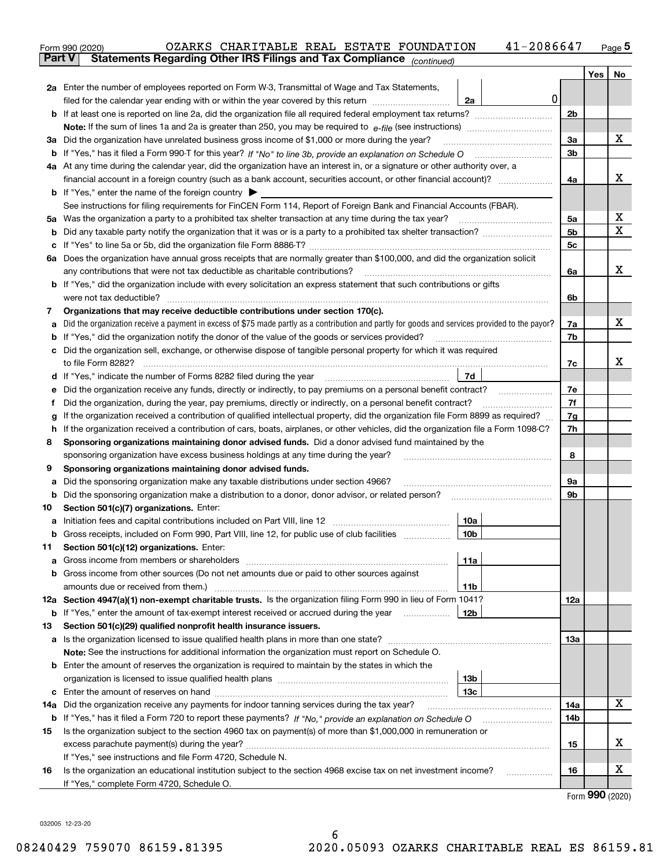|    | 41-2086647<br>OZARKS CHARITABLE REAL ESTATE FOUNDATION<br>Form 990 (2020)                                                                                    |     |         | $Page$ <sup>5</sup> |
|----|--------------------------------------------------------------------------------------------------------------------------------------------------------------|-----|---------|---------------------|
|    | Statements Regarding Other IRS Filings and Tax Compliance (continued)<br><b>Part V</b>                                                                       |     |         |                     |
|    |                                                                                                                                                              |     | Yes $ $ | No                  |
|    | 2a Enter the number of employees reported on Form W-3, Transmittal of Wage and Tax Statements,                                                               |     |         |                     |
|    | 0<br>filed for the calendar year ending with or within the year covered by this return <i>manumumumum</i><br>2a                                              |     |         |                     |
|    |                                                                                                                                                              | 2b  |         |                     |
|    |                                                                                                                                                              |     |         |                     |
|    | 3a Did the organization have unrelated business gross income of \$1,000 or more during the year?                                                             | 3a  |         | x                   |
|    |                                                                                                                                                              | 3b  |         |                     |
|    | 4a At any time during the calendar year, did the organization have an interest in, or a signature or other authority over, a                                 |     |         |                     |
|    |                                                                                                                                                              | 4a  |         | x                   |
|    | <b>b</b> If "Yes," enter the name of the foreign country $\triangleright$                                                                                    |     |         |                     |
|    | See instructions for filing requirements for FinCEN Form 114, Report of Foreign Bank and Financial Accounts (FBAR).                                          |     |         |                     |
|    |                                                                                                                                                              | 5a  |         | Х                   |
|    |                                                                                                                                                              | 5b  |         | х                   |
|    |                                                                                                                                                              | 5c  |         |                     |
|    | 6a Does the organization have annual gross receipts that are normally greater than \$100,000, and did the organization solicit                               |     |         |                     |
|    | any contributions that were not tax deductible as charitable contributions?                                                                                  | 6a  |         | x                   |
|    | <b>b</b> If "Yes," did the organization include with every solicitation an express statement that such contributions or gifts                                |     |         |                     |
|    | were not tax deductible?                                                                                                                                     | 6b  |         |                     |
| 7  | Organizations that may receive deductible contributions under section 170(c).                                                                                |     |         |                     |
| а  | Did the organization receive a payment in excess of \$75 made partly as a contribution and partly for goods and services provided to the payor?              | 7a  |         | x                   |
|    | <b>b</b> If "Yes," did the organization notify the donor of the value of the goods or services provided?                                                     | 7b  |         |                     |
|    | c Did the organization sell, exchange, or otherwise dispose of tangible personal property for which it was required                                          |     |         |                     |
|    |                                                                                                                                                              | 7c  |         | х                   |
|    | 7d                                                                                                                                                           |     |         |                     |
| е  | Did the organization receive any funds, directly or indirectly, to pay premiums on a personal benefit contract?                                              | 7e  |         |                     |
| f  | Did the organization, during the year, pay premiums, directly or indirectly, on a personal benefit contract?                                                 | 7f  |         |                     |
| g  | If the organization received a contribution of qualified intellectual property, did the organization file Form 8899 as required?                             | 7g  |         |                     |
|    | h If the organization received a contribution of cars, boats, airplanes, or other vehicles, did the organization file a Form 1098-C?                         | 7h  |         |                     |
| 8  | Sponsoring organizations maintaining donor advised funds. Did a donor advised fund maintained by the                                                         |     |         |                     |
|    | sponsoring organization have excess business holdings at any time during the year?                                                                           | 8   |         |                     |
| 9  | Sponsoring organizations maintaining donor advised funds.                                                                                                    |     |         |                     |
| а  | Did the sponsoring organization make any taxable distributions under section 4966?                                                                           | 9а  |         |                     |
|    | <b>b</b> Did the sponsoring organization make a distribution to a donor, donor advisor, or related person?                                                   | 9b  |         |                     |
| 10 | Section 501(c)(7) organizations. Enter:                                                                                                                      |     |         |                     |
| а  | 10a<br>Initiation fees and capital contributions included on Part VIII, line 12 [111] [11] [11] [12] [11] [11] [12] [                                        |     |         |                     |
|    | 10b <br>Gross receipts, included on Form 990, Part VIII, line 12, for public use of club facilities                                                          |     |         |                     |
| 11 | Section 501(c)(12) organizations. Enter:                                                                                                                     |     |         |                     |
| а  | Gross income from members or shareholders<br>11a                                                                                                             |     |         |                     |
|    | b Gross income from other sources (Do not net amounts due or paid to other sources against                                                                   |     |         |                     |
|    | amounts due or received from them.)<br>11b<br>12a Section 4947(a)(1) non-exempt charitable trusts. Is the organization filing Form 990 in lieu of Form 1041? | 12a |         |                     |
|    | 12b<br><b>b</b> If "Yes," enter the amount of tax-exempt interest received or accrued during the year <i>manument</i> of                                     |     |         |                     |
| 13 | Section 501(c)(29) qualified nonprofit health insurance issuers.                                                                                             |     |         |                     |
|    | a Is the organization licensed to issue qualified health plans in more than one state?                                                                       | 13а |         |                     |
|    | Note: See the instructions for additional information the organization must report on Schedule O.                                                            |     |         |                     |
|    | <b>b</b> Enter the amount of reserves the organization is required to maintain by the states in which the                                                    |     |         |                     |
|    | 13b                                                                                                                                                          |     |         |                     |
|    | 13с                                                                                                                                                          |     |         |                     |
|    | 14a Did the organization receive any payments for indoor tanning services during the tax year?                                                               | 14a |         | x                   |
|    | <b>b</b> If "Yes," has it filed a Form 720 to report these payments? If "No," provide an explanation on Schedule O                                           | 14b |         |                     |
| 15 | Is the organization subject to the section 4960 tax on payment(s) of more than \$1,000,000 in remuneration or                                                |     |         |                     |
|    |                                                                                                                                                              | 15  |         | x                   |
|    | If "Yes," see instructions and file Form 4720, Schedule N.                                                                                                   |     |         |                     |
| 16 | Is the organization an educational institution subject to the section 4968 excise tax on net investment income?                                              | 16  |         | x                   |
|    | If "Yes," complete Form 4720, Schedule O.                                                                                                                    |     |         |                     |

Form (2020) **990**

032005 12-23-20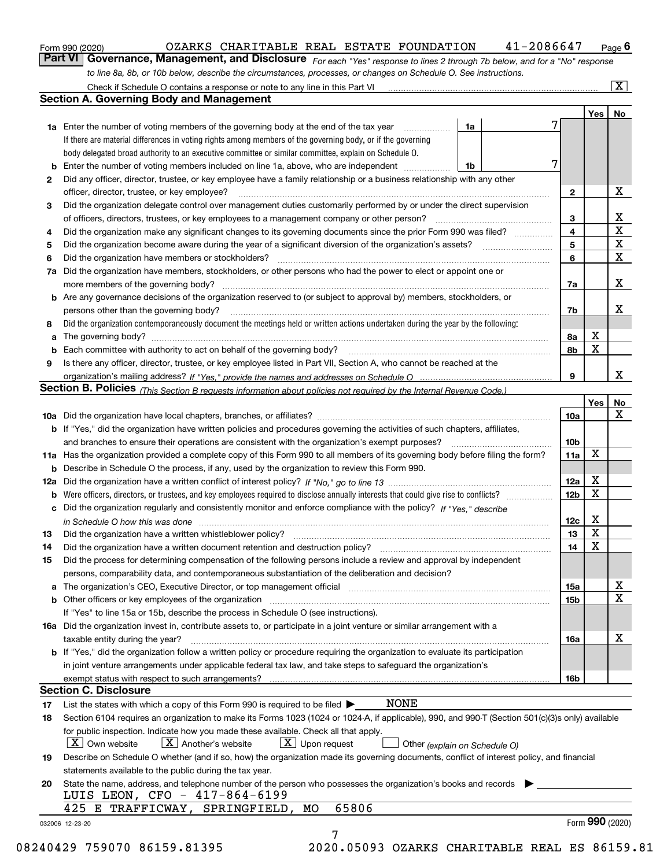|  | Form 990 (2020) |
|--|-----------------|
|  |                 |

#### $_{\rm Form}$ 990 (2020) OZARKS CHARITABLE REAL ESTATE FOUNDATION 4 $1$ -2086647  $_{\rm Page}$

orm 990 (2020) OZARKS CHARITABLE REAL ESTATE FOUNDATION 41-2086647 <sub>Page</sub> 6<br><mark>Part VI | Governance, Management, and Disclosure</mark> <sub>For each "Yes" response to lines 2 through 7b below, and for a "No" response</sub> *to line 8a, 8b, or 10b below, describe the circumstances, processes, or changes on Schedule O. See instructions.*

|    |                                                                                                                                                                            |    |                         | Yes             | No                      |
|----|----------------------------------------------------------------------------------------------------------------------------------------------------------------------------|----|-------------------------|-----------------|-------------------------|
|    | <b>1a</b> Enter the number of voting members of the governing body at the end of the tax year <i>manumum</i>                                                               | 1a | 7                       |                 |                         |
|    | If there are material differences in voting rights among members of the governing body, or if the governing                                                                |    |                         |                 |                         |
|    | body delegated broad authority to an executive committee or similar committee, explain on Schedule O.                                                                      |    |                         |                 |                         |
|    |                                                                                                                                                                            | 1b | 7                       |                 |                         |
| 2  | Did any officer, director, trustee, or key employee have a family relationship or a business relationship with any other                                                   |    |                         |                 |                         |
|    | officer, director, trustee, or key employee?                                                                                                                               |    | $\mathbf{2}$            |                 | X                       |
| 3  | Did the organization delegate control over management duties customarily performed by or under the direct supervision                                                      |    |                         |                 |                         |
|    |                                                                                                                                                                            |    | 3                       |                 | X                       |
| 4  | Did the organization make any significant changes to its governing documents since the prior Form 990 was filed?                                                           |    | $\overline{\mathbf{4}}$ |                 | $\overline{\mathbf{x}}$ |
| 5  |                                                                                                                                                                            |    | 5                       |                 | $\mathbf X$             |
| 6  | Did the organization have members or stockholders?                                                                                                                         |    | 6                       |                 | $\mathbf X$             |
|    | 7a Did the organization have members, stockholders, or other persons who had the power to elect or appoint one or                                                          |    |                         |                 |                         |
|    |                                                                                                                                                                            |    | 7a                      |                 | X                       |
|    | <b>b</b> Are any governance decisions of the organization reserved to (or subject to approval by) members, stockholders, or                                                |    |                         |                 |                         |
|    | persons other than the governing body?                                                                                                                                     |    | 7b                      |                 | X                       |
| 8  | Did the organization contemporaneously document the meetings held or written actions undertaken during the year by the following:                                          |    |                         |                 |                         |
| a  |                                                                                                                                                                            |    | 8a                      | X               |                         |
|    |                                                                                                                                                                            |    | 8b                      | X               |                         |
| 9  | Is there any officer, director, trustee, or key employee listed in Part VII, Section A, who cannot be reached at the                                                       |    |                         |                 |                         |
|    |                                                                                                                                                                            |    | 9                       |                 | x                       |
|    | Section B. Policies (This Section B requests information about policies not required by the Internal Revenue Code.)                                                        |    |                         |                 |                         |
|    |                                                                                                                                                                            |    |                         | Yes∣            | No                      |
|    |                                                                                                                                                                            |    | 10a                     |                 | X                       |
|    | <b>b</b> If "Yes," did the organization have written policies and procedures governing the activities of such chapters, affiliates,                                        |    |                         |                 |                         |
|    |                                                                                                                                                                            |    | 10 <sub>b</sub>         |                 |                         |
|    | 11a Has the organization provided a complete copy of this Form 990 to all members of its governing body before filing the form?                                            |    | 11a                     | $\mathbf X$     |                         |
|    | <b>b</b> Describe in Schedule O the process, if any, used by the organization to review this Form 990.                                                                     |    |                         |                 |                         |
|    |                                                                                                                                                                            |    | 12a                     | X               |                         |
| b  |                                                                                                                                                                            |    | 12b                     | X               |                         |
|    | c Did the organization regularly and consistently monitor and enforce compliance with the policy? If "Yes," describe                                                       |    |                         |                 |                         |
|    | in Schedule O how this was done www.communication.com/www.communications.com/www.communications.com/                                                                       |    | 12c                     | X               |                         |
| 13 |                                                                                                                                                                            |    | 13                      | X               |                         |
| 14 | Did the organization have a written document retention and destruction policy? manufactured and the organization have a written document retention and destruction policy? |    | 14                      | $\mathbf X$     |                         |
| 15 | Did the process for determining compensation of the following persons include a review and approval by independent                                                         |    |                         |                 |                         |
|    | persons, comparability data, and contemporaneous substantiation of the deliberation and decision?                                                                          |    |                         |                 |                         |
|    |                                                                                                                                                                            |    | 15a                     |                 | X                       |
|    |                                                                                                                                                                            |    | 15 <sub>b</sub>         |                 | $\mathbf X$             |
|    | If "Yes" to line 15a or 15b, describe the process in Schedule O (see instructions).                                                                                        |    |                         |                 |                         |
|    |                                                                                                                                                                            |    |                         |                 |                         |
|    | 16a Did the organization invest in, contribute assets to, or participate in a joint venture or similar arrangement with a                                                  |    |                         |                 | X                       |
|    | taxable entity during the year?<br><b>b</b> If "Yes," did the organization follow a written policy or procedure requiring the organization to evaluate its participation   |    | 16a                     |                 |                         |
|    |                                                                                                                                                                            |    |                         |                 |                         |
|    | in joint venture arrangements under applicable federal tax law, and take steps to safeguard the organization's                                                             |    |                         |                 |                         |
|    |                                                                                                                                                                            |    | 16b                     |                 |                         |
|    | <b>Section C. Disclosure</b>                                                                                                                                               |    |                         |                 |                         |
| 17 | NONE<br>List the states with which a copy of this Form 990 is required to be filed $\blacktriangleright$                                                                   |    |                         |                 |                         |
| 18 | Section 6104 requires an organization to make its Forms 1023 (1024 or 1024-A, if applicable), 990, and 990-T (Section 501(c)(3)s only) available                           |    |                         |                 |                         |
|    | for public inspection. Indicate how you made these available. Check all that apply.                                                                                        |    |                         |                 |                         |
|    | $X$ Upon request<br>$ X $ Own website<br>$X$ Another's website<br>Other (explain on Schedule O)                                                                            |    |                         |                 |                         |
| 19 | Describe on Schedule O whether (and if so, how) the organization made its governing documents, conflict of interest policy, and financial                                  |    |                         |                 |                         |
|    | statements available to the public during the tax year.                                                                                                                    |    |                         |                 |                         |
| 20 | State the name, address, and telephone number of the person who possesses the organization's books and records                                                             |    |                         |                 |                         |
|    | LUIS LEON, CFO - 417-864-6199                                                                                                                                              |    |                         |                 |                         |
|    | 65806<br>425 E TRAFFICWAY, SPRINGFIELD, MO                                                                                                                                 |    |                         |                 |                         |
|    | 032006 12-23-20                                                                                                                                                            |    |                         | Form 990 (2020) |                         |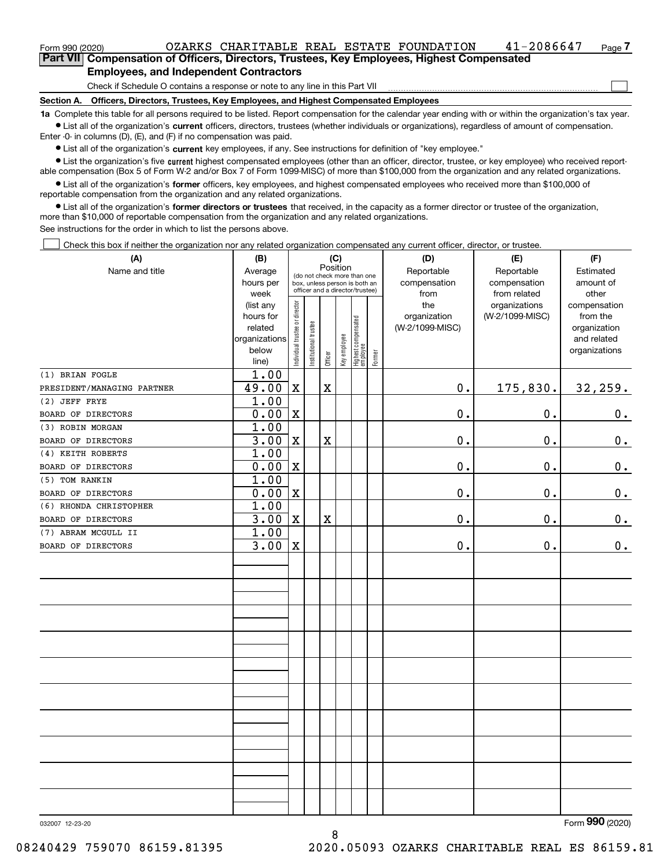$\mathcal{L}^{\text{max}}$ 

| Form 990 (2020)                               |                                                                                            | OZARKS CHARITABLE REAL ESTATE FOUNDATION |  |  |  | 41-2086647 | Page 7 |  |  |  |
|-----------------------------------------------|--------------------------------------------------------------------------------------------|------------------------------------------|--|--|--|------------|--------|--|--|--|
|                                               | Part VII Compensation of Officers, Directors, Trustees, Key Employees, Highest Compensated |                                          |  |  |  |            |        |  |  |  |
| <b>Employees, and Independent Contractors</b> |                                                                                            |                                          |  |  |  |            |        |  |  |  |

Check if Schedule O contains a response or note to any line in this Part VII

**Section A. Officers, Directors, Trustees, Key Employees, and Highest Compensated Employees**

**1a**  Complete this table for all persons required to be listed. Report compensation for the calendar year ending with or within the organization's tax year. **•** List all of the organization's current officers, directors, trustees (whether individuals or organizations), regardless of amount of compensation.

Enter -0- in columns (D), (E), and (F) if no compensation was paid.

 $\bullet$  List all of the organization's  $\,$ current key employees, if any. See instructions for definition of "key employee."

**•** List the organization's five current highest compensated employees (other than an officer, director, trustee, or key employee) who received reportable compensation (Box 5 of Form W-2 and/or Box 7 of Form 1099-MISC) of more than \$100,000 from the organization and any related organizations.

**•** List all of the organization's former officers, key employees, and highest compensated employees who received more than \$100,000 of reportable compensation from the organization and any related organizations.

**former directors or trustees**  ¥ List all of the organization's that received, in the capacity as a former director or trustee of the organization, more than \$10,000 of reportable compensation from the organization and any related organizations.

See instructions for the order in which to list the persons above.

Check this box if neither the organization nor any related organization compensated any current officer, director, or trustee.  $\mathcal{L}^{\text{max}}$ 

| (A)                        | (B)                  |                                                                  |                                         |                         | (C)          |                                   |        | (D)                             | (E)             | (F)                         |  |  |  |  |
|----------------------------|----------------------|------------------------------------------------------------------|-----------------------------------------|-------------------------|--------------|-----------------------------------|--------|---------------------------------|-----------------|-----------------------------|--|--|--|--|
| Name and title             | Average              |                                                                  | Position<br>(do not check more than one |                         |              |                                   |        | Reportable                      | Reportable      | Estimated                   |  |  |  |  |
|                            | hours per            | box, unless person is both an<br>officer and a director/trustee) |                                         |                         |              |                                   |        | compensation                    | compensation    | amount of                   |  |  |  |  |
|                            | week                 |                                                                  |                                         |                         |              |                                   |        | from                            | from related    | other                       |  |  |  |  |
|                            | (list any            |                                                                  |                                         |                         |              |                                   |        | the                             | organizations   | compensation                |  |  |  |  |
|                            | hours for<br>related |                                                                  |                                         |                         |              |                                   |        | organization<br>(W-2/1099-MISC) | (W-2/1099-MISC) | from the                    |  |  |  |  |
|                            | organizations        |                                                                  |                                         |                         |              |                                   |        |                                 |                 | organization<br>and related |  |  |  |  |
|                            | below                |                                                                  |                                         |                         |              |                                   |        |                                 |                 | organizations               |  |  |  |  |
|                            | line)                | Individual trustee or director                                   | Institutional trustee                   | Officer                 | Key employee | Highest compensated<br>  employee | Former |                                 |                 |                             |  |  |  |  |
| (1) BRIAN FOGLE            | 1.00                 |                                                                  |                                         |                         |              |                                   |        |                                 |                 |                             |  |  |  |  |
| PRESIDENT/MANAGING PARTNER | 49.00                | $\mathbf X$                                                      |                                         | $\mathbf X$             |              |                                   |        | $0$ .                           | 175,830.        | 32,259.                     |  |  |  |  |
| (2) JEFF FRYE              | 1.00                 |                                                                  |                                         |                         |              |                                   |        |                                 |                 |                             |  |  |  |  |
| BOARD OF DIRECTORS         | 0.00                 | $\mathbf X$                                                      |                                         |                         |              |                                   |        | 0.                              | 0.              | $0_{\cdot}$                 |  |  |  |  |
| (3) ROBIN MORGAN           | 1.00                 |                                                                  |                                         |                         |              |                                   |        |                                 |                 |                             |  |  |  |  |
| BOARD OF DIRECTORS         | 3.00                 | X                                                                |                                         | $\mathbf X$             |              |                                   |        | $\mathbf 0$ .                   | 0.              | $\mathbf 0$ .               |  |  |  |  |
| (4) KEITH ROBERTS          | 1.00                 |                                                                  |                                         |                         |              |                                   |        |                                 |                 |                             |  |  |  |  |
| BOARD OF DIRECTORS         | 0.00                 | $\mathbf X$                                                      |                                         |                         |              |                                   |        | $\mathbf 0$ .                   | $0$ .           | $0_{.}$                     |  |  |  |  |
| (5) TOM RANKIN             | 1.00                 |                                                                  |                                         |                         |              |                                   |        |                                 |                 |                             |  |  |  |  |
| BOARD OF DIRECTORS         | 0.00                 | X                                                                |                                         |                         |              |                                   |        | $\mathbf 0$ .                   | 0.              | $0_{.}$                     |  |  |  |  |
| (6) RHONDA CHRISTOPHER     | 1.00                 |                                                                  |                                         |                         |              |                                   |        |                                 |                 |                             |  |  |  |  |
| BOARD OF DIRECTORS         | 3.00                 | $\mathbf X$                                                      |                                         | $\overline{\textbf{X}}$ |              |                                   |        | 0.                              | 0.              | 0.                          |  |  |  |  |
| (7) ABRAM MCGULL II        | 1.00                 |                                                                  |                                         |                         |              |                                   |        |                                 |                 |                             |  |  |  |  |
| BOARD OF DIRECTORS         | 3.00                 | $\mathbf X$                                                      |                                         |                         |              |                                   |        | 0.                              | 0.              | $\mathbf 0$ .               |  |  |  |  |
|                            |                      |                                                                  |                                         |                         |              |                                   |        |                                 |                 |                             |  |  |  |  |
|                            |                      |                                                                  |                                         |                         |              |                                   |        |                                 |                 |                             |  |  |  |  |
|                            |                      |                                                                  |                                         |                         |              |                                   |        |                                 |                 |                             |  |  |  |  |
|                            |                      |                                                                  |                                         |                         |              |                                   |        |                                 |                 |                             |  |  |  |  |
|                            |                      |                                                                  |                                         |                         |              |                                   |        |                                 |                 |                             |  |  |  |  |
|                            |                      |                                                                  |                                         |                         |              |                                   |        |                                 |                 |                             |  |  |  |  |
|                            |                      |                                                                  |                                         |                         |              |                                   |        |                                 |                 |                             |  |  |  |  |
|                            |                      |                                                                  |                                         |                         |              |                                   |        |                                 |                 |                             |  |  |  |  |
|                            |                      |                                                                  |                                         |                         |              |                                   |        |                                 |                 |                             |  |  |  |  |
|                            |                      |                                                                  |                                         |                         |              |                                   |        |                                 |                 |                             |  |  |  |  |
|                            |                      |                                                                  |                                         |                         |              |                                   |        |                                 |                 |                             |  |  |  |  |
|                            |                      |                                                                  |                                         |                         |              |                                   |        |                                 |                 |                             |  |  |  |  |
|                            |                      |                                                                  |                                         |                         |              |                                   |        |                                 |                 |                             |  |  |  |  |
|                            |                      |                                                                  |                                         |                         |              |                                   |        |                                 |                 |                             |  |  |  |  |
|                            |                      |                                                                  |                                         |                         |              |                                   |        |                                 |                 |                             |  |  |  |  |
|                            |                      |                                                                  |                                         |                         |              |                                   |        |                                 |                 |                             |  |  |  |  |
|                            |                      |                                                                  |                                         |                         |              |                                   |        |                                 |                 |                             |  |  |  |  |
|                            |                      |                                                                  |                                         |                         |              |                                   |        |                                 |                 |                             |  |  |  |  |
|                            |                      |                                                                  |                                         |                         |              |                                   |        |                                 |                 |                             |  |  |  |  |

8

032007 12-23-20

Form (2020) **990**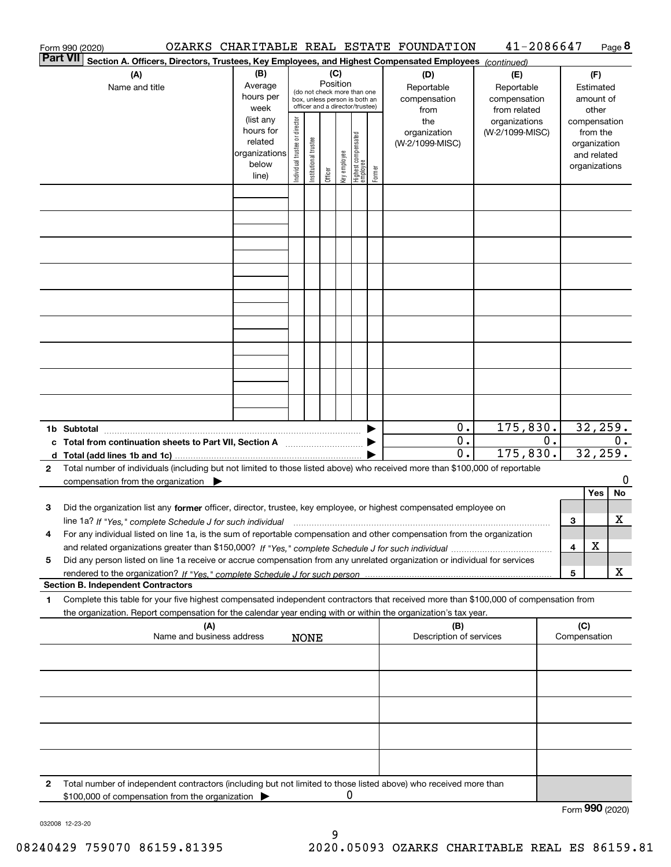|                 | Form 990 (2020)                                                                                                                                                     |                          |                                                       |                       |         |              |                                   |        | OZARKS CHARITABLE REAL ESTATE FOUNDATION | 41-2086647      |                  |                 |                              | Page 8 |
|-----------------|---------------------------------------------------------------------------------------------------------------------------------------------------------------------|--------------------------|-------------------------------------------------------|-----------------------|---------|--------------|-----------------------------------|--------|------------------------------------------|-----------------|------------------|-----------------|------------------------------|--------|
| <b>Part VII</b> | Section A. Officers, Directors, Trustees, Key Employees, and Highest Compensated Employees (continued)                                                              |                          |                                                       |                       |         |              |                                   |        |                                          |                 |                  |                 |                              |        |
|                 | (A)                                                                                                                                                                 | (B)                      |                                                       |                       |         | (C)          |                                   |        | (D)                                      | (E)             |                  |                 | (F)                          |        |
|                 | Name and title                                                                                                                                                      | Average                  | Position<br>Reportable<br>(do not check more than one |                       |         |              |                                   |        | Reportable                               |                 |                  | Estimated       |                              |        |
|                 |                                                                                                                                                                     | hours per                |                                                       |                       |         |              | box, unless person is both an     |        | compensation                             | compensation    |                  |                 | amount of                    |        |
|                 |                                                                                                                                                                     | week                     |                                                       |                       |         |              | officer and a director/trustee)   |        | from                                     | from related    |                  |                 | other                        |        |
|                 |                                                                                                                                                                     | (list any                |                                                       |                       |         |              |                                   |        | the                                      | organizations   |                  |                 | compensation                 |        |
|                 |                                                                                                                                                                     | hours for                |                                                       |                       |         |              |                                   |        | organization                             | (W-2/1099-MISC) |                  |                 | from the                     |        |
|                 |                                                                                                                                                                     | related<br>organizations |                                                       |                       |         |              |                                   |        | (W-2/1099-MISC)                          |                 |                  |                 | organization                 |        |
|                 |                                                                                                                                                                     | below                    |                                                       |                       |         |              |                                   |        |                                          |                 |                  |                 | and related<br>organizations |        |
|                 |                                                                                                                                                                     | line)                    | Individual trustee or director                        | Institutional trustee | Officer | Key employee | Highest compensated<br>  employee | Former |                                          |                 |                  |                 |                              |        |
|                 |                                                                                                                                                                     |                          |                                                       |                       |         |              |                                   |        |                                          |                 |                  |                 |                              |        |
|                 |                                                                                                                                                                     |                          |                                                       |                       |         |              |                                   |        |                                          |                 |                  |                 |                              |        |
|                 |                                                                                                                                                                     |                          |                                                       |                       |         |              |                                   |        |                                          |                 |                  |                 |                              |        |
|                 |                                                                                                                                                                     |                          |                                                       |                       |         |              |                                   |        |                                          |                 |                  |                 |                              |        |
|                 |                                                                                                                                                                     |                          |                                                       |                       |         |              |                                   |        |                                          |                 |                  |                 |                              |        |
|                 |                                                                                                                                                                     |                          |                                                       |                       |         |              |                                   |        |                                          |                 |                  |                 |                              |        |
|                 |                                                                                                                                                                     |                          |                                                       |                       |         |              |                                   |        |                                          |                 |                  |                 |                              |        |
|                 |                                                                                                                                                                     |                          |                                                       |                       |         |              |                                   |        |                                          |                 |                  |                 |                              |        |
|                 |                                                                                                                                                                     |                          |                                                       |                       |         |              |                                   |        |                                          |                 |                  |                 |                              |        |
|                 |                                                                                                                                                                     |                          |                                                       |                       |         |              |                                   |        |                                          |                 |                  |                 |                              |        |
|                 |                                                                                                                                                                     |                          |                                                       |                       |         |              |                                   |        |                                          |                 |                  |                 |                              |        |
|                 |                                                                                                                                                                     |                          |                                                       |                       |         |              |                                   |        |                                          |                 |                  |                 |                              |        |
|                 |                                                                                                                                                                     |                          |                                                       |                       |         |              |                                   |        |                                          |                 |                  |                 |                              |        |
|                 |                                                                                                                                                                     |                          |                                                       |                       |         |              |                                   |        |                                          |                 |                  |                 |                              |        |
|                 |                                                                                                                                                                     |                          |                                                       |                       |         |              |                                   |        |                                          |                 |                  |                 |                              |        |
|                 |                                                                                                                                                                     |                          |                                                       |                       |         |              |                                   |        |                                          |                 |                  |                 |                              |        |
|                 |                                                                                                                                                                     |                          |                                                       |                       |         |              |                                   |        |                                          |                 |                  |                 |                              |        |
|                 |                                                                                                                                                                     |                          |                                                       |                       |         |              |                                   |        | 0.                                       | 175,830.        |                  |                 | 32,259.                      |        |
|                 | c Total from continuation sheets to Part VII, Section A manufactured by                                                                                             |                          |                                                       |                       |         |              |                                   |        | 0.                                       |                 | $\overline{0}$ . |                 |                              | 0.     |
|                 |                                                                                                                                                                     |                          |                                                       |                       |         |              |                                   |        | 0.                                       | 175,830.        |                  |                 | 32, 259.                     |        |
| $\mathbf{2}$    | Total number of individuals (including but not limited to those listed above) who received more than \$100,000 of reportable                                        |                          |                                                       |                       |         |              |                                   |        |                                          |                 |                  |                 |                              |        |
|                 | compensation from the organization $\blacktriangleright$                                                                                                            |                          |                                                       |                       |         |              |                                   |        |                                          |                 |                  |                 |                              | 0      |
|                 |                                                                                                                                                                     |                          |                                                       |                       |         |              |                                   |        |                                          |                 |                  |                 | Yes                          | No     |
| 3               | Did the organization list any former officer, director, trustee, key employee, or highest compensated employee on                                                   |                          |                                                       |                       |         |              |                                   |        |                                          |                 |                  |                 |                              |        |
|                 | line 1a? If "Yes," complete Schedule J for such individual manufactured contained and the 1a? If "Yes," complete Schedule J for such individual                     |                          |                                                       |                       |         |              |                                   |        |                                          |                 |                  | 3               |                              | х      |
|                 | For any individual listed on line 1a, is the sum of reportable compensation and other compensation from the organization                                            |                          |                                                       |                       |         |              |                                   |        |                                          |                 |                  |                 |                              |        |
|                 |                                                                                                                                                                     |                          |                                                       |                       |         |              |                                   |        |                                          |                 |                  | 4               | X                            |        |
| 5               | Did any person listed on line 1a receive or accrue compensation from any unrelated organization or individual for services                                          |                          |                                                       |                       |         |              |                                   |        |                                          |                 |                  |                 |                              |        |
|                 | <b>Section B. Independent Contractors</b>                                                                                                                           |                          |                                                       |                       |         |              |                                   |        |                                          |                 |                  | 5               |                              | х      |
|                 | Complete this table for your five highest compensated independent contractors that received more than \$100,000 of compensation from                                |                          |                                                       |                       |         |              |                                   |        |                                          |                 |                  |                 |                              |        |
| 1               | the organization. Report compensation for the calendar year ending with or within the organization's tax year.                                                      |                          |                                                       |                       |         |              |                                   |        |                                          |                 |                  |                 |                              |        |
|                 | (A)                                                                                                                                                                 |                          |                                                       |                       |         |              |                                   |        | (B)                                      |                 |                  | (C)             |                              |        |
|                 | Name and business address                                                                                                                                           |                          |                                                       | <b>NONE</b>           |         |              |                                   |        | Description of services                  |                 | Compensation     |                 |                              |        |
|                 |                                                                                                                                                                     |                          |                                                       |                       |         |              |                                   |        |                                          |                 |                  |                 |                              |        |
|                 |                                                                                                                                                                     |                          |                                                       |                       |         |              |                                   |        |                                          |                 |                  |                 |                              |        |
|                 |                                                                                                                                                                     |                          |                                                       |                       |         |              |                                   |        |                                          |                 |                  |                 |                              |        |
|                 |                                                                                                                                                                     |                          |                                                       |                       |         |              |                                   |        |                                          |                 |                  |                 |                              |        |
|                 |                                                                                                                                                                     |                          |                                                       |                       |         |              |                                   |        |                                          |                 |                  |                 |                              |        |
|                 |                                                                                                                                                                     |                          |                                                       |                       |         |              |                                   |        |                                          |                 |                  |                 |                              |        |
|                 |                                                                                                                                                                     |                          |                                                       |                       |         |              |                                   |        |                                          |                 |                  |                 |                              |        |
|                 |                                                                                                                                                                     |                          |                                                       |                       |         |              |                                   |        |                                          |                 |                  |                 |                              |        |
|                 |                                                                                                                                                                     |                          |                                                       |                       |         |              |                                   |        |                                          |                 |                  |                 |                              |        |
|                 |                                                                                                                                                                     |                          |                                                       |                       |         |              |                                   |        |                                          |                 |                  |                 |                              |        |
| 2               | Total number of independent contractors (including but not limited to those listed above) who received more than<br>\$100,000 of compensation from the organization |                          |                                                       |                       |         | 0            |                                   |        |                                          |                 |                  |                 |                              |        |
|                 |                                                                                                                                                                     |                          |                                                       |                       |         |              |                                   |        |                                          |                 |                  | Form 990 (2020) |                              |        |
|                 |                                                                                                                                                                     |                          |                                                       |                       |         |              |                                   |        |                                          |                 |                  |                 |                              |        |

032008 12-23-20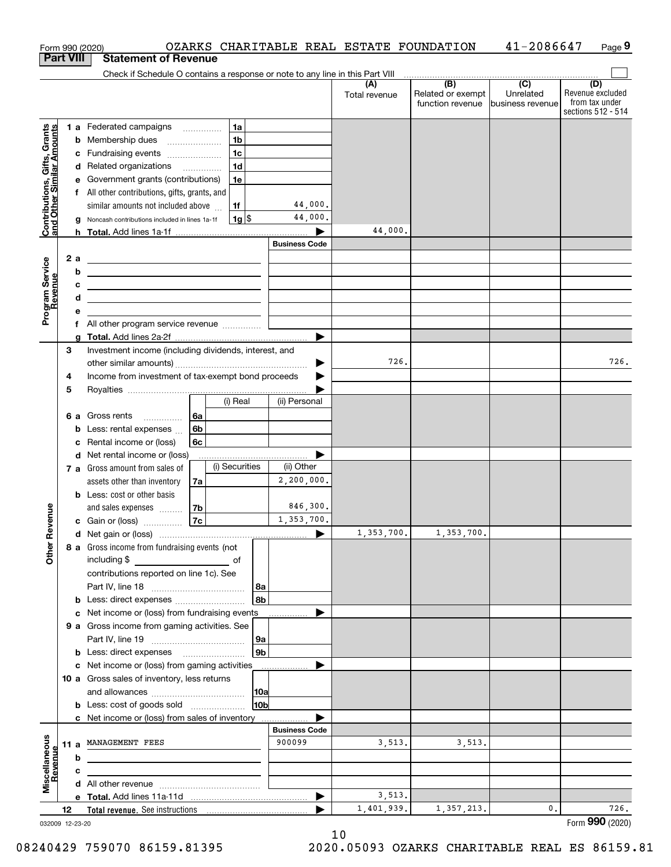|                                                           |                  |        | OZARKS CHARITABLE REAL ESTATE FOUNDATION<br>Form 990 (2020)                                                            |                      |                      |                                              | 41-2086647                                      | Page 9                                                          |
|-----------------------------------------------------------|------------------|--------|------------------------------------------------------------------------------------------------------------------------|----------------------|----------------------|----------------------------------------------|-------------------------------------------------|-----------------------------------------------------------------|
|                                                           | <b>Part VIII</b> |        | <b>Statement of Revenue</b>                                                                                            |                      |                      |                                              |                                                 |                                                                 |
|                                                           |                  |        | Check if Schedule O contains a response or note to any line in this Part VIII                                          |                      |                      |                                              |                                                 |                                                                 |
|                                                           |                  |        |                                                                                                                        |                      | (A)<br>Total revenue | (B)<br>Related or exempt<br>function revenue | $\overline{C}$<br>Unrelated<br>business revenue | (D)<br>Revenue excluded<br>from tax under<br>sections 512 - 514 |
|                                                           |                  |        | 1a<br>1 a Federated campaigns                                                                                          |                      |                      |                                              |                                                 |                                                                 |
| Contributions, Gifts, Grants<br>and Other Similar Amounts |                  |        | 1 <sub>b</sub><br><b>b</b> Membership dues                                                                             |                      |                      |                                              |                                                 |                                                                 |
|                                                           |                  |        | 1 <sub>c</sub><br>c Fundraising events                                                                                 |                      |                      |                                              |                                                 |                                                                 |
|                                                           |                  |        | 1 <sub>d</sub><br>d Related organizations                                                                              |                      |                      |                                              |                                                 |                                                                 |
|                                                           |                  |        | 1e<br>e Government grants (contributions)                                                                              |                      |                      |                                              |                                                 |                                                                 |
|                                                           |                  |        | f All other contributions, gifts, grants, and                                                                          |                      |                      |                                              |                                                 |                                                                 |
|                                                           |                  |        | similar amounts not included above<br>1f                                                                               | 44,000.              |                      |                                              |                                                 |                                                                 |
|                                                           |                  |        | $1g$ \$<br>g Noncash contributions included in lines 1a-1f                                                             | 44,000.              |                      |                                              |                                                 |                                                                 |
|                                                           |                  |        |                                                                                                                        |                      | 44,000.              |                                              |                                                 |                                                                 |
|                                                           |                  |        |                                                                                                                        | <b>Business Code</b> |                      |                                              |                                                 |                                                                 |
|                                                           |                  | 2 a    | <u> 1989 - Johann Barn, mars ann an t-Amhainn an t-Amhainn an t-Amhainn an t-Amhainn an t-Amhainn an t-Amhainn an </u> |                      |                      |                                              |                                                 |                                                                 |
|                                                           |                  | b      | <u> 1989 - Johann Harry Harry Harry Harry Harry Harry Harry Harry Harry Harry Harry Harry Harry Harry Harry Harry</u>  |                      |                      |                                              |                                                 |                                                                 |
|                                                           |                  | c<br>d | <u> 1980 - Andrea Andrew Maria (h. 1980).</u>                                                                          |                      |                      |                                              |                                                 |                                                                 |
| Program Service<br>Revenue                                |                  | е      | <u> 1980 - Jan Sterling von Berling von Berling von Berling von Berling von Berling von Berling von Berling von B</u>  |                      |                      |                                              |                                                 |                                                                 |
|                                                           |                  |        |                                                                                                                        |                      |                      |                                              |                                                 |                                                                 |
|                                                           |                  |        |                                                                                                                        |                      |                      |                                              |                                                 |                                                                 |
|                                                           | З                |        | Investment income (including dividends, interest, and                                                                  |                      |                      |                                              |                                                 |                                                                 |
|                                                           |                  |        |                                                                                                                        | ▶                    | 726.                 |                                              |                                                 | 726.                                                            |
|                                                           | 4                |        | Income from investment of tax-exempt bond proceeds                                                                     |                      |                      |                                              |                                                 |                                                                 |
|                                                           | 5                |        |                                                                                                                        |                      |                      |                                              |                                                 |                                                                 |
|                                                           |                  |        | (i) Real                                                                                                               | (ii) Personal        |                      |                                              |                                                 |                                                                 |
|                                                           |                  |        | 6 a Gross rents<br>l 6a                                                                                                |                      |                      |                                              |                                                 |                                                                 |
|                                                           |                  |        | 6b<br><b>b</b> Less: rental expenses                                                                                   |                      |                      |                                              |                                                 |                                                                 |
|                                                           |                  |        | c Rental income or (loss)<br>6с                                                                                        |                      |                      |                                              |                                                 |                                                                 |
|                                                           |                  |        | d Net rental income or (loss)<br>(i) Securities                                                                        | (ii) Other           |                      |                                              |                                                 |                                                                 |
|                                                           |                  |        | 7 a Gross amount from sales of                                                                                         | 2,200,000.           |                      |                                              |                                                 |                                                                 |
|                                                           |                  |        | assets other than inventory<br>7a<br><b>b</b> Less: cost or other basis                                                |                      |                      |                                              |                                                 |                                                                 |
|                                                           |                  |        | and sales expenses<br>7b                                                                                               | 846,300.             |                      |                                              |                                                 |                                                                 |
| wenue                                                     |                  |        | 7c<br>c Gain or (loss)                                                                                                 | 1,353,700.           |                      |                                              |                                                 |                                                                 |
|                                                           |                  |        |                                                                                                                        |                      | 1,353,700.           | 1,353,700.                                   |                                                 |                                                                 |
| Other R                                                   |                  |        | 8 a Gross income from fundraising events (not                                                                          |                      |                      |                                              |                                                 |                                                                 |
|                                                           |                  |        |                                                                                                                        |                      |                      |                                              |                                                 |                                                                 |
|                                                           |                  |        | contributions reported on line 1c). See                                                                                |                      |                      |                                              |                                                 |                                                                 |
|                                                           |                  |        |                                                                                                                        | 8a                   |                      |                                              |                                                 |                                                                 |
|                                                           |                  |        |                                                                                                                        | 8b                   |                      |                                              |                                                 |                                                                 |
|                                                           |                  |        | c Net income or (loss) from fundraising events                                                                         |                      |                      |                                              |                                                 |                                                                 |
|                                                           |                  |        | 9 a Gross income from gaming activities. See                                                                           |                      |                      |                                              |                                                 |                                                                 |
|                                                           |                  |        |                                                                                                                        | 9а                   |                      |                                              |                                                 |                                                                 |
|                                                           |                  |        | <b>b</b> Less: direct expenses                                                                                         | 9 <sub>b</sub>       |                      |                                              |                                                 |                                                                 |
|                                                           |                  |        | c Net income or (loss) from gaming activities                                                                          |                      |                      |                                              |                                                 |                                                                 |
|                                                           |                  |        | 10 a Gross sales of inventory, less returns                                                                            | 10a                  |                      |                                              |                                                 |                                                                 |
|                                                           |                  |        |                                                                                                                        | 10 <sub>b</sub>      |                      |                                              |                                                 |                                                                 |
|                                                           |                  |        | c Net income or (loss) from sales of inventory                                                                         |                      |                      |                                              |                                                 |                                                                 |
|                                                           |                  |        |                                                                                                                        | <b>Business Code</b> |                      |                                              |                                                 |                                                                 |
|                                                           |                  |        | 11 a MANAGEMENT FEES                                                                                                   | 900099               | 3,513.               | 3,513.                                       |                                                 |                                                                 |
|                                                           |                  | b      |                                                                                                                        |                      |                      |                                              |                                                 |                                                                 |
|                                                           |                  | c      |                                                                                                                        |                      |                      |                                              |                                                 |                                                                 |
| Miscellaneous<br>Revenue                                  |                  |        |                                                                                                                        |                      |                      |                                              |                                                 |                                                                 |
|                                                           |                  |        |                                                                                                                        | ▶                    | 3,513.               |                                              |                                                 |                                                                 |
|                                                           | 12               |        |                                                                                                                        |                      | 1,401,939.           | 1,357,213.                                   | 0.                                              | 726.                                                            |
| 032009 12-23-20                                           |                  |        |                                                                                                                        |                      |                      |                                              |                                                 | Form 990 (2020)                                                 |

10

032009 12-23-20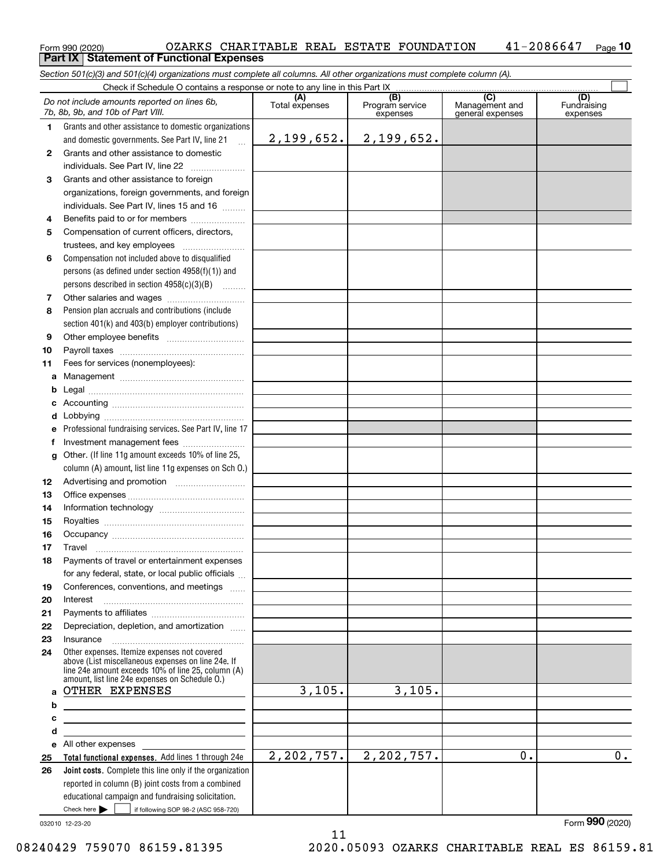#### $_{\rm Form}$ 990 (2020) OZARKS CHARITABLE REAL ESTATE FOUNDATION  $\,$   $\,$  41–2086647  $\,$   $_{\rm Page}$ **10 Part IX Statement of Functional Expenses**

*Section 501(c)(3) and 501(c)(4) organizations must complete all columns. All other organizations must complete column (A).*

|          | Check if Schedule O contains a response or note to any line in this Part IX                                                                                                                                |                       |                                    |                                           |                                |  |  |  |
|----------|------------------------------------------------------------------------------------------------------------------------------------------------------------------------------------------------------------|-----------------------|------------------------------------|-------------------------------------------|--------------------------------|--|--|--|
|          | Do not include amounts reported on lines 6b,<br>7b, 8b, 9b, and 10b of Part VIII.                                                                                                                          | (A)<br>Total expenses | (B)<br>Program service<br>expenses | (C)<br>Management and<br>general expenses | (D)<br>Fundraising<br>expenses |  |  |  |
| 1        | Grants and other assistance to domestic organizations                                                                                                                                                      |                       |                                    |                                           |                                |  |  |  |
|          | and domestic governments. See Part IV, line 21<br>$\ddotsc$                                                                                                                                                | 2,199,652.            | 2,199,652.                         |                                           |                                |  |  |  |
| 2        | Grants and other assistance to domestic                                                                                                                                                                    |                       |                                    |                                           |                                |  |  |  |
|          | individuals. See Part IV, line 22                                                                                                                                                                          |                       |                                    |                                           |                                |  |  |  |
| 3        | Grants and other assistance to foreign                                                                                                                                                                     |                       |                                    |                                           |                                |  |  |  |
|          | organizations, foreign governments, and foreign                                                                                                                                                            |                       |                                    |                                           |                                |  |  |  |
|          | individuals. See Part IV, lines 15 and 16                                                                                                                                                                  |                       |                                    |                                           |                                |  |  |  |
| 4        | Benefits paid to or for members                                                                                                                                                                            |                       |                                    |                                           |                                |  |  |  |
| 5        | Compensation of current officers, directors,                                                                                                                                                               |                       |                                    |                                           |                                |  |  |  |
|          | trustees, and key employees                                                                                                                                                                                |                       |                                    |                                           |                                |  |  |  |
| 6        | Compensation not included above to disqualified                                                                                                                                                            |                       |                                    |                                           |                                |  |  |  |
|          | persons (as defined under section $4958(f)(1)$ ) and                                                                                                                                                       |                       |                                    |                                           |                                |  |  |  |
|          | persons described in section 4958(c)(3)(B)                                                                                                                                                                 |                       |                                    |                                           |                                |  |  |  |
| 7        | Other salaries and wages                                                                                                                                                                                   |                       |                                    |                                           |                                |  |  |  |
| 8        | Pension plan accruals and contributions (include                                                                                                                                                           |                       |                                    |                                           |                                |  |  |  |
|          | section 401(k) and 403(b) employer contributions)                                                                                                                                                          |                       |                                    |                                           |                                |  |  |  |
| 9        |                                                                                                                                                                                                            |                       |                                    |                                           |                                |  |  |  |
| 10       |                                                                                                                                                                                                            |                       |                                    |                                           |                                |  |  |  |
| 11       | Fees for services (nonemployees):                                                                                                                                                                          |                       |                                    |                                           |                                |  |  |  |
| а        |                                                                                                                                                                                                            |                       |                                    |                                           |                                |  |  |  |
| b        |                                                                                                                                                                                                            |                       |                                    |                                           |                                |  |  |  |
|          |                                                                                                                                                                                                            |                       |                                    |                                           |                                |  |  |  |
|          |                                                                                                                                                                                                            |                       |                                    |                                           |                                |  |  |  |
| е        | Professional fundraising services. See Part IV, line 17                                                                                                                                                    |                       |                                    |                                           |                                |  |  |  |
|          | Investment management fees                                                                                                                                                                                 |                       |                                    |                                           |                                |  |  |  |
| a        | Other. (If line 11g amount exceeds 10% of line 25,                                                                                                                                                         |                       |                                    |                                           |                                |  |  |  |
|          | column (A) amount, list line 11g expenses on Sch 0.)                                                                                                                                                       |                       |                                    |                                           |                                |  |  |  |
| 12       |                                                                                                                                                                                                            |                       |                                    |                                           |                                |  |  |  |
| 13<br>14 |                                                                                                                                                                                                            |                       |                                    |                                           |                                |  |  |  |
| 15       |                                                                                                                                                                                                            |                       |                                    |                                           |                                |  |  |  |
| 16       |                                                                                                                                                                                                            |                       |                                    |                                           |                                |  |  |  |
| 17       | Travel                                                                                                                                                                                                     |                       |                                    |                                           |                                |  |  |  |
| 18       | Payments of travel or entertainment expenses                                                                                                                                                               |                       |                                    |                                           |                                |  |  |  |
|          | for any federal, state, or local public officials                                                                                                                                                          |                       |                                    |                                           |                                |  |  |  |
| 19       | Conferences, conventions, and meetings                                                                                                                                                                     |                       |                                    |                                           |                                |  |  |  |
| 20       | Interest                                                                                                                                                                                                   |                       |                                    |                                           |                                |  |  |  |
| 21       |                                                                                                                                                                                                            |                       |                                    |                                           |                                |  |  |  |
| 22       | Depreciation, depletion, and amortization                                                                                                                                                                  |                       |                                    |                                           |                                |  |  |  |
| 23       | Insurance                                                                                                                                                                                                  |                       |                                    |                                           |                                |  |  |  |
| 24       | Other expenses. Itemize expenses not covered<br>above (List miscellaneous expenses on line 24e. If<br>line 24e amount exceeds 10% of line 25, column (A)<br>amount, list line 24e expenses on Schedule O.) |                       |                                    |                                           |                                |  |  |  |
| a        | OTHER EXPENSES                                                                                                                                                                                             | 3,105.                | 3,105.                             |                                           |                                |  |  |  |
| b        |                                                                                                                                                                                                            |                       |                                    |                                           |                                |  |  |  |
| c        |                                                                                                                                                                                                            |                       |                                    |                                           |                                |  |  |  |
| d        |                                                                                                                                                                                                            |                       |                                    |                                           |                                |  |  |  |
| е        | All other expenses                                                                                                                                                                                         |                       |                                    |                                           |                                |  |  |  |
| 25       | Total functional expenses. Add lines 1 through 24e                                                                                                                                                         | 2,202,757.            | 2,202,757.                         | 0.                                        | 0.                             |  |  |  |
| 26       | Joint costs. Complete this line only if the organization                                                                                                                                                   |                       |                                    |                                           |                                |  |  |  |
|          | reported in column (B) joint costs from a combined                                                                                                                                                         |                       |                                    |                                           |                                |  |  |  |
|          | educational campaign and fundraising solicitation.<br>Check here $\blacktriangleright$                                                                                                                     |                       |                                    |                                           |                                |  |  |  |
|          | if following SOP 98-2 (ASC 958-720)                                                                                                                                                                        |                       |                                    |                                           |                                |  |  |  |

11

032010 12-23-20

Form (2020) **990**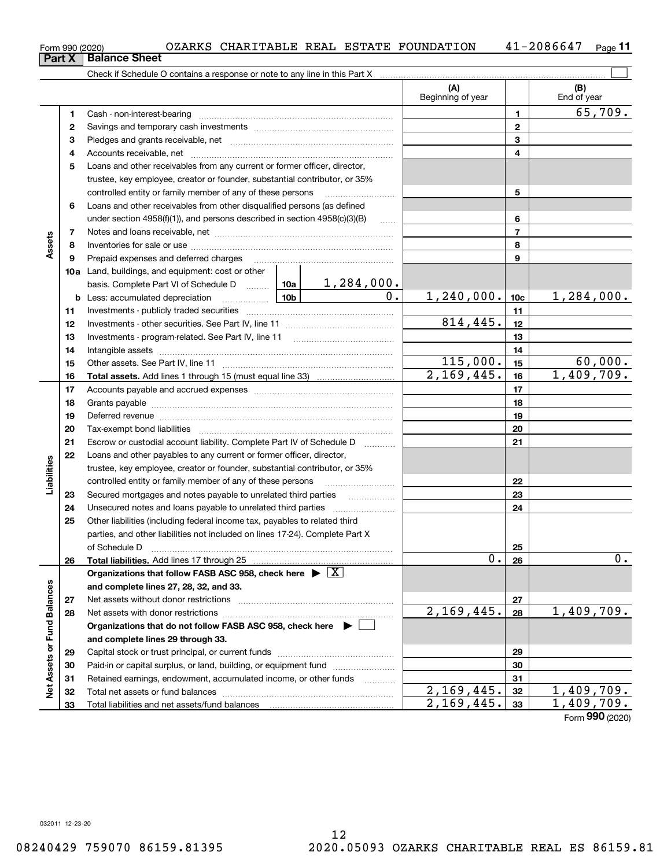| Form 990 (2020) |                               |  |  | OZARKS CHARITABLE REAL ESTATE FOUNDATION | 41-2086647 | Page |
|-----------------|-------------------------------|--|--|------------------------------------------|------------|------|
|                 | <b>Part X   Balance Sheet</b> |  |  |                                          |            |      |

|                             |    |                                                                                                                                                                                                                                |                  | (A)<br>Beginning of year |                 | (B)<br>End of year |
|-----------------------------|----|--------------------------------------------------------------------------------------------------------------------------------------------------------------------------------------------------------------------------------|------------------|--------------------------|-----------------|--------------------|
|                             | 1  |                                                                                                                                                                                                                                |                  |                          | 1               | 65,709.            |
|                             | 2  |                                                                                                                                                                                                                                |                  | $\mathbf{2}$             |                 |                    |
|                             | 3  |                                                                                                                                                                                                                                |                  |                          | 3               |                    |
|                             | 4  |                                                                                                                                                                                                                                |                  |                          | 4               |                    |
|                             | 5  | Loans and other receivables from any current or former officer, director,                                                                                                                                                      |                  |                          |                 |                    |
|                             |    | trustee, key employee, creator or founder, substantial contributor, or 35%                                                                                                                                                     |                  |                          |                 |                    |
|                             |    | controlled entity or family member of any of these persons                                                                                                                                                                     |                  | 5                        |                 |                    |
|                             | 6  | Loans and other receivables from other disqualified persons (as defined                                                                                                                                                        |                  |                          |                 |                    |
|                             |    | under section $4958(f)(1)$ , and persons described in section $4958(c)(3)(B)$                                                                                                                                                  |                  |                          | 6               |                    |
|                             | 7  |                                                                                                                                                                                                                                |                  |                          | $\overline{7}$  |                    |
| Assets                      | 8  |                                                                                                                                                                                                                                |                  |                          | 8               |                    |
|                             | 9  |                                                                                                                                                                                                                                |                  |                          | 9               |                    |
|                             |    | <b>10a</b> Land, buildings, and equipment: cost or other                                                                                                                                                                       |                  |                          |                 |                    |
|                             |    | basis. Complete Part VI of Schedule D    10a   1, 284, 000.                                                                                                                                                                    |                  |                          |                 |                    |
|                             |    |                                                                                                                                                                                                                                | $\overline{0}$ . | 1, 240, 000.             | 10 <sub>c</sub> | 1,284,000.         |
|                             | 11 |                                                                                                                                                                                                                                |                  |                          | 11              |                    |
|                             | 12 |                                                                                                                                                                                                                                |                  | 814,445.                 | 12              |                    |
|                             | 13 |                                                                                                                                                                                                                                |                  |                          | 13              |                    |
|                             | 14 |                                                                                                                                                                                                                                |                  |                          | 14              |                    |
|                             | 15 |                                                                                                                                                                                                                                | 115,000.         | 15                       | 60,000.         |                    |
|                             | 16 |                                                                                                                                                                                                                                |                  | $\overline{2,169,445}$ . | 16              | 1,409,709.         |
|                             | 17 |                                                                                                                                                                                                                                |                  | 17                       |                 |                    |
|                             | 18 |                                                                                                                                                                                                                                |                  |                          | 18              |                    |
|                             | 19 | Deferred revenue manual contracts and contracts are all the contracts and contracts are contracted and contracts are contracted and contract are contracted and contract are contracted and contract are contracted and contra |                  |                          | 19              |                    |
|                             | 20 |                                                                                                                                                                                                                                |                  |                          | 20              |                    |
|                             | 21 | Escrow or custodial account liability. Complete Part IV of Schedule D                                                                                                                                                          |                  |                          | 21              |                    |
|                             | 22 | Loans and other payables to any current or former officer, director,                                                                                                                                                           |                  |                          |                 |                    |
| Liabilities                 |    | trustee, key employee, creator or founder, substantial contributor, or 35%                                                                                                                                                     |                  |                          |                 |                    |
|                             |    | controlled entity or family member of any of these persons                                                                                                                                                                     |                  |                          | 22              |                    |
|                             | 23 | Secured mortgages and notes payable to unrelated third parties                                                                                                                                                                 |                  |                          | 23              |                    |
|                             | 24 |                                                                                                                                                                                                                                |                  |                          | 24              |                    |
|                             | 25 | Other liabilities (including federal income tax, payables to related third                                                                                                                                                     |                  |                          |                 |                    |
|                             |    | parties, and other liabilities not included on lines 17-24). Complete Part X                                                                                                                                                   |                  |                          |                 |                    |
|                             |    | of Schedule D                                                                                                                                                                                                                  |                  |                          | 25              |                    |
|                             | 26 | Total liabilities. Add lines 17 through 25                                                                                                                                                                                     |                  | $0$ .                    | 26              | $0$ .              |
|                             |    | Organizations that follow FASB ASC 958, check here $\blacktriangleright \lfloor X \rfloor$                                                                                                                                     |                  |                          |                 |                    |
|                             |    | and complete lines 27, 28, 32, and 33.                                                                                                                                                                                         |                  |                          |                 |                    |
|                             | 27 | Net assets without donor restrictions                                                                                                                                                                                          |                  |                          | 27              |                    |
|                             | 28 |                                                                                                                                                                                                                                |                  | 2,169,445.               | 28              | 1,409,709.         |
|                             |    | Organizations that do not follow FASB ASC 958, check here $\blacktriangleright$                                                                                                                                                |                  |                          |                 |                    |
|                             |    | and complete lines 29 through 33.                                                                                                                                                                                              |                  |                          |                 |                    |
|                             | 29 |                                                                                                                                                                                                                                |                  |                          | 29              |                    |
|                             | 30 | Paid-in or capital surplus, or land, building, or equipment fund                                                                                                                                                               |                  |                          | 30              |                    |
| Net Assets or Fund Balances | 31 | Retained earnings, endowment, accumulated income, or other funds                                                                                                                                                               | .                |                          | 31              |                    |
|                             | 32 |                                                                                                                                                                                                                                |                  | 2,169,445.               | 32              | 1,409,709.         |
|                             | 33 |                                                                                                                                                                                                                                |                  | 2,169,445.               | 33              | 1,409,709.         |

Form (2020) **990**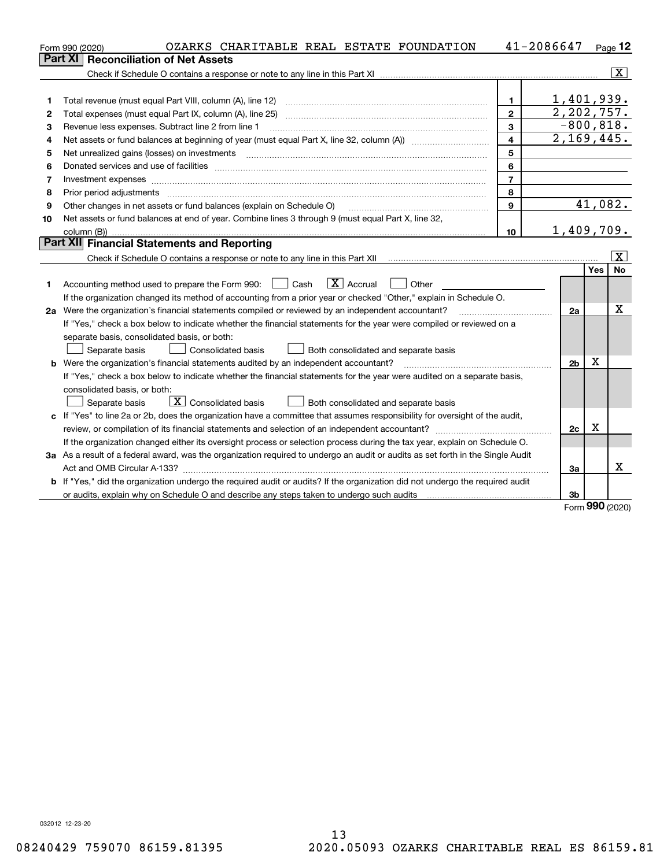|    | OZARKS CHARITABLE REAL ESTATE FOUNDATION<br>Form 990 (2020)                                                                                                                                                                    |                                       | 41-2086647                 |             | $Page$ 12               |
|----|--------------------------------------------------------------------------------------------------------------------------------------------------------------------------------------------------------------------------------|---------------------------------------|----------------------------|-------------|-------------------------|
|    | <b>Reconciliation of Net Assets</b><br>Part XI                                                                                                                                                                                 |                                       |                            |             |                         |
|    |                                                                                                                                                                                                                                |                                       |                            |             | - X                     |
|    |                                                                                                                                                                                                                                |                                       |                            |             |                         |
| 1  | Total revenue (must equal Part VIII, column (A), line 12)                                                                                                                                                                      | 1.                                    | 1,401,939.                 |             |                         |
| 2  | Total expenses (must equal Part IX, column (A), line 25)                                                                                                                                                                       | $\mathbf{2}$                          | $\overline{2}$ , 202, 757. |             |                         |
| з  | Revenue less expenses. Subtract line 2 from line 1                                                                                                                                                                             | 3                                     | $-800, 818.$               |             |                         |
| 4  |                                                                                                                                                                                                                                | $\overline{4}$                        | 2,169,445.                 |             |                         |
| 5  | Net unrealized gains (losses) on investments                                                                                                                                                                                   | 5                                     |                            |             |                         |
| 6  |                                                                                                                                                                                                                                | 6                                     |                            |             |                         |
| 7  | Investment expenses with an annual contract expenses and contract expenses and contract expenses and contract expenses and contract expenses and contract expenses and contract expenses and contract expenses and contract ex | $\overline{7}$                        |                            |             |                         |
| 8  | Prior period adjustments                                                                                                                                                                                                       | 8                                     |                            |             |                         |
| 9  | Other changes in net assets or fund balances (explain on Schedule O)                                                                                                                                                           | 9                                     |                            | 41,082.     |                         |
| 10 | Net assets or fund balances at end of year. Combine lines 3 through 9 (must equal Part X, line 32,                                                                                                                             |                                       |                            |             |                         |
|    | column (B))                                                                                                                                                                                                                    | 10 <sup>10</sup>                      | 1,409,709.                 |             |                         |
|    | Part XII Financial Statements and Reporting                                                                                                                                                                                    |                                       |                            |             |                         |
|    |                                                                                                                                                                                                                                |                                       |                            |             | $\overline{\mathbf{X}}$ |
|    |                                                                                                                                                                                                                                |                                       |                            | Yes         | <b>No</b>               |
| 1  | $\boxed{\text{X}}$ Accrual<br>Accounting method used to prepare the Form 990: <u>I</u> Cash<br>Other                                                                                                                           |                                       |                            |             |                         |
|    | If the organization changed its method of accounting from a prior year or checked "Other," explain in Schedule O.                                                                                                              |                                       |                            |             |                         |
|    | 2a Were the organization's financial statements compiled or reviewed by an independent accountant?                                                                                                                             | <u> 1986 - Jan Barbarat, martin a</u> | 2a                         |             | x                       |
|    | If "Yes," check a box below to indicate whether the financial statements for the year were compiled or reviewed on a                                                                                                           |                                       |                            |             |                         |
|    | separate basis, consolidated basis, or both:                                                                                                                                                                                   |                                       |                            |             |                         |
|    | Separate basis<br>Consolidated basis<br>Both consolidated and separate basis                                                                                                                                                   |                                       |                            |             |                         |
|    | <b>b</b> Were the organization's financial statements audited by an independent accountant?                                                                                                                                    |                                       | 2 <sub>b</sub>             | X           |                         |
|    | If "Yes," check a box below to indicate whether the financial statements for the year were audited on a separate basis,                                                                                                        |                                       |                            |             |                         |
|    | consolidated basis, or both:                                                                                                                                                                                                   |                                       |                            |             |                         |
|    | $\boxed{\textbf{X}}$ Consolidated basis<br>Both consolidated and separate basis<br>Separate basis                                                                                                                              |                                       |                            |             |                         |
|    | c If "Yes" to line 2a or 2b, does the organization have a committee that assumes responsibility for oversight of the audit,                                                                                                    |                                       |                            |             |                         |
|    |                                                                                                                                                                                                                                |                                       | 2c                         | $\mathbf X$ |                         |
|    | If the organization changed either its oversight process or selection process during the tax year, explain on Schedule O.                                                                                                      |                                       |                            |             |                         |
|    | 3a As a result of a federal award, was the organization required to undergo an audit or audits as set forth in the Single Audit                                                                                                |                                       |                            |             |                         |
|    |                                                                                                                                                                                                                                |                                       | За                         |             | x                       |
|    | b If "Yes," did the organization undergo the required audit or audits? If the organization did not undergo the required audit                                                                                                  |                                       |                            |             |                         |
|    |                                                                                                                                                                                                                                |                                       | 3 <sub>b</sub>             | nnn –       |                         |

Form (2020) **990**

032012 12-23-20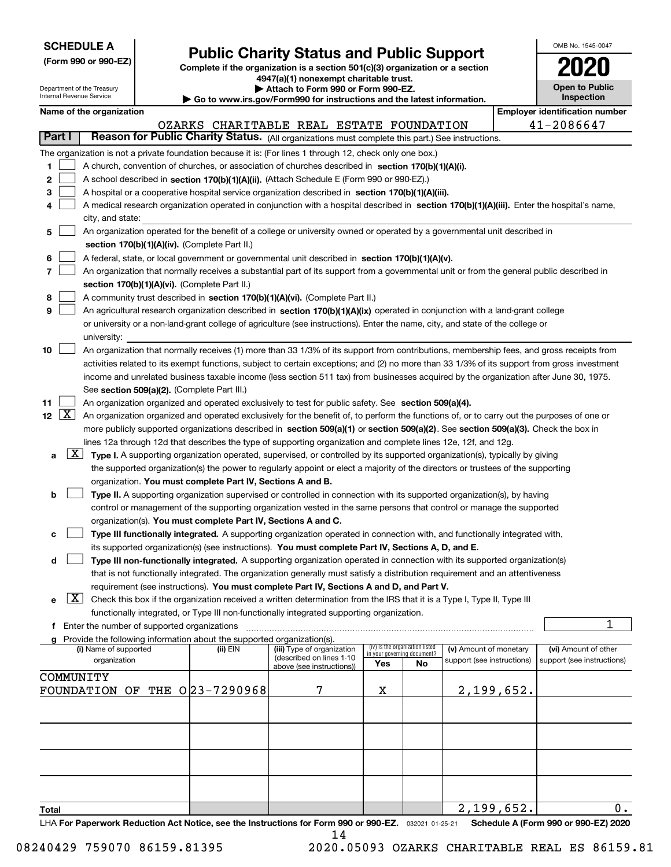| <b>SCHEDULE A</b> |
|-------------------|
|-------------------|

Department of the Treasury Internal Revenue Service

**(Form 990 or 990-EZ)**

## **Public Charity Status and Public Support**

**Complete if the organization is a section 501(c)(3) organization or a section 4947(a)(1) nonexempt charitable trust. | Attach to Form 990 or Form 990-EZ.** 

| o www.irs.gov/Form990 for instructions and the latest information. |  |  |
|--------------------------------------------------------------------|--|--|

| OMB No. 1545-0047                   |
|-------------------------------------|
| 2020                                |
| <b>Open to Public</b><br>Inspection |

|  | Name of the organization |
|--|--------------------------|
|--|--------------------------|

| Internal Revenue Service<br>Go to www.irs.gov/Form990 for instructions and the latest information.                                                          |                                                        |                                               |  |                                               |                                                                                                                                                                                                                                                                                  | Inspection |                      |  |            |                                       |
|-------------------------------------------------------------------------------------------------------------------------------------------------------------|--------------------------------------------------------|-----------------------------------------------|--|-----------------------------------------------|----------------------------------------------------------------------------------------------------------------------------------------------------------------------------------------------------------------------------------------------------------------------------------|------------|----------------------|--|------------|---------------------------------------|
| Name of the organization                                                                                                                                    |                                                        |                                               |  |                                               |                                                                                                                                                                                                                                                                                  |            |                      |  |            | <b>Employer identification number</b> |
|                                                                                                                                                             | 41-2086647<br>OZARKS CHARITABLE REAL ESTATE FOUNDATION |                                               |  |                                               |                                                                                                                                                                                                                                                                                  |            |                      |  |            |                                       |
| Part I                                                                                                                                                      |                                                        |                                               |  |                                               | Reason for Public Charity Status. (All organizations must complete this part.) See instructions.                                                                                                                                                                                 |            |                      |  |            |                                       |
|                                                                                                                                                             |                                                        |                                               |  |                                               | The organization is not a private foundation because it is: (For lines 1 through 12, check only one box.)                                                                                                                                                                        |            |                      |  |            |                                       |
| 1.                                                                                                                                                          |                                                        |                                               |  |                                               | A church, convention of churches, or association of churches described in section 170(b)(1)(A)(i).                                                                                                                                                                               |            |                      |  |            |                                       |
| 2                                                                                                                                                           |                                                        |                                               |  |                                               | A school described in section 170(b)(1)(A)(ii). (Attach Schedule E (Form 990 or 990-EZ).)                                                                                                                                                                                        |            |                      |  |            |                                       |
| 3.                                                                                                                                                          |                                                        |                                               |  |                                               | A hospital or a cooperative hospital service organization described in section 170(b)(1)(A)(iii).                                                                                                                                                                                |            |                      |  |            |                                       |
| 4                                                                                                                                                           |                                                        |                                               |  |                                               | A medical research organization operated in conjunction with a hospital described in section 170(b)(1)(A)(iii). Enter the hospital's name,                                                                                                                                       |            |                      |  |            |                                       |
|                                                                                                                                                             | city, and state:                                       |                                               |  |                                               |                                                                                                                                                                                                                                                                                  |            |                      |  |            |                                       |
| 5                                                                                                                                                           |                                                        |                                               |  |                                               | An organization operated for the benefit of a college or university owned or operated by a governmental unit described in                                                                                                                                                        |            |                      |  |            |                                       |
|                                                                                                                                                             |                                                        |                                               |  | section 170(b)(1)(A)(iv). (Complete Part II.) |                                                                                                                                                                                                                                                                                  |            |                      |  |            |                                       |
| 6                                                                                                                                                           |                                                        |                                               |  |                                               | A federal, state, or local government or governmental unit described in section 170(b)(1)(A)(v).                                                                                                                                                                                 |            |                      |  |            |                                       |
| 7                                                                                                                                                           |                                                        |                                               |  |                                               | An organization that normally receives a substantial part of its support from a governmental unit or from the general public described in                                                                                                                                        |            |                      |  |            |                                       |
|                                                                                                                                                             |                                                        | section 170(b)(1)(A)(vi). (Complete Part II.) |  |                                               |                                                                                                                                                                                                                                                                                  |            |                      |  |            |                                       |
| 8                                                                                                                                                           |                                                        |                                               |  |                                               | A community trust described in section 170(b)(1)(A)(vi). (Complete Part II.)                                                                                                                                                                                                     |            |                      |  |            |                                       |
| 9                                                                                                                                                           |                                                        |                                               |  |                                               | An agricultural research organization described in section 170(b)(1)(A)(ix) operated in conjunction with a land-grant college                                                                                                                                                    |            |                      |  |            |                                       |
|                                                                                                                                                             |                                                        |                                               |  |                                               | or university or a non-land-grant college of agriculture (see instructions). Enter the name, city, and state of the college or                                                                                                                                                   |            |                      |  |            |                                       |
|                                                                                                                                                             | university:                                            |                                               |  |                                               |                                                                                                                                                                                                                                                                                  |            |                      |  |            |                                       |
| 10                                                                                                                                                          |                                                        |                                               |  |                                               | An organization that normally receives (1) more than 33 1/3% of its support from contributions, membership fees, and gross receipts from                                                                                                                                         |            |                      |  |            |                                       |
|                                                                                                                                                             |                                                        |                                               |  |                                               | activities related to its exempt functions, subject to certain exceptions; and (2) no more than 33 1/3% of its support from gross investment                                                                                                                                     |            |                      |  |            |                                       |
|                                                                                                                                                             |                                                        |                                               |  |                                               | income and unrelated business taxable income (less section 511 tax) from businesses acquired by the organization after June 30, 1975.                                                                                                                                            |            |                      |  |            |                                       |
|                                                                                                                                                             |                                                        | See section 509(a)(2). (Complete Part III.)   |  |                                               |                                                                                                                                                                                                                                                                                  |            |                      |  |            |                                       |
| 11<br>$12 \quad X$                                                                                                                                          |                                                        |                                               |  |                                               | An organization organized and operated exclusively to test for public safety. See section 509(a)(4).                                                                                                                                                                             |            |                      |  |            |                                       |
|                                                                                                                                                             |                                                        |                                               |  |                                               | An organization organized and operated exclusively for the benefit of, to perform the functions of, or to carry out the purposes of one or<br>more publicly supported organizations described in section 509(a)(1) or section 509(a)(2). See section 509(a)(3). Check the box in |            |                      |  |            |                                       |
|                                                                                                                                                             |                                                        |                                               |  |                                               | lines 12a through 12d that describes the type of supporting organization and complete lines 12e, 12f, and 12g.                                                                                                                                                                   |            |                      |  |            |                                       |
| $\lfloor x \rfloor$<br>a                                                                                                                                    |                                                        |                                               |  |                                               | Type I. A supporting organization operated, supervised, or controlled by its supported organization(s), typically by giving                                                                                                                                                      |            |                      |  |            |                                       |
|                                                                                                                                                             |                                                        |                                               |  |                                               | the supported organization(s) the power to regularly appoint or elect a majority of the directors or trustees of the supporting                                                                                                                                                  |            |                      |  |            |                                       |
|                                                                                                                                                             |                                                        |                                               |  |                                               | organization. You must complete Part IV, Sections A and B.                                                                                                                                                                                                                       |            |                      |  |            |                                       |
| b                                                                                                                                                           |                                                        |                                               |  |                                               | Type II. A supporting organization supervised or controlled in connection with its supported organization(s), by having                                                                                                                                                          |            |                      |  |            |                                       |
|                                                                                                                                                             |                                                        |                                               |  |                                               | control or management of the supporting organization vested in the same persons that control or manage the supported                                                                                                                                                             |            |                      |  |            |                                       |
|                                                                                                                                                             |                                                        |                                               |  |                                               | organization(s). You must complete Part IV, Sections A and C.                                                                                                                                                                                                                    |            |                      |  |            |                                       |
|                                                                                                                                                             |                                                        |                                               |  |                                               | Type III functionally integrated. A supporting organization operated in connection with, and functionally integrated with,                                                                                                                                                       |            |                      |  |            |                                       |
|                                                                                                                                                             |                                                        |                                               |  |                                               | its supported organization(s) (see instructions). You must complete Part IV, Sections A, D, and E.                                                                                                                                                                               |            |                      |  |            |                                       |
| d                                                                                                                                                           |                                                        |                                               |  |                                               | Type III non-functionally integrated. A supporting organization operated in connection with its supported organization(s)                                                                                                                                                        |            |                      |  |            |                                       |
|                                                                                                                                                             |                                                        |                                               |  |                                               | that is not functionally integrated. The organization generally must satisfy a distribution requirement and an attentiveness                                                                                                                                                     |            |                      |  |            |                                       |
|                                                                                                                                                             |                                                        |                                               |  |                                               | requirement (see instructions). You must complete Part IV, Sections A and D, and Part V.                                                                                                                                                                                         |            |                      |  |            |                                       |
| X  <br>е                                                                                                                                                    |                                                        |                                               |  |                                               | Check this box if the organization received a written determination from the IRS that it is a Type I, Type II, Type III                                                                                                                                                          |            |                      |  |            |                                       |
|                                                                                                                                                             |                                                        |                                               |  |                                               | functionally integrated, or Type III non-functionally integrated supporting organization.                                                                                                                                                                                        |            |                      |  |            |                                       |
|                                                                                                                                                             |                                                        | f Enter the number of supported organizations |  |                                               |                                                                                                                                                                                                                                                                                  |            |                      |  |            | 1                                     |
|                                                                                                                                                             |                                                        |                                               |  |                                               | g Provide the following information about the supported organization(s).                                                                                                                                                                                                         |            |                      |  |            |                                       |
| (iv) Is the organization listed<br>(i) Name of supported<br>(ii) EIN<br>(iii) Type of organization<br>(v) Amount of monetary<br>in your governing document? |                                                        |                                               |  |                                               |                                                                                                                                                                                                                                                                                  |            | (vi) Amount of other |  |            |                                       |
| (described on lines 1-10<br>organization<br>support (see instructions)<br>support (see instructions)<br>Yes<br>No<br>above (see instructions))              |                                                        |                                               |  |                                               |                                                                                                                                                                                                                                                                                  |            |                      |  |            |                                       |
| COMMUNITY                                                                                                                                                   |                                                        |                                               |  |                                               |                                                                                                                                                                                                                                                                                  |            |                      |  |            |                                       |
|                                                                                                                                                             | FOUNDATION                                             | OF                                            |  | THE 023-7290968                               | 7                                                                                                                                                                                                                                                                                | х          |                      |  | 2,199,652. |                                       |
|                                                                                                                                                             |                                                        |                                               |  |                                               |                                                                                                                                                                                                                                                                                  |            |                      |  |            |                                       |
|                                                                                                                                                             |                                                        |                                               |  |                                               |                                                                                                                                                                                                                                                                                  |            |                      |  |            |                                       |
|                                                                                                                                                             |                                                        |                                               |  |                                               |                                                                                                                                                                                                                                                                                  |            |                      |  |            |                                       |
|                                                                                                                                                             |                                                        |                                               |  |                                               |                                                                                                                                                                                                                                                                                  |            |                      |  |            |                                       |

08240429 759070 86159.81395 2020.05093 OZARKS CHARITABLE REAL ES 86159.81

2,199,652.

0.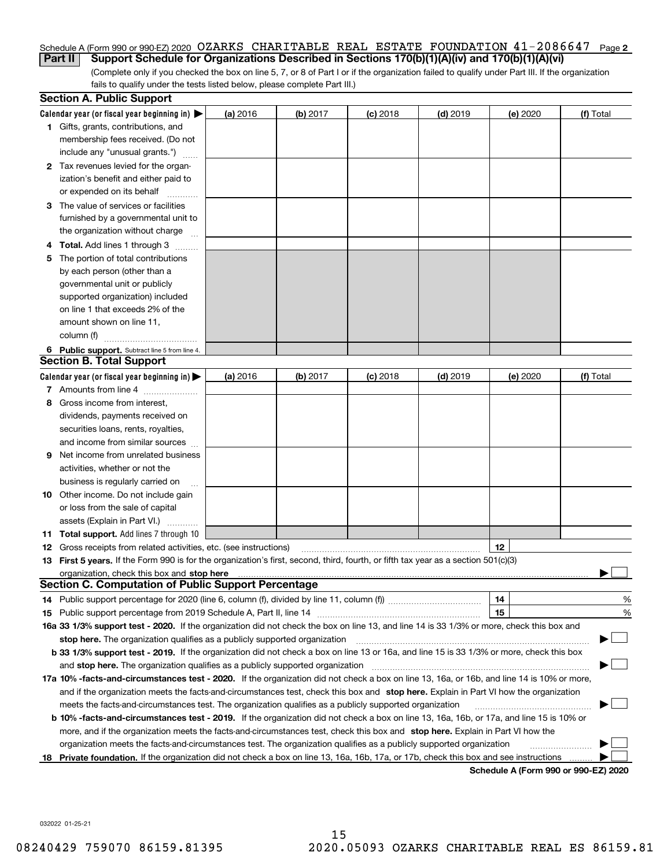#### Schedule A (Form 990 or 990-EZ) 2020 OZARKS CHARITABLE REAL ESTATE FOUNDATION 41-2086647 Page **2 Part II** Support Schedule for Organizations Described in Sections 170(b)(1)(A)(iv) and 170(b)(1)(A)(vi)

(Complete only if you checked the box on line 5, 7, or 8 of Part I or if the organization failed to qualify under Part III. If the organization fails to qualify under the tests listed below, please complete Part III.)

|    | <b>Section A. Public Support</b>                                                                                                               |          |            |            |            |          |                                      |
|----|------------------------------------------------------------------------------------------------------------------------------------------------|----------|------------|------------|------------|----------|--------------------------------------|
|    | Calendar year (or fiscal year beginning in) $\blacktriangleright$                                                                              | (a) 2016 | $(b)$ 2017 | $(c)$ 2018 | $(d)$ 2019 | (e) 2020 | (f) Total                            |
|    | 1 Gifts, grants, contributions, and                                                                                                            |          |            |            |            |          |                                      |
|    | membership fees received. (Do not                                                                                                              |          |            |            |            |          |                                      |
|    | include any "unusual grants.")                                                                                                                 |          |            |            |            |          |                                      |
|    | 2 Tax revenues levied for the organ-                                                                                                           |          |            |            |            |          |                                      |
|    | ization's benefit and either paid to                                                                                                           |          |            |            |            |          |                                      |
|    | or expended on its behalf                                                                                                                      |          |            |            |            |          |                                      |
|    | 3 The value of services or facilities                                                                                                          |          |            |            |            |          |                                      |
|    | furnished by a governmental unit to                                                                                                            |          |            |            |            |          |                                      |
|    | the organization without charge                                                                                                                |          |            |            |            |          |                                      |
|    | 4 Total. Add lines 1 through 3                                                                                                                 |          |            |            |            |          |                                      |
| 5  | The portion of total contributions                                                                                                             |          |            |            |            |          |                                      |
|    | by each person (other than a                                                                                                                   |          |            |            |            |          |                                      |
|    | governmental unit or publicly                                                                                                                  |          |            |            |            |          |                                      |
|    | supported organization) included                                                                                                               |          |            |            |            |          |                                      |
|    | on line 1 that exceeds 2% of the                                                                                                               |          |            |            |            |          |                                      |
|    | amount shown on line 11,                                                                                                                       |          |            |            |            |          |                                      |
|    | column (f)                                                                                                                                     |          |            |            |            |          |                                      |
|    | 6 Public support. Subtract line 5 from line 4.                                                                                                 |          |            |            |            |          |                                      |
|    | <b>Section B. Total Support</b>                                                                                                                |          |            |            |            |          |                                      |
|    | Calendar year (or fiscal year beginning in) $\blacktriangleright$                                                                              | (a) 2016 | (b) 2017   | $(c)$ 2018 | $(d)$ 2019 | (e) 2020 | (f) Total                            |
|    | 7 Amounts from line 4                                                                                                                          |          |            |            |            |          |                                      |
| 8  | Gross income from interest,                                                                                                                    |          |            |            |            |          |                                      |
|    | dividends, payments received on                                                                                                                |          |            |            |            |          |                                      |
|    | securities loans, rents, royalties,                                                                                                            |          |            |            |            |          |                                      |
|    | and income from similar sources                                                                                                                |          |            |            |            |          |                                      |
|    | <b>9</b> Net income from unrelated business                                                                                                    |          |            |            |            |          |                                      |
|    | activities, whether or not the                                                                                                                 |          |            |            |            |          |                                      |
|    | business is regularly carried on                                                                                                               |          |            |            |            |          |                                      |
|    | <b>10</b> Other income. Do not include gain                                                                                                    |          |            |            |            |          |                                      |
|    | or loss from the sale of capital                                                                                                               |          |            |            |            |          |                                      |
|    | assets (Explain in Part VI.)                                                                                                                   |          |            |            |            |          |                                      |
|    | <b>11 Total support.</b> Add lines 7 through 10                                                                                                |          |            |            |            |          |                                      |
|    | <b>12</b> Gross receipts from related activities, etc. (see instructions)                                                                      |          |            |            |            | 12       |                                      |
|    | 13 First 5 years. If the Form 990 is for the organization's first, second, third, fourth, or fifth tax year as a section 501(c)(3)             |          |            |            |            |          |                                      |
|    |                                                                                                                                                |          |            |            |            |          |                                      |
|    | <b>Section C. Computation of Public Support Percentage</b>                                                                                     |          |            |            |            |          |                                      |
|    | 14 Public support percentage for 2020 (line 6, column (f), divided by line 11, column (f) <i>mummumumum</i>                                    |          |            |            |            | 14       | %                                    |
|    |                                                                                                                                                |          |            |            |            | 15       | %                                    |
|    | 16a 33 1/3% support test - 2020. If the organization did not check the box on line 13, and line 14 is 33 1/3% or more, check this box and      |          |            |            |            |          |                                      |
|    | stop here. The organization qualifies as a publicly supported organization                                                                     |          |            |            |            |          | ▔▁▏                                  |
|    | b 33 1/3% support test - 2019. If the organization did not check a box on line 13 or 16a, and line 15 is 33 1/3% or more, check this box       |          |            |            |            |          |                                      |
|    | and stop here. The organization qualifies as a publicly supported organization                                                                 |          |            |            |            |          |                                      |
|    | 17a 10% -facts-and-circumstances test - 2020. If the organization did not check a box on line 13, 16a, or 16b, and line 14 is 10% or more,     |          |            |            |            |          |                                      |
|    | and if the organization meets the facts-and-circumstances test, check this box and stop here. Explain in Part VI how the organization          |          |            |            |            |          |                                      |
|    | meets the facts-and-circumstances test. The organization qualifies as a publicly supported organization                                        |          |            |            |            |          |                                      |
|    | <b>b 10% -facts-and-circumstances test - 2019.</b> If the organization did not check a box on line 13, 16a, 16b, or 17a, and line 15 is 10% or |          |            |            |            |          |                                      |
|    | more, and if the organization meets the facts-and-circumstances test, check this box and stop here. Explain in Part VI how the                 |          |            |            |            |          |                                      |
|    | organization meets the facts-and-circumstances test. The organization qualifies as a publicly supported organization                           |          |            |            |            |          |                                      |
| 18 | Private foundation. If the organization did not check a box on line 13, 16a, 16b, 17a, or 17b, check this box and see instructions             |          |            |            |            |          |                                      |
|    |                                                                                                                                                |          |            |            |            |          | Schedule A (Form 990 or 990-F7) 2020 |

**Schedule A (Form 990 or 990-EZ) 2020**

032022 01-25-21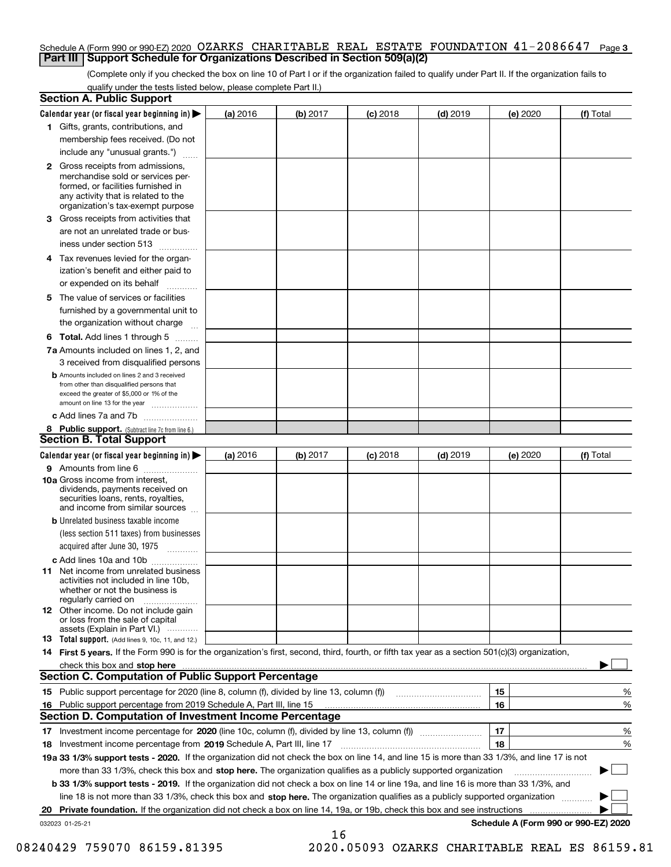#### Schedule A (Form 990 or 990-EZ) 2020 OZARKS CHARITABLE REAL ESTATE FOUNDATION 41-2086647 Page **3 Part III Support Schedule for Organizations Described in Section 509(a)(2)**

(Complete only if you checked the box on line 10 of Part I or if the organization failed to qualify under Part II. If the organization fails to qualify under the tests listed below, please complete Part II.)

| <b>Section A. Public Support</b>                                                                                                                                                                |          |          |            |            |          |                                      |
|-------------------------------------------------------------------------------------------------------------------------------------------------------------------------------------------------|----------|----------|------------|------------|----------|--------------------------------------|
| Calendar year (or fiscal year beginning in)                                                                                                                                                     | (a) 2016 | (b) 2017 | $(c)$ 2018 | $(d)$ 2019 | (e) 2020 | (f) Total                            |
| 1 Gifts, grants, contributions, and                                                                                                                                                             |          |          |            |            |          |                                      |
| membership fees received. (Do not                                                                                                                                                               |          |          |            |            |          |                                      |
| include any "unusual grants.")                                                                                                                                                                  |          |          |            |            |          |                                      |
| <b>2</b> Gross receipts from admissions,<br>merchandise sold or services per-<br>formed, or facilities furnished in<br>any activity that is related to the<br>organization's tax-exempt purpose |          |          |            |            |          |                                      |
| 3 Gross receipts from activities that<br>are not an unrelated trade or bus-                                                                                                                     |          |          |            |            |          |                                      |
| iness under section 513                                                                                                                                                                         |          |          |            |            |          |                                      |
| 4 Tax revenues levied for the organ-<br>ization's benefit and either paid to                                                                                                                    |          |          |            |            |          |                                      |
| or expended on its behalf                                                                                                                                                                       |          |          |            |            |          |                                      |
| 5 The value of services or facilities<br>furnished by a governmental unit to                                                                                                                    |          |          |            |            |          |                                      |
| the organization without charge                                                                                                                                                                 |          |          |            |            |          |                                      |
| <b>6 Total.</b> Add lines 1 through 5                                                                                                                                                           |          |          |            |            |          |                                      |
| 7a Amounts included on lines 1, 2, and<br>3 received from disqualified persons                                                                                                                  |          |          |            |            |          |                                      |
| <b>b</b> Amounts included on lines 2 and 3 received<br>from other than disqualified persons that<br>exceed the greater of \$5,000 or 1% of the<br>amount on line 13 for the year                |          |          |            |            |          |                                      |
| c Add lines 7a and 7b                                                                                                                                                                           |          |          |            |            |          |                                      |
| 8 Public support. (Subtract line 7c from line 6.)<br><b>Section B. Total Support</b>                                                                                                            |          |          |            |            |          |                                      |
| Calendar year (or fiscal year beginning in)                                                                                                                                                     | (a) 2016 | (b) 2017 | $(c)$ 2018 | $(d)$ 2019 | (e) 2020 | (f) Total                            |
| 9 Amounts from line 6                                                                                                                                                                           |          |          |            |            |          |                                      |
| 10a Gross income from interest,<br>dividends, payments received on<br>securities loans, rents, royalties,<br>and income from similar sources                                                    |          |          |            |            |          |                                      |
| <b>b</b> Unrelated business taxable income<br>(less section 511 taxes) from businesses<br>acquired after June 30, 1975                                                                          |          |          |            |            |          |                                      |
| c Add lines 10a and 10b                                                                                                                                                                         |          |          |            |            |          |                                      |
| 11 Net income from unrelated business<br>activities not included in line 10b,<br>whether or not the business is<br>regularly carried on                                                         |          |          |            |            |          |                                      |
| <b>12</b> Other income. Do not include gain<br>or loss from the sale of capital<br>assets (Explain in Part VI.)                                                                                 |          |          |            |            |          |                                      |
| <b>13 Total support.</b> (Add lines 9, 10c, 11, and 12.)                                                                                                                                        |          |          |            |            |          |                                      |
| 14 First 5 years. If the Form 990 is for the organization's first, second, third, fourth, or fifth tax year as a section 501(c)(3) organization,                                                |          |          |            |            |          |                                      |
| check this box and stop here measurements are constructed as the state of the state of the state and stop here                                                                                  |          |          |            |            |          |                                      |
| Section C. Computation of Public Support Percentage                                                                                                                                             |          |          |            |            |          |                                      |
|                                                                                                                                                                                                 |          |          |            |            | 15       | %                                    |
| 16 Public support percentage from 2019 Schedule A, Part III, line 15                                                                                                                            |          |          |            |            | 16       | %                                    |
| <b>Section D. Computation of Investment Income Percentage</b>                                                                                                                                   |          |          |            |            |          |                                      |
| 17 Investment income percentage for 2020 (line 10c, column (f), divided by line 13, column (f))<br>18 Investment income percentage from 2019 Schedule A, Part III, line 17                      |          |          |            |            | 17<br>18 | %<br>%                               |
| 19a 33 1/3% support tests - 2020. If the organization did not check the box on line 14, and line 15 is more than 33 1/3%, and line 17 is not                                                    |          |          |            |            |          |                                      |
| more than 33 1/3%, check this box and stop here. The organization qualifies as a publicly supported organization                                                                                |          |          |            |            |          |                                      |
| <b>b 33 1/3% support tests - 2019.</b> If the organization did not check a box on line 14 or line 19a, and line 16 is more than 33 1/3%, and                                                    |          |          |            |            |          |                                      |
| line 18 is not more than 33 1/3%, check this box and stop here. The organization qualifies as a publicly supported organization                                                                 |          |          |            |            |          |                                      |
| 20 Private foundation. If the organization did not check a box on line 14, 19a, or 19b, check this box and see instructions                                                                     |          |          |            |            |          |                                      |
| 032023 01-25-21                                                                                                                                                                                 |          | 16       |            |            |          | Schedule A (Form 990 or 990-EZ) 2020 |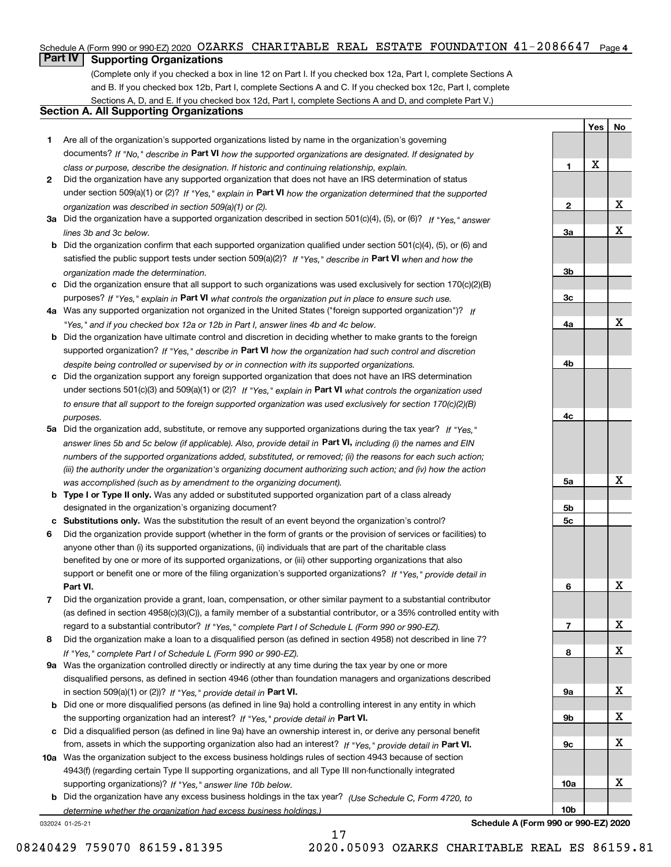Schedule A (Form 990 or 990-EZ) 2020 OZARKS CHARITABLE REAL ESTATE FOUNDATION  $41\text{--}2086647$  Page 4

## **Part IV Supporting Organizations**

(Complete only if you checked a box in line 12 on Part I. If you checked box 12a, Part I, complete Sections A and B. If you checked box 12b, Part I, complete Sections A and C. If you checked box 12c, Part I, complete Sections A, D, and E. If you checked box 12d, Part I, complete Sections A and D, and complete Part V.)

#### **Section A. All Supporting Organizations**

- **1** Are all of the organization's supported organizations listed by name in the organization's governing documents? If "No," describe in **Part VI** how the supported organizations are designated. If designated by *class or purpose, describe the designation. If historic and continuing relationship, explain.*
- **2** Did the organization have any supported organization that does not have an IRS determination of status under section 509(a)(1) or (2)? If "Yes," explain in Part VI how the organization determined that the supported *organization was described in section 509(a)(1) or (2).*
- **3a** Did the organization have a supported organization described in section 501(c)(4), (5), or (6)? If "Yes," answer *lines 3b and 3c below.*
- **b** Did the organization confirm that each supported organization qualified under section 501(c)(4), (5), or (6) and satisfied the public support tests under section 509(a)(2)? If "Yes," describe in **Part VI** when and how the *organization made the determination.*
- **c**Did the organization ensure that all support to such organizations was used exclusively for section 170(c)(2)(B) purposes? If "Yes," explain in **Part VI** what controls the organization put in place to ensure such use.
- **4a***If* Was any supported organization not organized in the United States ("foreign supported organization")? *"Yes," and if you checked box 12a or 12b in Part I, answer lines 4b and 4c below.*
- **b** Did the organization have ultimate control and discretion in deciding whether to make grants to the foreign supported organization? If "Yes," describe in **Part VI** how the organization had such control and discretion *despite being controlled or supervised by or in connection with its supported organizations.*
- **c** Did the organization support any foreign supported organization that does not have an IRS determination under sections 501(c)(3) and 509(a)(1) or (2)? If "Yes," explain in **Part VI** what controls the organization used *to ensure that all support to the foreign supported organization was used exclusively for section 170(c)(2)(B) purposes.*
- **5a** Did the organization add, substitute, or remove any supported organizations during the tax year? If "Yes," answer lines 5b and 5c below (if applicable). Also, provide detail in **Part VI,** including (i) the names and EIN *numbers of the supported organizations added, substituted, or removed; (ii) the reasons for each such action; (iii) the authority under the organization's organizing document authorizing such action; and (iv) how the action was accomplished (such as by amendment to the organizing document).*
- **b** Type I or Type II only. Was any added or substituted supported organization part of a class already designated in the organization's organizing document?
- **cSubstitutions only.**  Was the substitution the result of an event beyond the organization's control?
- **6** Did the organization provide support (whether in the form of grants or the provision of services or facilities) to **Part VI.** *If "Yes," provide detail in* support or benefit one or more of the filing organization's supported organizations? anyone other than (i) its supported organizations, (ii) individuals that are part of the charitable class benefited by one or more of its supported organizations, or (iii) other supporting organizations that also
- **7**Did the organization provide a grant, loan, compensation, or other similar payment to a substantial contributor *If "Yes," complete Part I of Schedule L (Form 990 or 990-EZ).* regard to a substantial contributor? (as defined in section 4958(c)(3)(C)), a family member of a substantial contributor, or a 35% controlled entity with
- **8** Did the organization make a loan to a disqualified person (as defined in section 4958) not described in line 7? *If "Yes," complete Part I of Schedule L (Form 990 or 990-EZ).*
- **9a** Was the organization controlled directly or indirectly at any time during the tax year by one or more in section 509(a)(1) or (2))? If "Yes," *provide detail in* <code>Part VI.</code> disqualified persons, as defined in section 4946 (other than foundation managers and organizations described
- **b**the supporting organization had an interest? If "Yes," provide detail in P**art VI**. Did one or more disqualified persons (as defined in line 9a) hold a controlling interest in any entity in which
- **c**Did a disqualified person (as defined in line 9a) have an ownership interest in, or derive any personal benefit from, assets in which the supporting organization also had an interest? If "Yes," provide detail in P**art VI.**
- **10a** Was the organization subject to the excess business holdings rules of section 4943 because of section supporting organizations)? If "Yes," answer line 10b below. 4943(f) (regarding certain Type II supporting organizations, and all Type III non-functionally integrated
- **b** Did the organization have any excess business holdings in the tax year? (Use Schedule C, Form 4720, to *determine whether the organization had excess business holdings.)*

17

032024 01-25-21

**Schedule A (Form 990 or 990-EZ) 2020**

**Yes**

X

**1**

**2**

**3a**

**3b**

**3c**

**4a**

**4b**

**4c**

**5a**

**5b5c**

**6**

**7**

**8**

**9a**

**9b**

**9c**

**10a**

**10b**

**No**

X

X

X

X

X

X

X

X

X

X

X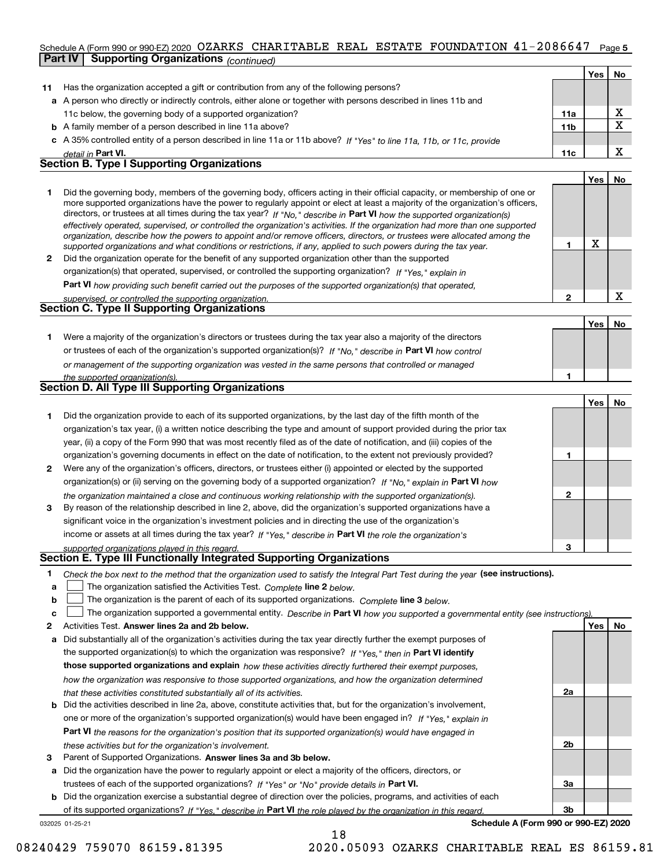#### **5**Schedule A (Form 990 or 990-EZ) 2020  $~\rm OZARKS$   $~\rm CHARTTABLE$   $~\rm REAL$   $~\rm ESTATE$   $~\rm FOUNDATION$   $~41-2086647$   $~\rm Page$ **Part IV Supporting Organizations** *(continued)*

|    |                                                                                                                                                                                                                                                                                                                                                                                        |                 | Yes | No. |
|----|----------------------------------------------------------------------------------------------------------------------------------------------------------------------------------------------------------------------------------------------------------------------------------------------------------------------------------------------------------------------------------------|-----------------|-----|-----|
| 11 | Has the organization accepted a gift or contribution from any of the following persons?                                                                                                                                                                                                                                                                                                |                 |     |     |
|    | a A person who directly or indirectly controls, either alone or together with persons described in lines 11b and                                                                                                                                                                                                                                                                       |                 |     |     |
|    | 11c below, the governing body of a supported organization?                                                                                                                                                                                                                                                                                                                             | 11a             |     | x   |
|    | <b>b</b> A family member of a person described in line 11a above?                                                                                                                                                                                                                                                                                                                      | 11 <sub>b</sub> |     | х   |
|    | c A 35% controlled entity of a person described in line 11a or 11b above? If "Yes" to line 11a, 11b, or 11c, provide                                                                                                                                                                                                                                                                   |                 |     |     |
|    | detail in Part VI.                                                                                                                                                                                                                                                                                                                                                                     | 11c             |     | x   |
|    | <b>Section B. Type I Supporting Organizations</b>                                                                                                                                                                                                                                                                                                                                      |                 |     |     |
|    |                                                                                                                                                                                                                                                                                                                                                                                        |                 | Yes | No  |
|    | Did the governing body, members of the governing body, officers acting in their official capacity, or membership of one or<br>more supported organizations have the power to regularly appoint or elect at least a majority of the organization's officers,<br>directors, or trustees at all times during the tax year? If "No," describe in Part VI how the supported organization(s) |                 |     |     |

|              | effectively operated, supervised, or controlled the organization's activities. If the organization had more than one supported |
|--------------|--------------------------------------------------------------------------------------------------------------------------------|
|              | organization, describe how the powers to appoint and/or remove officers, directors, or trustees were allocated among the       |
|              | supported organizations and what conditions or restrictions, if any, applied to such powers during the tax year.               |
| $\mathbf{2}$ | Did the organization operate for the benefit of any supported organization other than the supported                            |
|              | organization(s) that operated, supervised, or controlled the supporting organization? If "Yes," explain in                     |

**Part VI**  *how providing such benefit carried out the purposes of the supported organization(s) that operated,*

|                                                        | Yes | No |
|--------------------------------------------------------|-----|----|
| <b>Section C. Type II Supporting Organizations</b>     |     |    |
| supervised, or controlled the supporting organization. |     | ▵  |

**1**or trustees of each of the organization's supported organization(s)? If "No," describe in **Part VI** how control *or management of the supporting organization was vested in the same persons that controlled or managed the supported organization(s).* Were a majority of the organization's directors or trustees during the tax year also a majority of the directors

|  | Section D. All Type III Supporting Organizations |  |
|--|--------------------------------------------------|--|
|  |                                                  |  |

|                |                                                                                                                        |   | Yes   No |  |
|----------------|------------------------------------------------------------------------------------------------------------------------|---|----------|--|
|                | Did the organization provide to each of its supported organizations, by the last day of the fifth month of the         |   |          |  |
|                | organization's tax year, (i) a written notice describing the type and amount of support provided during the prior tax  |   |          |  |
|                | year, (ii) a copy of the Form 990 that was most recently filed as of the date of notification, and (iii) copies of the |   |          |  |
|                | organization's governing documents in effect on the date of notification, to the extent not previously provided?       |   |          |  |
| $\overline{2}$ | Were any of the organization's officers, directors, or trustees either (i) appointed or elected by the supported       |   |          |  |
|                | organization(s) or (ii) serving on the governing body of a supported organization? If "No," explain in Part VI how     |   |          |  |
|                | the organization maintained a close and continuous working relationship with the supported organization(s).            | 2 |          |  |
| 3              | By reason of the relationship described in line 2, above, did the organization's supported organizations have a        |   |          |  |
|                | significant voice in the organization's investment policies and in directing the use of the organization's             |   |          |  |
|                | income or assets at all times during the tax year? If "Yes," describe in Part VI the role the organization's           |   |          |  |
|                | supported organizations played in this regard.                                                                         | з |          |  |

## *supported organizations played in this regard.* **Section E. Type III Functionally Integrated Supporting Organizations**

- **1**Check the box next to the method that the organization used to satisfy the Integral Part Test during the year (see instructions).
- **alinupy** The organization satisfied the Activities Test. Complete line 2 below.
- **bThe organization is the parent of each of its supported organizations. Complete line 3 below.**

|  |  | c $\Box$ The organization supported a governmental entity. Describe in Part VI how you supported a governmental entity (see instructions). |  |
|--|--|--------------------------------------------------------------------------------------------------------------------------------------------|--|
|--|--|--------------------------------------------------------------------------------------------------------------------------------------------|--|

18

- **2Answer lines 2a and 2b below. Yes No** Activities Test.
- **a** Did substantially all of the organization's activities during the tax year directly further the exempt purposes of the supported organization(s) to which the organization was responsive? If "Yes," then in **Part VI identify those supported organizations and explain**  *how these activities directly furthered their exempt purposes, how the organization was responsive to those supported organizations, and how the organization determined that these activities constituted substantially all of its activities.*
- **b** Did the activities described in line 2a, above, constitute activities that, but for the organization's involvement, **Part VI**  *the reasons for the organization's position that its supported organization(s) would have engaged in* one or more of the organization's supported organization(s) would have been engaged in? If "Yes," e*xplain in these activities but for the organization's involvement.*
- **3** Parent of Supported Organizations. Answer lines 3a and 3b below.

**a** Did the organization have the power to regularly appoint or elect a majority of the officers, directors, or trustees of each of the supported organizations? If "Yes" or "No" provide details in **Part VI.** 

**b** Did the organization exercise a substantial degree of direction over the policies, programs, and activities of each of its supported organizations? If "Yes," describe in Part VI the role played by the organization in this regard.

032025 01-25-21

**Schedule A (Form 990 or 990-EZ) 2020**

**2a**

**2b**

**3a**

**3b**

**1**

X

**1**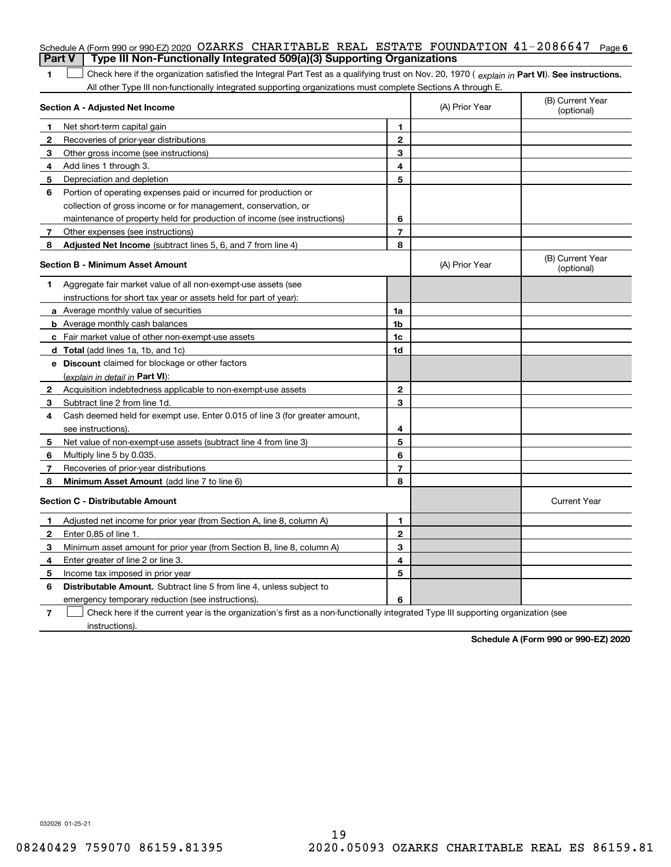| <b>Part V</b> | Schedule A (Form 990 or 990-EZ) 2020 OZARKS CHARITABLE REAL ESTATE FOUNDATION $41 - 2086647$<br>Type III Non-Functionally Integrated 509(a)(3) Supporting Organizations |                         |                | Page 6                         |
|---------------|-------------------------------------------------------------------------------------------------------------------------------------------------------------------------|-------------------------|----------------|--------------------------------|
| 1             | Check here if the organization satisfied the Integral Part Test as a qualifying trust on Nov. 20, 1970 (explain in Part VI). See instructions.                          |                         |                |                                |
|               | All other Type III non-functionally integrated supporting organizations must complete Sections A through E.                                                             |                         |                |                                |
|               | Section A - Adjusted Net Income                                                                                                                                         |                         | (A) Prior Year | (B) Current Year<br>(optional) |
| 1             | Net short-term capital gain                                                                                                                                             | 1.                      |                |                                |
| $\mathbf{2}$  | Recoveries of prior-year distributions                                                                                                                                  | $\mathbf{2}$            |                |                                |
| 3             | Other gross income (see instructions)                                                                                                                                   | 3                       |                |                                |
| 4             | Add lines 1 through 3.                                                                                                                                                  | 4                       |                |                                |
| 5             | Depreciation and depletion                                                                                                                                              | 5                       |                |                                |
| 6             | Portion of operating expenses paid or incurred for production or                                                                                                        |                         |                |                                |
|               | collection of gross income or for management, conservation, or                                                                                                          |                         |                |                                |
|               | maintenance of property held for production of income (see instructions)                                                                                                | 6                       |                |                                |
| 7             | Other expenses (see instructions)                                                                                                                                       | $\overline{\mathbf{r}}$ |                |                                |
| 8             | Adjusted Net Income (subtract lines 5, 6, and 7 from line 4)                                                                                                            | 8                       |                |                                |
|               | Section B - Minimum Asset Amount                                                                                                                                        |                         | (A) Prior Year | (B) Current Year<br>(optional) |
| 1             | Aggregate fair market value of all non-exempt-use assets (see                                                                                                           |                         |                |                                |
|               | instructions for short tax year or assets held for part of year):                                                                                                       |                         |                |                                |
|               | <b>a</b> Average monthly value of securities                                                                                                                            | 1a                      |                |                                |
|               | <b>b</b> Average monthly cash balances                                                                                                                                  | 1b                      |                |                                |
|               | <b>c</b> Fair market value of other non-exempt-use assets                                                                                                               | 1c                      |                |                                |
|               | <b>d</b> Total (add lines 1a, 1b, and 1c)                                                                                                                               | 1d                      |                |                                |
|               | e Discount claimed for blockage or other factors                                                                                                                        |                         |                |                                |
|               | (explain in detail in Part VI):                                                                                                                                         |                         |                |                                |
| 2             | Acquisition indebtedness applicable to non-exempt-use assets                                                                                                            | $\mathbf{2}$            |                |                                |
| 3             | Subtract line 2 from line 1d.                                                                                                                                           | 3                       |                |                                |
| 4             | Cash deemed held for exempt use. Enter 0.015 of line 3 (for greater amount,                                                                                             |                         |                |                                |
|               | see instructions).                                                                                                                                                      | 4                       |                |                                |
| 5             | Net value of non-exempt-use assets (subtract line 4 from line 3)                                                                                                        | 5                       |                |                                |
| 6             | Multiply line 5 by 0.035.                                                                                                                                               | 6                       |                |                                |
| 7             | Recoveries of prior-year distributions                                                                                                                                  | $\overline{7}$          |                |                                |
| 8             | Minimum Asset Amount (add line 7 to line 6)                                                                                                                             | 8                       |                |                                |
|               | <b>Section C - Distributable Amount</b>                                                                                                                                 |                         |                | <b>Current Year</b>            |
|               | Adjusted net income for prior year (from Section A, line 8, column A)                                                                                                   | 1                       |                |                                |
|               | Enter 0.85 of line 1.                                                                                                                                                   | 2                       |                |                                |
| 3             | Minimum asset amount for prior year (from Section B, line 8, column A)                                                                                                  | 3                       |                |                                |
| 4             | Enter greater of line 2 or line 3.                                                                                                                                      | 4                       |                |                                |
| 5             | Income tax imposed in prior year                                                                                                                                        | 5                       |                |                                |
| 6             | <b>Distributable Amount.</b> Subtract line 5 from line 4, unless subject to                                                                                             |                         |                |                                |
|               | emergency temporary reduction (see instructions).                                                                                                                       | 6                       |                |                                |
| 7             | Check here if the current year is the organization's first as a non-functionally integrated Type III supporting organization (see                                       |                         |                |                                |

instructions).

**Schedule A (Form 990 or 990-EZ) 2020**

032026 01-25-21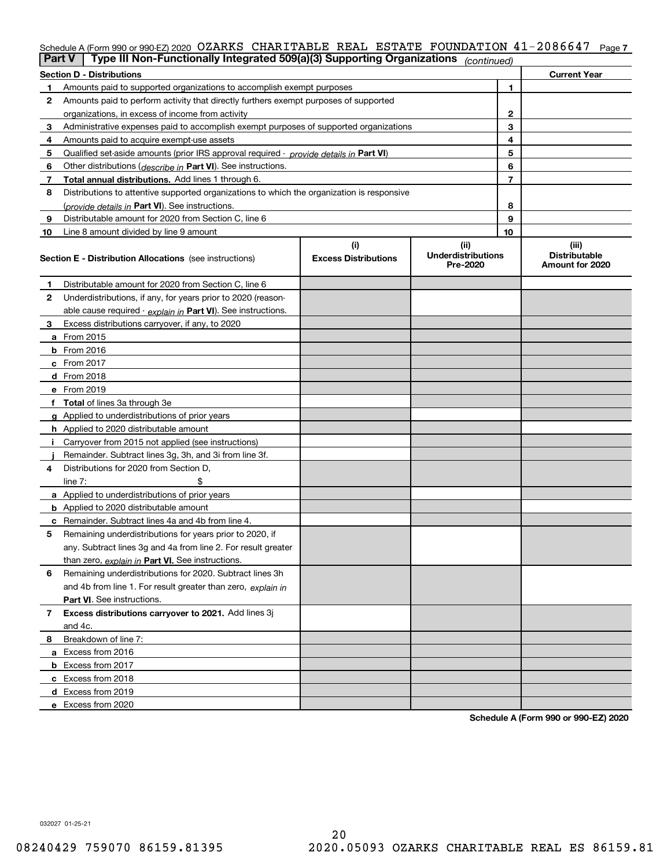### Schedule A (Form 990 or 990-EZ) 2020 OZARKS CHARITABLE REAL ESTATE FOUNDATION 41-2086647 Page 7

|    | Type III Non-Functionally Integrated 509(a)(3) Supporting Organizations<br>Part V<br>(continued) |                             |                                       |    |                                         |  |  |  |
|----|--------------------------------------------------------------------------------------------------|-----------------------------|---------------------------------------|----|-----------------------------------------|--|--|--|
|    | <b>Section D - Distributions</b>                                                                 |                             |                                       |    | <b>Current Year</b>                     |  |  |  |
|    | Amounts paid to supported organizations to accomplish exempt purposes                            |                             | 1                                     |    |                                         |  |  |  |
| 2  | Amounts paid to perform activity that directly furthers exempt purposes of supported             |                             |                                       |    |                                         |  |  |  |
|    | organizations, in excess of income from activity                                                 |                             | 2                                     |    |                                         |  |  |  |
| 3  | Administrative expenses paid to accomplish exempt purposes of supported organizations            |                             |                                       | 3  |                                         |  |  |  |
| 4  | Amounts paid to acquire exempt-use assets                                                        |                             |                                       | 4  |                                         |  |  |  |
| 5  | Qualified set aside amounts (prior IRS approval required - provide details in Part VI)           |                             |                                       | 5  |                                         |  |  |  |
| 6  | Other distributions ( <i>describe in</i> Part VI). See instructions.                             |                             |                                       | 6  |                                         |  |  |  |
| 7  | Total annual distributions. Add lines 1 through 6.                                               |                             |                                       | 7  |                                         |  |  |  |
| 8  | Distributions to attentive supported organizations to which the organization is responsive       |                             |                                       |    |                                         |  |  |  |
|    | (provide details in Part VI). See instructions.                                                  |                             |                                       | 8  |                                         |  |  |  |
| 9  | Distributable amount for 2020 from Section C, line 6                                             |                             |                                       | 9  |                                         |  |  |  |
| 10 | Line 8 amount divided by line 9 amount                                                           |                             |                                       | 10 |                                         |  |  |  |
|    |                                                                                                  | (i)                         | (ii)                                  |    | (iii)                                   |  |  |  |
|    | <b>Section E - Distribution Allocations</b> (see instructions)                                   | <b>Excess Distributions</b> | <b>Underdistributions</b><br>Pre-2020 |    | <b>Distributable</b><br>Amount for 2020 |  |  |  |
| 1  | Distributable amount for 2020 from Section C, line 6                                             |                             |                                       |    |                                         |  |  |  |
| 2  | Underdistributions, if any, for years prior to 2020 (reason-                                     |                             |                                       |    |                                         |  |  |  |
|    | able cause required - explain in Part VI). See instructions.                                     |                             |                                       |    |                                         |  |  |  |
| 3  | Excess distributions carryover, if any, to 2020                                                  |                             |                                       |    |                                         |  |  |  |
|    | a From 2015                                                                                      |                             |                                       |    |                                         |  |  |  |
|    | $b$ From 2016                                                                                    |                             |                                       |    |                                         |  |  |  |
|    | $c$ From 2017                                                                                    |                             |                                       |    |                                         |  |  |  |
|    | <b>d</b> From 2018                                                                               |                             |                                       |    |                                         |  |  |  |
|    | e From 2019                                                                                      |                             |                                       |    |                                         |  |  |  |
|    | f Total of lines 3a through 3e                                                                   |                             |                                       |    |                                         |  |  |  |
|    | g Applied to underdistributions of prior years                                                   |                             |                                       |    |                                         |  |  |  |
|    | <b>h</b> Applied to 2020 distributable amount                                                    |                             |                                       |    |                                         |  |  |  |
|    | Carryover from 2015 not applied (see instructions)                                               |                             |                                       |    |                                         |  |  |  |
|    | Remainder. Subtract lines 3g, 3h, and 3i from line 3f.                                           |                             |                                       |    |                                         |  |  |  |
| 4  | Distributions for 2020 from Section D.                                                           |                             |                                       |    |                                         |  |  |  |
|    | line $7:$                                                                                        |                             |                                       |    |                                         |  |  |  |
|    | a Applied to underdistributions of prior years                                                   |                             |                                       |    |                                         |  |  |  |
|    | <b>b</b> Applied to 2020 distributable amount                                                    |                             |                                       |    |                                         |  |  |  |
|    | <b>c</b> Remainder. Subtract lines 4a and 4b from line 4.                                        |                             |                                       |    |                                         |  |  |  |
| 5  | Remaining underdistributions for years prior to 2020, if                                         |                             |                                       |    |                                         |  |  |  |
|    | any. Subtract lines 3g and 4a from line 2. For result greater                                    |                             |                                       |    |                                         |  |  |  |
|    | than zero, explain in Part VI. See instructions.                                                 |                             |                                       |    |                                         |  |  |  |
| 6  | Remaining underdistributions for 2020. Subtract lines 3h                                         |                             |                                       |    |                                         |  |  |  |
|    | and 4b from line 1. For result greater than zero, explain in                                     |                             |                                       |    |                                         |  |  |  |
|    | <b>Part VI.</b> See instructions.                                                                |                             |                                       |    |                                         |  |  |  |
| 7  | Excess distributions carryover to 2021. Add lines 3j                                             |                             |                                       |    |                                         |  |  |  |
|    | and 4c.                                                                                          |                             |                                       |    |                                         |  |  |  |
| 8  | Breakdown of line 7:                                                                             |                             |                                       |    |                                         |  |  |  |
|    | a Excess from 2016                                                                               |                             |                                       |    |                                         |  |  |  |
|    | <b>b</b> Excess from 2017                                                                        |                             |                                       |    |                                         |  |  |  |
|    | c Excess from 2018                                                                               |                             |                                       |    |                                         |  |  |  |
|    | d Excess from 2019                                                                               |                             |                                       |    |                                         |  |  |  |
|    | e Excess from 2020                                                                               |                             |                                       |    |                                         |  |  |  |

**Schedule A (Form 990 or 990-EZ) 2020**

032027 01-25-21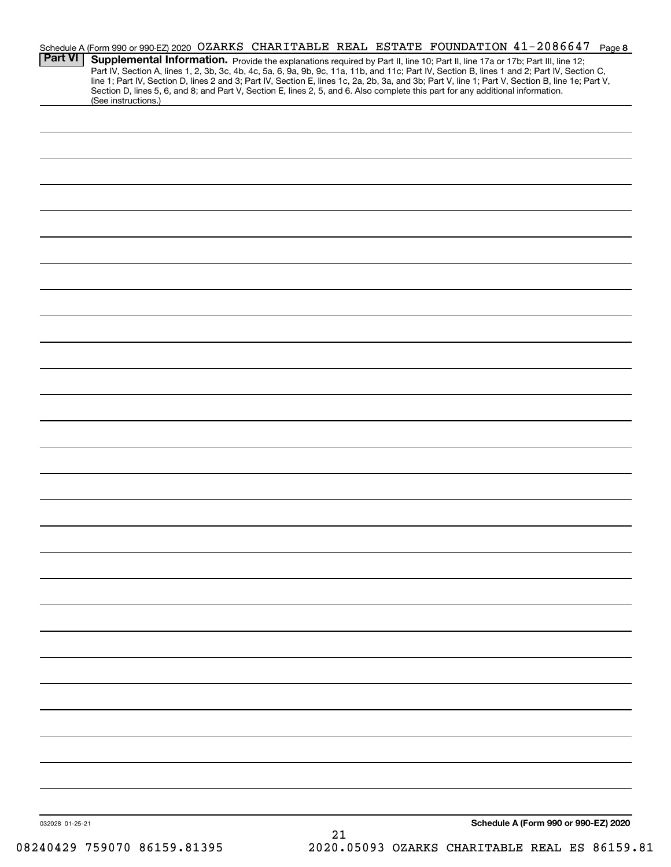| <b>Part VI</b>  | (See instructions.) | Supplemental Information. Provide the explanations required by Part II, line 10; Part II, line 17a or 17b; Part III, line 12;<br>Section D, lines 5, 6, and 8; and Part V, Section E, lines 2, 5, and 6. Also complete this part for any additional information. | Schedule A (Form 990 or 990-EZ) 2020 OZARKS CHARITABLE REAL ESTATE FOUNDATION 41-2086647 Page 8<br>Part IV, Section A, lines 1, 2, 3b, 3c, 4b, 4c, 5a, 6, 9a, 9b, 9c, 11a, 11b, and 11c; Part IV, Section B, lines 1 and 2; Part IV, Section C,<br>line 1; Part IV, Section D, lines 2 and 3; Part IV, Section E, lines 1c, 2a, 2b, 3a, and 3b; Part V, line 1; Part V, Section B, line 1e; Part V, |
|-----------------|---------------------|------------------------------------------------------------------------------------------------------------------------------------------------------------------------------------------------------------------------------------------------------------------|-----------------------------------------------------------------------------------------------------------------------------------------------------------------------------------------------------------------------------------------------------------------------------------------------------------------------------------------------------------------------------------------------------|
|                 |                     |                                                                                                                                                                                                                                                                  |                                                                                                                                                                                                                                                                                                                                                                                                     |
|                 |                     |                                                                                                                                                                                                                                                                  |                                                                                                                                                                                                                                                                                                                                                                                                     |
|                 |                     |                                                                                                                                                                                                                                                                  |                                                                                                                                                                                                                                                                                                                                                                                                     |
|                 |                     |                                                                                                                                                                                                                                                                  |                                                                                                                                                                                                                                                                                                                                                                                                     |
|                 |                     |                                                                                                                                                                                                                                                                  |                                                                                                                                                                                                                                                                                                                                                                                                     |
|                 |                     |                                                                                                                                                                                                                                                                  |                                                                                                                                                                                                                                                                                                                                                                                                     |
|                 |                     |                                                                                                                                                                                                                                                                  |                                                                                                                                                                                                                                                                                                                                                                                                     |
|                 |                     |                                                                                                                                                                                                                                                                  |                                                                                                                                                                                                                                                                                                                                                                                                     |
|                 |                     |                                                                                                                                                                                                                                                                  |                                                                                                                                                                                                                                                                                                                                                                                                     |
|                 |                     |                                                                                                                                                                                                                                                                  |                                                                                                                                                                                                                                                                                                                                                                                                     |
|                 |                     |                                                                                                                                                                                                                                                                  |                                                                                                                                                                                                                                                                                                                                                                                                     |
|                 |                     |                                                                                                                                                                                                                                                                  |                                                                                                                                                                                                                                                                                                                                                                                                     |
|                 |                     |                                                                                                                                                                                                                                                                  |                                                                                                                                                                                                                                                                                                                                                                                                     |
|                 |                     |                                                                                                                                                                                                                                                                  |                                                                                                                                                                                                                                                                                                                                                                                                     |
|                 |                     |                                                                                                                                                                                                                                                                  |                                                                                                                                                                                                                                                                                                                                                                                                     |
|                 |                     |                                                                                                                                                                                                                                                                  |                                                                                                                                                                                                                                                                                                                                                                                                     |
|                 |                     |                                                                                                                                                                                                                                                                  |                                                                                                                                                                                                                                                                                                                                                                                                     |
|                 |                     |                                                                                                                                                                                                                                                                  |                                                                                                                                                                                                                                                                                                                                                                                                     |
|                 |                     |                                                                                                                                                                                                                                                                  |                                                                                                                                                                                                                                                                                                                                                                                                     |
|                 |                     |                                                                                                                                                                                                                                                                  |                                                                                                                                                                                                                                                                                                                                                                                                     |
|                 |                     |                                                                                                                                                                                                                                                                  |                                                                                                                                                                                                                                                                                                                                                                                                     |
|                 |                     |                                                                                                                                                                                                                                                                  |                                                                                                                                                                                                                                                                                                                                                                                                     |
|                 |                     |                                                                                                                                                                                                                                                                  |                                                                                                                                                                                                                                                                                                                                                                                                     |
|                 |                     |                                                                                                                                                                                                                                                                  |                                                                                                                                                                                                                                                                                                                                                                                                     |
|                 |                     |                                                                                                                                                                                                                                                                  |                                                                                                                                                                                                                                                                                                                                                                                                     |
|                 |                     |                                                                                                                                                                                                                                                                  |                                                                                                                                                                                                                                                                                                                                                                                                     |
| 032028 01-25-21 |                     | 21                                                                                                                                                                                                                                                               | Schedule A (Form 990 or 990-EZ) 2020                                                                                                                                                                                                                                                                                                                                                                |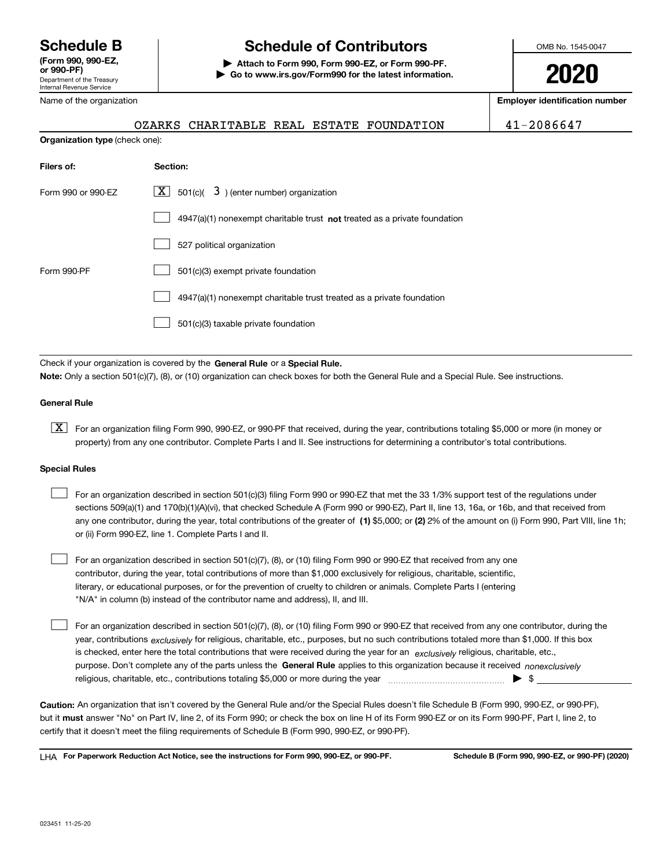Department of the Treasury Internal Revenue Service **(Form 990, 990-EZ, or 990-PF)** Name of the organization

**Organization type** (check one):

## **Schedule B Schedule of Contributors**

**| Attach to Form 990, Form 990-EZ, or Form 990-PF. | Go to www.irs.gov/Form990 for the latest information.** OMB No. 1545-0047

**2020**

**Employer identification number**

OZARKS CHARITABLE REAL ESTATE FOUNDATION 41-2086647

| Filers of:         | Section:                                                                           |
|--------------------|------------------------------------------------------------------------------------|
| Form 990 or 990-EZ | $\lfloor x \rfloor$ 501(c)( 3) (enter number) organization                         |
|                    | $4947(a)(1)$ nonexempt charitable trust <b>not</b> treated as a private foundation |
|                    | 527 political organization                                                         |
| Form 990-PF        | 501(c)(3) exempt private foundation                                                |
|                    | 4947(a)(1) nonexempt charitable trust treated as a private foundation              |
|                    | 501(c)(3) taxable private foundation                                               |

Check if your organization is covered by the **General Rule** or a **Special Rule. Note:**  Only a section 501(c)(7), (8), or (10) organization can check boxes for both the General Rule and a Special Rule. See instructions.

#### **General Rule**

 $\boxed{\textbf{X}}$  For an organization filing Form 990, 990-EZ, or 990-PF that received, during the year, contributions totaling \$5,000 or more (in money or property) from any one contributor. Complete Parts I and II. See instructions for determining a contributor's total contributions.

#### **Special Rules**

| For an organization described in section 501(c)(3) filing Form 990 or 990-EZ that met the 33 1/3% support test of the regulations under               |
|-------------------------------------------------------------------------------------------------------------------------------------------------------|
| sections 509(a)(1) and 170(b)(1)(A)(vi), that checked Schedule A (Form 990 or 990-EZ), Part II, line 13, 16a, or 16b, and that received from          |
| any one contributor, during the year, total contributions of the greater of (1) \$5,000; or (2) 2% of the amount on (i) Form 990, Part VIII, line 1h; |
| or (ii) Form 990-EZ, line 1. Complete Parts I and II.                                                                                                 |

For an organization described in section 501(c)(7), (8), or (10) filing Form 990 or 990-EZ that received from any one contributor, during the year, total contributions of more than \$1,000 exclusively for religious, charitable, scientific, literary, or educational purposes, or for the prevention of cruelty to children or animals. Complete Parts I (entering "N/A" in column (b) instead of the contributor name and address), II, and III.  $\mathcal{L}^{\text{max}}$ 

purpose. Don't complete any of the parts unless the **General Rule** applies to this organization because it received *nonexclusively* year, contributions <sub>exclusively</sub> for religious, charitable, etc., purposes, but no such contributions totaled more than \$1,000. If this box is checked, enter here the total contributions that were received during the year for an  $\;$ exclusively religious, charitable, etc., For an organization described in section 501(c)(7), (8), or (10) filing Form 990 or 990-EZ that received from any one contributor, during the religious, charitable, etc., contributions totaling \$5,000 or more during the year  $\Box$ — $\Box$   $\Box$  $\mathcal{L}^{\text{max}}$ 

**Caution:**  An organization that isn't covered by the General Rule and/or the Special Rules doesn't file Schedule B (Form 990, 990-EZ, or 990-PF),  **must** but it answer "No" on Part IV, line 2, of its Form 990; or check the box on line H of its Form 990-EZ or on its Form 990-PF, Part I, line 2, to certify that it doesn't meet the filing requirements of Schedule B (Form 990, 990-EZ, or 990-PF).

**For Paperwork Reduction Act Notice, see the instructions for Form 990, 990-EZ, or 990-PF. Schedule B (Form 990, 990-EZ, or 990-PF) (2020)** LHA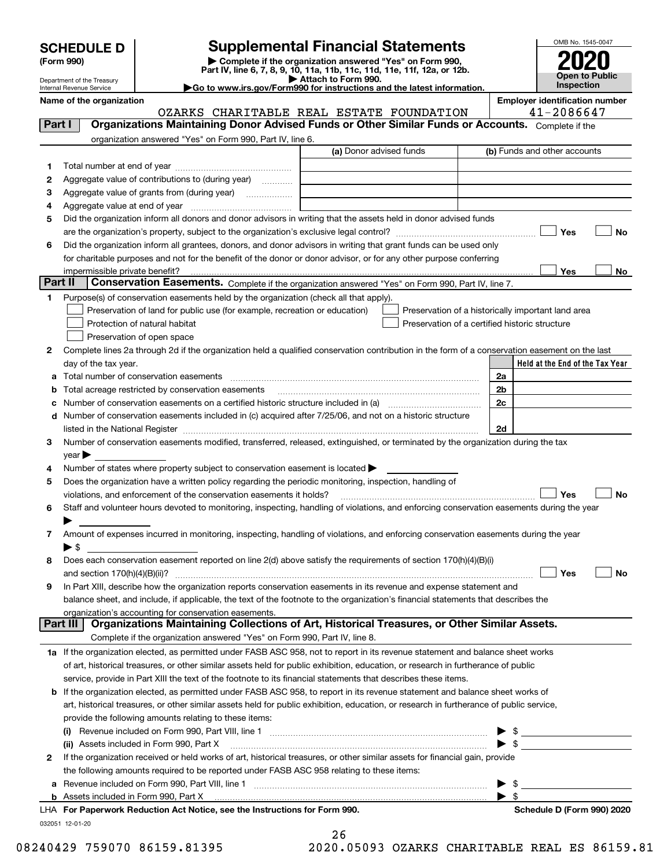| <b>SCHEDULE D</b> |  |
|-------------------|--|
|-------------------|--|

Department of the Treasury Internal Revenue Service

| (Form 990) |  |
|------------|--|
|------------|--|

## **SCHEDULE D Supplemental Financial Statements**

(Form 990)<br>
Pepartment of the Treasury<br>
Department of the Treasury<br>
Department of the Treasury<br>
Department of the Treasury<br> **Co to www.irs.gov/Form990 for instructions and the latest information.**<br> **Co to www.irs.gov/Form9** 



|         | Name of the organization                                                                                                                                                                                                      | OZARKS CHARITABLE REAL ESTATE FOUNDATION | <b>Employer identification number</b><br>41-2086647 |
|---------|-------------------------------------------------------------------------------------------------------------------------------------------------------------------------------------------------------------------------------|------------------------------------------|-----------------------------------------------------|
| Part I  | Organizations Maintaining Donor Advised Funds or Other Similar Funds or Accounts. Complete if the                                                                                                                             |                                          |                                                     |
|         | organization answered "Yes" on Form 990, Part IV, line 6.                                                                                                                                                                     |                                          |                                                     |
|         |                                                                                                                                                                                                                               | (a) Donor advised funds                  | (b) Funds and other accounts                        |
|         |                                                                                                                                                                                                                               |                                          |                                                     |
| 1       | Aggregate value of contributions to (during year)                                                                                                                                                                             |                                          |                                                     |
| 2<br>3  | Aggregate value of grants from (during year)                                                                                                                                                                                  |                                          |                                                     |
|         |                                                                                                                                                                                                                               |                                          |                                                     |
| 4<br>5  | Did the organization inform all donors and donor advisors in writing that the assets held in donor advised funds                                                                                                              |                                          |                                                     |
|         |                                                                                                                                                                                                                               |                                          | Yes<br>No                                           |
| 6       | Did the organization inform all grantees, donors, and donor advisors in writing that grant funds can be used only                                                                                                             |                                          |                                                     |
|         | for charitable purposes and not for the benefit of the donor or donor advisor, or for any other purpose conferring                                                                                                            |                                          |                                                     |
|         |                                                                                                                                                                                                                               |                                          | Yes<br>No                                           |
| Part II | Conservation Easements. Complete if the organization answered "Yes" on Form 990, Part IV, line 7.                                                                                                                             |                                          |                                                     |
| 1.      | Purpose(s) of conservation easements held by the organization (check all that apply).                                                                                                                                         |                                          |                                                     |
|         | Preservation of land for public use (for example, recreation or education)                                                                                                                                                    |                                          | Preservation of a historically important land area  |
|         | Protection of natural habitat                                                                                                                                                                                                 |                                          | Preservation of a certified historic structure      |
|         | Preservation of open space                                                                                                                                                                                                    |                                          |                                                     |
| 2       | Complete lines 2a through 2d if the organization held a qualified conservation contribution in the form of a conservation easement on the last                                                                                |                                          |                                                     |
|         | day of the tax year.                                                                                                                                                                                                          |                                          | Held at the End of the Tax Year                     |
| а       |                                                                                                                                                                                                                               |                                          | 2a                                                  |
| b       | Total acreage restricted by conservation easements                                                                                                                                                                            |                                          | 2b                                                  |
| с       |                                                                                                                                                                                                                               |                                          | 2c                                                  |
| d       | Number of conservation easements included in (c) acquired after 7/25/06, and not on a historic structure                                                                                                                      |                                          |                                                     |
|         |                                                                                                                                                                                                                               |                                          | 2d                                                  |
| з       | Number of conservation easements modified, transferred, released, extinguished, or terminated by the organization during the tax                                                                                              |                                          |                                                     |
|         | $year \blacktriangleright$                                                                                                                                                                                                    |                                          |                                                     |
| 4       | Number of states where property subject to conservation easement is located >                                                                                                                                                 |                                          |                                                     |
| 5       | Does the organization have a written policy regarding the periodic monitoring, inspection, handling of                                                                                                                        |                                          |                                                     |
|         | violations, and enforcement of the conservation easements it holds?                                                                                                                                                           |                                          | Yes<br><b>No</b>                                    |
| 6       | Staff and volunteer hours devoted to monitoring, inspecting, handling of violations, and enforcing conservation easements during the year                                                                                     |                                          |                                                     |
|         | ▶                                                                                                                                                                                                                             |                                          |                                                     |
| 7       | Amount of expenses incurred in monitoring, inspecting, handling of violations, and enforcing conservation easements during the year                                                                                           |                                          |                                                     |
|         | $\blacktriangleright$ \$                                                                                                                                                                                                      |                                          |                                                     |
| 8       | Does each conservation easement reported on line 2(d) above satisfy the requirements of section 170(h)(4)(B)(i)                                                                                                               |                                          |                                                     |
|         |                                                                                                                                                                                                                               |                                          | Yes<br>No                                           |
|         | In Part XIII, describe how the organization reports conservation easements in its revenue and expense statement and                                                                                                           |                                          |                                                     |
|         | balance sheet, and include, if applicable, the text of the footnote to the organization's financial statements that describes the                                                                                             |                                          |                                                     |
|         | organization's accounting for conservation easements.                                                                                                                                                                         |                                          |                                                     |
|         | Organizations Maintaining Collections of Art, Historical Treasures, or Other Similar Assets.<br>Part III                                                                                                                      |                                          |                                                     |
|         | Complete if the organization answered "Yes" on Form 990, Part IV, line 8.                                                                                                                                                     |                                          |                                                     |
|         | 1a If the organization elected, as permitted under FASB ASC 958, not to report in its revenue statement and balance sheet works                                                                                               |                                          |                                                     |
|         | of art, historical treasures, or other similar assets held for public exhibition, education, or research in furtherance of public                                                                                             |                                          |                                                     |
|         | service, provide in Part XIII the text of the footnote to its financial statements that describes these items.                                                                                                                |                                          |                                                     |
|         | <b>b</b> If the organization elected, as permitted under FASB ASC 958, to report in its revenue statement and balance sheet works of                                                                                          |                                          |                                                     |
|         | art, historical treasures, or other similar assets held for public exhibition, education, or research in furtherance of public service,                                                                                       |                                          |                                                     |
|         | provide the following amounts relating to these items:                                                                                                                                                                        |                                          |                                                     |
|         | $\left( 1\right)$                                                                                                                                                                                                             |                                          | $$\overline{\phantom{2}}$$                          |
|         | (ii) Assets included in Form 990, Part X                                                                                                                                                                                      |                                          | $\mathbb{S}$                                        |
| 2       | If the organization received or held works of art, historical treasures, or other similar assets for financial gain, provide                                                                                                  |                                          |                                                     |
|         | the following amounts required to be reported under FASB ASC 958 relating to these items:                                                                                                                                     |                                          |                                                     |
| a       |                                                                                                                                                                                                                               |                                          | \$                                                  |
|         | b Assets included in Form 990, Part X [ WALK ] [ THE RESERVE TO A SET A RESERVE TO A SET A RESERVE TO A SET A RESERVE TO A SET A RESERVE TO A SET A RESERVE TO A SET A RESERVE TO A SET A RESERVE TO A SET A RESERVE TO A SET |                                          | - \$                                                |
|         | LHA For Paperwork Reduction Act Notice, see the Instructions for Form 990.                                                                                                                                                    |                                          | Schedule D (Form 990) 2020                          |
|         | 032051 12-01-20                                                                                                                                                                                                               |                                          |                                                     |

26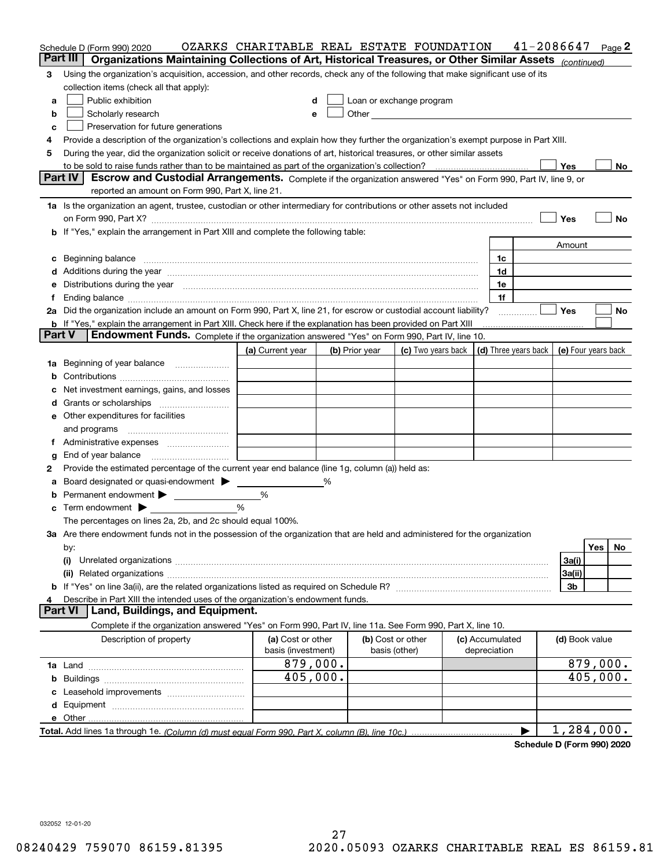| Part III<br>Organizations Maintaining Collections of Art, Historical Treasures, or Other Similar Assets (continued)<br>Using the organization's acquisition, accession, and other records, check any of the following that make significant use of its<br>3<br>collection items (check all that apply):<br>Public exhibition<br>Loan or exchange program<br>d<br>a<br>Scholarly research<br>Other and the control of the control of the control of the control of the control of the control of the control of the control of the control of the control of the control of the control of the control of the control of th<br>b<br>е<br>Preservation for future generations<br>c<br>Provide a description of the organization's collections and explain how they further the organization's exempt purpose in Part XIII.<br>4<br>During the year, did the organization solicit or receive donations of art, historical treasures, or other similar assets<br>5<br>Yes<br>No<br>Part IV<br>Escrow and Custodial Arrangements. Complete if the organization answered "Yes" on Form 990, Part IV, line 9, or<br>reported an amount on Form 990, Part X, line 21.<br>1a Is the organization an agent, trustee, custodian or other intermediary for contributions or other assets not included<br>Yes<br>No<br>b If "Yes," explain the arrangement in Part XIII and complete the following table:<br>Amount<br>Beginning balance <b>contract to the contract of the contract of the contract of the contract of the contract of t</b><br>1c<br>c<br>1d<br>Distributions during the year manufactured and continuum and continuum and the year manufactured and continuum<br>1e<br>е<br>1f<br>Ending balance manufactured and contract the contract of the contract of the contract of the contract of the contract of the contract of the contract of the contract of the contract of the contract of the contract of the c<br>Ť.<br>2a Did the organization include an amount on Form 990, Part X, line 21, for escrow or custodial account liability?<br>Yes<br>No<br><b>b</b> If "Yes," explain the arrangement in Part XIII. Check here if the explanation has been provided on Part XIII<br><b>Part V</b><br>Endowment Funds. Complete if the organization answered "Yes" on Form 990, Part IV, line 10.<br>(c) Two years back $\vert$ (d) Three years back $\vert$<br>(e) Four years back<br>(a) Current year<br>(b) Prior year<br>1a Beginning of year balance<br>b<br>Net investment earnings, gains, and losses<br>d<br><b>e</b> Other expenditures for facilities<br>and programs<br>Ť.<br>End of year balance<br>g<br>Provide the estimated percentage of the current year end balance (line 1g, column (a)) held as:<br>2<br>Board designated or quasi-endowment ><br>%<br>а<br>Permanent endowment ><br>%<br>b<br>%<br>Term endowment $\blacktriangleright$<br>c<br>The percentages on lines 2a, 2b, and 2c should equal 100%.<br>3a Are there endowment funds not in the possession of the organization that are held and administered for the organization<br>Yes<br>No.<br>by:<br>3a(i)<br>(i)<br>3a(ii)<br>3b<br>Describe in Part XIII the intended uses of the organization's endowment funds.<br>4<br>Land, Buildings, and Equipment.<br><b>Part VI</b><br>Complete if the organization answered "Yes" on Form 990, Part IV, line 11a. See Form 990, Part X, line 10.<br>(a) Cost or other<br>(b) Cost or other<br>Description of property<br>(c) Accumulated<br>(d) Book value<br>basis (other)<br>depreciation<br>basis (investment)<br>879,000.<br>879,000.<br>405,000.<br>405,000.<br>Leasehold improvements<br>c<br>1,284,000.<br>$\blacktriangleright$ | Schedule D (Form 990) 2020 | OZARKS CHARITABLE REAL ESTATE FOUNDATION |  |  | 41-2086647 |  | Page 2 |
|----------------------------------------------------------------------------------------------------------------------------------------------------------------------------------------------------------------------------------------------------------------------------------------------------------------------------------------------------------------------------------------------------------------------------------------------------------------------------------------------------------------------------------------------------------------------------------------------------------------------------------------------------------------------------------------------------------------------------------------------------------------------------------------------------------------------------------------------------------------------------------------------------------------------------------------------------------------------------------------------------------------------------------------------------------------------------------------------------------------------------------------------------------------------------------------------------------------------------------------------------------------------------------------------------------------------------------------------------------------------------------------------------------------------------------------------------------------------------------------------------------------------------------------------------------------------------------------------------------------------------------------------------------------------------------------------------------------------------------------------------------------------------------------------------------------------------------------------------------------------------------------------------------------------------------------------------------------------------------------------------------------------------------------------------------------------------------------------------------------------------------------------------------------------------------------------------------------------------------------------------------------------------------------------------------------------------------------------------------------------------------------------------------------------------------------------------------------------------------------------------------------------------------------------------------------------------------------------------------------------------------------------------------------------------------------------------------------------------------------------------------------------------------------------------------------------------------------------------------------------------------------------------------------------------------------------------------------------------------------------------------------------------------------------------------------------------------------------------------------------------------------------------------------------------------------------------------------------------------------------------------------------------------------------------------------------------------------------------------------------------------------------------------------------------------------------------------------------------------------------------------------------------------------------------------------------------------------------------------------------------------------------------------------------------|----------------------------|------------------------------------------|--|--|------------|--|--------|
|                                                                                                                                                                                                                                                                                                                                                                                                                                                                                                                                                                                                                                                                                                                                                                                                                                                                                                                                                                                                                                                                                                                                                                                                                                                                                                                                                                                                                                                                                                                                                                                                                                                                                                                                                                                                                                                                                                                                                                                                                                                                                                                                                                                                                                                                                                                                                                                                                                                                                                                                                                                                                                                                                                                                                                                                                                                                                                                                                                                                                                                                                                                                                                                                                                                                                                                                                                                                                                                                                                                                                                                                                                                                            |                            |                                          |  |  |            |  |        |
|                                                                                                                                                                                                                                                                                                                                                                                                                                                                                                                                                                                                                                                                                                                                                                                                                                                                                                                                                                                                                                                                                                                                                                                                                                                                                                                                                                                                                                                                                                                                                                                                                                                                                                                                                                                                                                                                                                                                                                                                                                                                                                                                                                                                                                                                                                                                                                                                                                                                                                                                                                                                                                                                                                                                                                                                                                                                                                                                                                                                                                                                                                                                                                                                                                                                                                                                                                                                                                                                                                                                                                                                                                                                            |                            |                                          |  |  |            |  |        |
|                                                                                                                                                                                                                                                                                                                                                                                                                                                                                                                                                                                                                                                                                                                                                                                                                                                                                                                                                                                                                                                                                                                                                                                                                                                                                                                                                                                                                                                                                                                                                                                                                                                                                                                                                                                                                                                                                                                                                                                                                                                                                                                                                                                                                                                                                                                                                                                                                                                                                                                                                                                                                                                                                                                                                                                                                                                                                                                                                                                                                                                                                                                                                                                                                                                                                                                                                                                                                                                                                                                                                                                                                                                                            |                            |                                          |  |  |            |  |        |
|                                                                                                                                                                                                                                                                                                                                                                                                                                                                                                                                                                                                                                                                                                                                                                                                                                                                                                                                                                                                                                                                                                                                                                                                                                                                                                                                                                                                                                                                                                                                                                                                                                                                                                                                                                                                                                                                                                                                                                                                                                                                                                                                                                                                                                                                                                                                                                                                                                                                                                                                                                                                                                                                                                                                                                                                                                                                                                                                                                                                                                                                                                                                                                                                                                                                                                                                                                                                                                                                                                                                                                                                                                                                            |                            |                                          |  |  |            |  |        |
|                                                                                                                                                                                                                                                                                                                                                                                                                                                                                                                                                                                                                                                                                                                                                                                                                                                                                                                                                                                                                                                                                                                                                                                                                                                                                                                                                                                                                                                                                                                                                                                                                                                                                                                                                                                                                                                                                                                                                                                                                                                                                                                                                                                                                                                                                                                                                                                                                                                                                                                                                                                                                                                                                                                                                                                                                                                                                                                                                                                                                                                                                                                                                                                                                                                                                                                                                                                                                                                                                                                                                                                                                                                                            |                            |                                          |  |  |            |  |        |
|                                                                                                                                                                                                                                                                                                                                                                                                                                                                                                                                                                                                                                                                                                                                                                                                                                                                                                                                                                                                                                                                                                                                                                                                                                                                                                                                                                                                                                                                                                                                                                                                                                                                                                                                                                                                                                                                                                                                                                                                                                                                                                                                                                                                                                                                                                                                                                                                                                                                                                                                                                                                                                                                                                                                                                                                                                                                                                                                                                                                                                                                                                                                                                                                                                                                                                                                                                                                                                                                                                                                                                                                                                                                            |                            |                                          |  |  |            |  |        |
|                                                                                                                                                                                                                                                                                                                                                                                                                                                                                                                                                                                                                                                                                                                                                                                                                                                                                                                                                                                                                                                                                                                                                                                                                                                                                                                                                                                                                                                                                                                                                                                                                                                                                                                                                                                                                                                                                                                                                                                                                                                                                                                                                                                                                                                                                                                                                                                                                                                                                                                                                                                                                                                                                                                                                                                                                                                                                                                                                                                                                                                                                                                                                                                                                                                                                                                                                                                                                                                                                                                                                                                                                                                                            |                            |                                          |  |  |            |  |        |
|                                                                                                                                                                                                                                                                                                                                                                                                                                                                                                                                                                                                                                                                                                                                                                                                                                                                                                                                                                                                                                                                                                                                                                                                                                                                                                                                                                                                                                                                                                                                                                                                                                                                                                                                                                                                                                                                                                                                                                                                                                                                                                                                                                                                                                                                                                                                                                                                                                                                                                                                                                                                                                                                                                                                                                                                                                                                                                                                                                                                                                                                                                                                                                                                                                                                                                                                                                                                                                                                                                                                                                                                                                                                            |                            |                                          |  |  |            |  |        |
|                                                                                                                                                                                                                                                                                                                                                                                                                                                                                                                                                                                                                                                                                                                                                                                                                                                                                                                                                                                                                                                                                                                                                                                                                                                                                                                                                                                                                                                                                                                                                                                                                                                                                                                                                                                                                                                                                                                                                                                                                                                                                                                                                                                                                                                                                                                                                                                                                                                                                                                                                                                                                                                                                                                                                                                                                                                                                                                                                                                                                                                                                                                                                                                                                                                                                                                                                                                                                                                                                                                                                                                                                                                                            |                            |                                          |  |  |            |  |        |
|                                                                                                                                                                                                                                                                                                                                                                                                                                                                                                                                                                                                                                                                                                                                                                                                                                                                                                                                                                                                                                                                                                                                                                                                                                                                                                                                                                                                                                                                                                                                                                                                                                                                                                                                                                                                                                                                                                                                                                                                                                                                                                                                                                                                                                                                                                                                                                                                                                                                                                                                                                                                                                                                                                                                                                                                                                                                                                                                                                                                                                                                                                                                                                                                                                                                                                                                                                                                                                                                                                                                                                                                                                                                            |                            |                                          |  |  |            |  |        |
|                                                                                                                                                                                                                                                                                                                                                                                                                                                                                                                                                                                                                                                                                                                                                                                                                                                                                                                                                                                                                                                                                                                                                                                                                                                                                                                                                                                                                                                                                                                                                                                                                                                                                                                                                                                                                                                                                                                                                                                                                                                                                                                                                                                                                                                                                                                                                                                                                                                                                                                                                                                                                                                                                                                                                                                                                                                                                                                                                                                                                                                                                                                                                                                                                                                                                                                                                                                                                                                                                                                                                                                                                                                                            |                            |                                          |  |  |            |  |        |
|                                                                                                                                                                                                                                                                                                                                                                                                                                                                                                                                                                                                                                                                                                                                                                                                                                                                                                                                                                                                                                                                                                                                                                                                                                                                                                                                                                                                                                                                                                                                                                                                                                                                                                                                                                                                                                                                                                                                                                                                                                                                                                                                                                                                                                                                                                                                                                                                                                                                                                                                                                                                                                                                                                                                                                                                                                                                                                                                                                                                                                                                                                                                                                                                                                                                                                                                                                                                                                                                                                                                                                                                                                                                            |                            |                                          |  |  |            |  |        |
|                                                                                                                                                                                                                                                                                                                                                                                                                                                                                                                                                                                                                                                                                                                                                                                                                                                                                                                                                                                                                                                                                                                                                                                                                                                                                                                                                                                                                                                                                                                                                                                                                                                                                                                                                                                                                                                                                                                                                                                                                                                                                                                                                                                                                                                                                                                                                                                                                                                                                                                                                                                                                                                                                                                                                                                                                                                                                                                                                                                                                                                                                                                                                                                                                                                                                                                                                                                                                                                                                                                                                                                                                                                                            |                            |                                          |  |  |            |  |        |
|                                                                                                                                                                                                                                                                                                                                                                                                                                                                                                                                                                                                                                                                                                                                                                                                                                                                                                                                                                                                                                                                                                                                                                                                                                                                                                                                                                                                                                                                                                                                                                                                                                                                                                                                                                                                                                                                                                                                                                                                                                                                                                                                                                                                                                                                                                                                                                                                                                                                                                                                                                                                                                                                                                                                                                                                                                                                                                                                                                                                                                                                                                                                                                                                                                                                                                                                                                                                                                                                                                                                                                                                                                                                            |                            |                                          |  |  |            |  |        |
|                                                                                                                                                                                                                                                                                                                                                                                                                                                                                                                                                                                                                                                                                                                                                                                                                                                                                                                                                                                                                                                                                                                                                                                                                                                                                                                                                                                                                                                                                                                                                                                                                                                                                                                                                                                                                                                                                                                                                                                                                                                                                                                                                                                                                                                                                                                                                                                                                                                                                                                                                                                                                                                                                                                                                                                                                                                                                                                                                                                                                                                                                                                                                                                                                                                                                                                                                                                                                                                                                                                                                                                                                                                                            |                            |                                          |  |  |            |  |        |
|                                                                                                                                                                                                                                                                                                                                                                                                                                                                                                                                                                                                                                                                                                                                                                                                                                                                                                                                                                                                                                                                                                                                                                                                                                                                                                                                                                                                                                                                                                                                                                                                                                                                                                                                                                                                                                                                                                                                                                                                                                                                                                                                                                                                                                                                                                                                                                                                                                                                                                                                                                                                                                                                                                                                                                                                                                                                                                                                                                                                                                                                                                                                                                                                                                                                                                                                                                                                                                                                                                                                                                                                                                                                            |                            |                                          |  |  |            |  |        |
|                                                                                                                                                                                                                                                                                                                                                                                                                                                                                                                                                                                                                                                                                                                                                                                                                                                                                                                                                                                                                                                                                                                                                                                                                                                                                                                                                                                                                                                                                                                                                                                                                                                                                                                                                                                                                                                                                                                                                                                                                                                                                                                                                                                                                                                                                                                                                                                                                                                                                                                                                                                                                                                                                                                                                                                                                                                                                                                                                                                                                                                                                                                                                                                                                                                                                                                                                                                                                                                                                                                                                                                                                                                                            |                            |                                          |  |  |            |  |        |
|                                                                                                                                                                                                                                                                                                                                                                                                                                                                                                                                                                                                                                                                                                                                                                                                                                                                                                                                                                                                                                                                                                                                                                                                                                                                                                                                                                                                                                                                                                                                                                                                                                                                                                                                                                                                                                                                                                                                                                                                                                                                                                                                                                                                                                                                                                                                                                                                                                                                                                                                                                                                                                                                                                                                                                                                                                                                                                                                                                                                                                                                                                                                                                                                                                                                                                                                                                                                                                                                                                                                                                                                                                                                            |                            |                                          |  |  |            |  |        |
|                                                                                                                                                                                                                                                                                                                                                                                                                                                                                                                                                                                                                                                                                                                                                                                                                                                                                                                                                                                                                                                                                                                                                                                                                                                                                                                                                                                                                                                                                                                                                                                                                                                                                                                                                                                                                                                                                                                                                                                                                                                                                                                                                                                                                                                                                                                                                                                                                                                                                                                                                                                                                                                                                                                                                                                                                                                                                                                                                                                                                                                                                                                                                                                                                                                                                                                                                                                                                                                                                                                                                                                                                                                                            |                            |                                          |  |  |            |  |        |
|                                                                                                                                                                                                                                                                                                                                                                                                                                                                                                                                                                                                                                                                                                                                                                                                                                                                                                                                                                                                                                                                                                                                                                                                                                                                                                                                                                                                                                                                                                                                                                                                                                                                                                                                                                                                                                                                                                                                                                                                                                                                                                                                                                                                                                                                                                                                                                                                                                                                                                                                                                                                                                                                                                                                                                                                                                                                                                                                                                                                                                                                                                                                                                                                                                                                                                                                                                                                                                                                                                                                                                                                                                                                            |                            |                                          |  |  |            |  |        |
|                                                                                                                                                                                                                                                                                                                                                                                                                                                                                                                                                                                                                                                                                                                                                                                                                                                                                                                                                                                                                                                                                                                                                                                                                                                                                                                                                                                                                                                                                                                                                                                                                                                                                                                                                                                                                                                                                                                                                                                                                                                                                                                                                                                                                                                                                                                                                                                                                                                                                                                                                                                                                                                                                                                                                                                                                                                                                                                                                                                                                                                                                                                                                                                                                                                                                                                                                                                                                                                                                                                                                                                                                                                                            |                            |                                          |  |  |            |  |        |
|                                                                                                                                                                                                                                                                                                                                                                                                                                                                                                                                                                                                                                                                                                                                                                                                                                                                                                                                                                                                                                                                                                                                                                                                                                                                                                                                                                                                                                                                                                                                                                                                                                                                                                                                                                                                                                                                                                                                                                                                                                                                                                                                                                                                                                                                                                                                                                                                                                                                                                                                                                                                                                                                                                                                                                                                                                                                                                                                                                                                                                                                                                                                                                                                                                                                                                                                                                                                                                                                                                                                                                                                                                                                            |                            |                                          |  |  |            |  |        |
|                                                                                                                                                                                                                                                                                                                                                                                                                                                                                                                                                                                                                                                                                                                                                                                                                                                                                                                                                                                                                                                                                                                                                                                                                                                                                                                                                                                                                                                                                                                                                                                                                                                                                                                                                                                                                                                                                                                                                                                                                                                                                                                                                                                                                                                                                                                                                                                                                                                                                                                                                                                                                                                                                                                                                                                                                                                                                                                                                                                                                                                                                                                                                                                                                                                                                                                                                                                                                                                                                                                                                                                                                                                                            |                            |                                          |  |  |            |  |        |
|                                                                                                                                                                                                                                                                                                                                                                                                                                                                                                                                                                                                                                                                                                                                                                                                                                                                                                                                                                                                                                                                                                                                                                                                                                                                                                                                                                                                                                                                                                                                                                                                                                                                                                                                                                                                                                                                                                                                                                                                                                                                                                                                                                                                                                                                                                                                                                                                                                                                                                                                                                                                                                                                                                                                                                                                                                                                                                                                                                                                                                                                                                                                                                                                                                                                                                                                                                                                                                                                                                                                                                                                                                                                            |                            |                                          |  |  |            |  |        |
|                                                                                                                                                                                                                                                                                                                                                                                                                                                                                                                                                                                                                                                                                                                                                                                                                                                                                                                                                                                                                                                                                                                                                                                                                                                                                                                                                                                                                                                                                                                                                                                                                                                                                                                                                                                                                                                                                                                                                                                                                                                                                                                                                                                                                                                                                                                                                                                                                                                                                                                                                                                                                                                                                                                                                                                                                                                                                                                                                                                                                                                                                                                                                                                                                                                                                                                                                                                                                                                                                                                                                                                                                                                                            |                            |                                          |  |  |            |  |        |
|                                                                                                                                                                                                                                                                                                                                                                                                                                                                                                                                                                                                                                                                                                                                                                                                                                                                                                                                                                                                                                                                                                                                                                                                                                                                                                                                                                                                                                                                                                                                                                                                                                                                                                                                                                                                                                                                                                                                                                                                                                                                                                                                                                                                                                                                                                                                                                                                                                                                                                                                                                                                                                                                                                                                                                                                                                                                                                                                                                                                                                                                                                                                                                                                                                                                                                                                                                                                                                                                                                                                                                                                                                                                            |                            |                                          |  |  |            |  |        |
|                                                                                                                                                                                                                                                                                                                                                                                                                                                                                                                                                                                                                                                                                                                                                                                                                                                                                                                                                                                                                                                                                                                                                                                                                                                                                                                                                                                                                                                                                                                                                                                                                                                                                                                                                                                                                                                                                                                                                                                                                                                                                                                                                                                                                                                                                                                                                                                                                                                                                                                                                                                                                                                                                                                                                                                                                                                                                                                                                                                                                                                                                                                                                                                                                                                                                                                                                                                                                                                                                                                                                                                                                                                                            |                            |                                          |  |  |            |  |        |
|                                                                                                                                                                                                                                                                                                                                                                                                                                                                                                                                                                                                                                                                                                                                                                                                                                                                                                                                                                                                                                                                                                                                                                                                                                                                                                                                                                                                                                                                                                                                                                                                                                                                                                                                                                                                                                                                                                                                                                                                                                                                                                                                                                                                                                                                                                                                                                                                                                                                                                                                                                                                                                                                                                                                                                                                                                                                                                                                                                                                                                                                                                                                                                                                                                                                                                                                                                                                                                                                                                                                                                                                                                                                            |                            |                                          |  |  |            |  |        |
|                                                                                                                                                                                                                                                                                                                                                                                                                                                                                                                                                                                                                                                                                                                                                                                                                                                                                                                                                                                                                                                                                                                                                                                                                                                                                                                                                                                                                                                                                                                                                                                                                                                                                                                                                                                                                                                                                                                                                                                                                                                                                                                                                                                                                                                                                                                                                                                                                                                                                                                                                                                                                                                                                                                                                                                                                                                                                                                                                                                                                                                                                                                                                                                                                                                                                                                                                                                                                                                                                                                                                                                                                                                                            |                            |                                          |  |  |            |  |        |
|                                                                                                                                                                                                                                                                                                                                                                                                                                                                                                                                                                                                                                                                                                                                                                                                                                                                                                                                                                                                                                                                                                                                                                                                                                                                                                                                                                                                                                                                                                                                                                                                                                                                                                                                                                                                                                                                                                                                                                                                                                                                                                                                                                                                                                                                                                                                                                                                                                                                                                                                                                                                                                                                                                                                                                                                                                                                                                                                                                                                                                                                                                                                                                                                                                                                                                                                                                                                                                                                                                                                                                                                                                                                            |                            |                                          |  |  |            |  |        |
|                                                                                                                                                                                                                                                                                                                                                                                                                                                                                                                                                                                                                                                                                                                                                                                                                                                                                                                                                                                                                                                                                                                                                                                                                                                                                                                                                                                                                                                                                                                                                                                                                                                                                                                                                                                                                                                                                                                                                                                                                                                                                                                                                                                                                                                                                                                                                                                                                                                                                                                                                                                                                                                                                                                                                                                                                                                                                                                                                                                                                                                                                                                                                                                                                                                                                                                                                                                                                                                                                                                                                                                                                                                                            |                            |                                          |  |  |            |  |        |
|                                                                                                                                                                                                                                                                                                                                                                                                                                                                                                                                                                                                                                                                                                                                                                                                                                                                                                                                                                                                                                                                                                                                                                                                                                                                                                                                                                                                                                                                                                                                                                                                                                                                                                                                                                                                                                                                                                                                                                                                                                                                                                                                                                                                                                                                                                                                                                                                                                                                                                                                                                                                                                                                                                                                                                                                                                                                                                                                                                                                                                                                                                                                                                                                                                                                                                                                                                                                                                                                                                                                                                                                                                                                            |                            |                                          |  |  |            |  |        |
|                                                                                                                                                                                                                                                                                                                                                                                                                                                                                                                                                                                                                                                                                                                                                                                                                                                                                                                                                                                                                                                                                                                                                                                                                                                                                                                                                                                                                                                                                                                                                                                                                                                                                                                                                                                                                                                                                                                                                                                                                                                                                                                                                                                                                                                                                                                                                                                                                                                                                                                                                                                                                                                                                                                                                                                                                                                                                                                                                                                                                                                                                                                                                                                                                                                                                                                                                                                                                                                                                                                                                                                                                                                                            |                            |                                          |  |  |            |  |        |
|                                                                                                                                                                                                                                                                                                                                                                                                                                                                                                                                                                                                                                                                                                                                                                                                                                                                                                                                                                                                                                                                                                                                                                                                                                                                                                                                                                                                                                                                                                                                                                                                                                                                                                                                                                                                                                                                                                                                                                                                                                                                                                                                                                                                                                                                                                                                                                                                                                                                                                                                                                                                                                                                                                                                                                                                                                                                                                                                                                                                                                                                                                                                                                                                                                                                                                                                                                                                                                                                                                                                                                                                                                                                            |                            |                                          |  |  |            |  |        |
|                                                                                                                                                                                                                                                                                                                                                                                                                                                                                                                                                                                                                                                                                                                                                                                                                                                                                                                                                                                                                                                                                                                                                                                                                                                                                                                                                                                                                                                                                                                                                                                                                                                                                                                                                                                                                                                                                                                                                                                                                                                                                                                                                                                                                                                                                                                                                                                                                                                                                                                                                                                                                                                                                                                                                                                                                                                                                                                                                                                                                                                                                                                                                                                                                                                                                                                                                                                                                                                                                                                                                                                                                                                                            |                            |                                          |  |  |            |  |        |
|                                                                                                                                                                                                                                                                                                                                                                                                                                                                                                                                                                                                                                                                                                                                                                                                                                                                                                                                                                                                                                                                                                                                                                                                                                                                                                                                                                                                                                                                                                                                                                                                                                                                                                                                                                                                                                                                                                                                                                                                                                                                                                                                                                                                                                                                                                                                                                                                                                                                                                                                                                                                                                                                                                                                                                                                                                                                                                                                                                                                                                                                                                                                                                                                                                                                                                                                                                                                                                                                                                                                                                                                                                                                            |                            |                                          |  |  |            |  |        |
|                                                                                                                                                                                                                                                                                                                                                                                                                                                                                                                                                                                                                                                                                                                                                                                                                                                                                                                                                                                                                                                                                                                                                                                                                                                                                                                                                                                                                                                                                                                                                                                                                                                                                                                                                                                                                                                                                                                                                                                                                                                                                                                                                                                                                                                                                                                                                                                                                                                                                                                                                                                                                                                                                                                                                                                                                                                                                                                                                                                                                                                                                                                                                                                                                                                                                                                                                                                                                                                                                                                                                                                                                                                                            |                            |                                          |  |  |            |  |        |
|                                                                                                                                                                                                                                                                                                                                                                                                                                                                                                                                                                                                                                                                                                                                                                                                                                                                                                                                                                                                                                                                                                                                                                                                                                                                                                                                                                                                                                                                                                                                                                                                                                                                                                                                                                                                                                                                                                                                                                                                                                                                                                                                                                                                                                                                                                                                                                                                                                                                                                                                                                                                                                                                                                                                                                                                                                                                                                                                                                                                                                                                                                                                                                                                                                                                                                                                                                                                                                                                                                                                                                                                                                                                            |                            |                                          |  |  |            |  |        |
|                                                                                                                                                                                                                                                                                                                                                                                                                                                                                                                                                                                                                                                                                                                                                                                                                                                                                                                                                                                                                                                                                                                                                                                                                                                                                                                                                                                                                                                                                                                                                                                                                                                                                                                                                                                                                                                                                                                                                                                                                                                                                                                                                                                                                                                                                                                                                                                                                                                                                                                                                                                                                                                                                                                                                                                                                                                                                                                                                                                                                                                                                                                                                                                                                                                                                                                                                                                                                                                                                                                                                                                                                                                                            |                            |                                          |  |  |            |  |        |
|                                                                                                                                                                                                                                                                                                                                                                                                                                                                                                                                                                                                                                                                                                                                                                                                                                                                                                                                                                                                                                                                                                                                                                                                                                                                                                                                                                                                                                                                                                                                                                                                                                                                                                                                                                                                                                                                                                                                                                                                                                                                                                                                                                                                                                                                                                                                                                                                                                                                                                                                                                                                                                                                                                                                                                                                                                                                                                                                                                                                                                                                                                                                                                                                                                                                                                                                                                                                                                                                                                                                                                                                                                                                            |                            |                                          |  |  |            |  |        |
|                                                                                                                                                                                                                                                                                                                                                                                                                                                                                                                                                                                                                                                                                                                                                                                                                                                                                                                                                                                                                                                                                                                                                                                                                                                                                                                                                                                                                                                                                                                                                                                                                                                                                                                                                                                                                                                                                                                                                                                                                                                                                                                                                                                                                                                                                                                                                                                                                                                                                                                                                                                                                                                                                                                                                                                                                                                                                                                                                                                                                                                                                                                                                                                                                                                                                                                                                                                                                                                                                                                                                                                                                                                                            |                            |                                          |  |  |            |  |        |
|                                                                                                                                                                                                                                                                                                                                                                                                                                                                                                                                                                                                                                                                                                                                                                                                                                                                                                                                                                                                                                                                                                                                                                                                                                                                                                                                                                                                                                                                                                                                                                                                                                                                                                                                                                                                                                                                                                                                                                                                                                                                                                                                                                                                                                                                                                                                                                                                                                                                                                                                                                                                                                                                                                                                                                                                                                                                                                                                                                                                                                                                                                                                                                                                                                                                                                                                                                                                                                                                                                                                                                                                                                                                            |                            |                                          |  |  |            |  |        |
|                                                                                                                                                                                                                                                                                                                                                                                                                                                                                                                                                                                                                                                                                                                                                                                                                                                                                                                                                                                                                                                                                                                                                                                                                                                                                                                                                                                                                                                                                                                                                                                                                                                                                                                                                                                                                                                                                                                                                                                                                                                                                                                                                                                                                                                                                                                                                                                                                                                                                                                                                                                                                                                                                                                                                                                                                                                                                                                                                                                                                                                                                                                                                                                                                                                                                                                                                                                                                                                                                                                                                                                                                                                                            |                            |                                          |  |  |            |  |        |
|                                                                                                                                                                                                                                                                                                                                                                                                                                                                                                                                                                                                                                                                                                                                                                                                                                                                                                                                                                                                                                                                                                                                                                                                                                                                                                                                                                                                                                                                                                                                                                                                                                                                                                                                                                                                                                                                                                                                                                                                                                                                                                                                                                                                                                                                                                                                                                                                                                                                                                                                                                                                                                                                                                                                                                                                                                                                                                                                                                                                                                                                                                                                                                                                                                                                                                                                                                                                                                                                                                                                                                                                                                                                            |                            |                                          |  |  |            |  |        |
|                                                                                                                                                                                                                                                                                                                                                                                                                                                                                                                                                                                                                                                                                                                                                                                                                                                                                                                                                                                                                                                                                                                                                                                                                                                                                                                                                                                                                                                                                                                                                                                                                                                                                                                                                                                                                                                                                                                                                                                                                                                                                                                                                                                                                                                                                                                                                                                                                                                                                                                                                                                                                                                                                                                                                                                                                                                                                                                                                                                                                                                                                                                                                                                                                                                                                                                                                                                                                                                                                                                                                                                                                                                                            |                            |                                          |  |  |            |  |        |
|                                                                                                                                                                                                                                                                                                                                                                                                                                                                                                                                                                                                                                                                                                                                                                                                                                                                                                                                                                                                                                                                                                                                                                                                                                                                                                                                                                                                                                                                                                                                                                                                                                                                                                                                                                                                                                                                                                                                                                                                                                                                                                                                                                                                                                                                                                                                                                                                                                                                                                                                                                                                                                                                                                                                                                                                                                                                                                                                                                                                                                                                                                                                                                                                                                                                                                                                                                                                                                                                                                                                                                                                                                                                            |                            |                                          |  |  |            |  |        |
|                                                                                                                                                                                                                                                                                                                                                                                                                                                                                                                                                                                                                                                                                                                                                                                                                                                                                                                                                                                                                                                                                                                                                                                                                                                                                                                                                                                                                                                                                                                                                                                                                                                                                                                                                                                                                                                                                                                                                                                                                                                                                                                                                                                                                                                                                                                                                                                                                                                                                                                                                                                                                                                                                                                                                                                                                                                                                                                                                                                                                                                                                                                                                                                                                                                                                                                                                                                                                                                                                                                                                                                                                                                                            |                            |                                          |  |  |            |  |        |
|                                                                                                                                                                                                                                                                                                                                                                                                                                                                                                                                                                                                                                                                                                                                                                                                                                                                                                                                                                                                                                                                                                                                                                                                                                                                                                                                                                                                                                                                                                                                                                                                                                                                                                                                                                                                                                                                                                                                                                                                                                                                                                                                                                                                                                                                                                                                                                                                                                                                                                                                                                                                                                                                                                                                                                                                                                                                                                                                                                                                                                                                                                                                                                                                                                                                                                                                                                                                                                                                                                                                                                                                                                                                            |                            |                                          |  |  |            |  |        |
|                                                                                                                                                                                                                                                                                                                                                                                                                                                                                                                                                                                                                                                                                                                                                                                                                                                                                                                                                                                                                                                                                                                                                                                                                                                                                                                                                                                                                                                                                                                                                                                                                                                                                                                                                                                                                                                                                                                                                                                                                                                                                                                                                                                                                                                                                                                                                                                                                                                                                                                                                                                                                                                                                                                                                                                                                                                                                                                                                                                                                                                                                                                                                                                                                                                                                                                                                                                                                                                                                                                                                                                                                                                                            |                            |                                          |  |  |            |  |        |
|                                                                                                                                                                                                                                                                                                                                                                                                                                                                                                                                                                                                                                                                                                                                                                                                                                                                                                                                                                                                                                                                                                                                                                                                                                                                                                                                                                                                                                                                                                                                                                                                                                                                                                                                                                                                                                                                                                                                                                                                                                                                                                                                                                                                                                                                                                                                                                                                                                                                                                                                                                                                                                                                                                                                                                                                                                                                                                                                                                                                                                                                                                                                                                                                                                                                                                                                                                                                                                                                                                                                                                                                                                                                            |                            |                                          |  |  |            |  |        |

**Schedule D (Form 990) 2020**

032052 12-01-20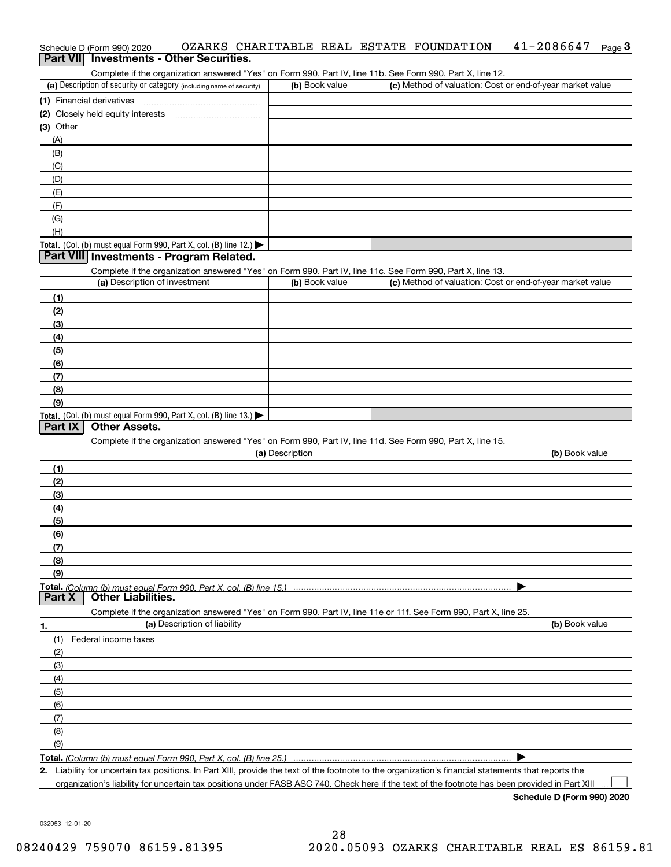# Schedule D (Form 990) 2020 OZARKS CHARITABLE REAL ESTATE FOUNDATION 41-2086647 <sub>Page</sub> 3<br>| **Part VII** | Investments - Other Securities.

Complete if the organization answered "Yes" on Form 990, Part IV, line 11b. See Form 990, Part X, line 12.

| (a) Description of security or category (including name of security) | (b) Book value | (c) Method of valuation: Cost or end-of-year market value |
|----------------------------------------------------------------------|----------------|-----------------------------------------------------------|
| (1) Financial derivatives                                            |                |                                                           |
| (2) Closely held equity interests                                    |                |                                                           |
| (3) Other                                                            |                |                                                           |
| (A)                                                                  |                |                                                           |
| (B)                                                                  |                |                                                           |
| (C)                                                                  |                |                                                           |
| (D)                                                                  |                |                                                           |
| (E)                                                                  |                |                                                           |
| (F)                                                                  |                |                                                           |
| (G)                                                                  |                |                                                           |
| (H)                                                                  |                |                                                           |
| Total. (Col. (b) must equal Form 990, Part X, col. (B) line $12$ .)  |                |                                                           |

#### **Part VIII Investments - Program Related.**

Complete if the organization answered "Yes" on Form 990, Part IV, line 11c. See Form 990, Part X, line 13.

| (a) Description of investment                                       | (b) Book value | (c) Method of valuation: Cost or end-of-year market value |
|---------------------------------------------------------------------|----------------|-----------------------------------------------------------|
| (1)                                                                 |                |                                                           |
| (2)                                                                 |                |                                                           |
| $\frac{1}{2}$                                                       |                |                                                           |
| (4)                                                                 |                |                                                           |
| (5)                                                                 |                |                                                           |
| (6)                                                                 |                |                                                           |
| (7)                                                                 |                |                                                           |
| (8)                                                                 |                |                                                           |
| (9)                                                                 |                |                                                           |
| Total. (Col. (b) must equal Form 990, Part X, col. (B) line $13.$ ) |                |                                                           |

#### **Part IX Other Assets.**

Complete if the organization answered "Yes" on Form 990, Part IV, line 11d. See Form 990, Part X, line 15.

| (a) Description                                                                                                   | (b) Book value |
|-------------------------------------------------------------------------------------------------------------------|----------------|
| (1)                                                                                                               |                |
| (2)                                                                                                               |                |
| $\frac{1}{2}$                                                                                                     |                |
| (4)                                                                                                               |                |
| (5)                                                                                                               |                |
| (6)                                                                                                               |                |
| (7)                                                                                                               |                |
| (8)                                                                                                               |                |
| (9)                                                                                                               |                |
|                                                                                                                   |                |
| Part X<br><b>Other Liabilities.</b>                                                                               |                |
| Complete if the organization answered "Yes" on Form 990, Part IV, line 11e or 11f. See Form 990, Part X, line 25. |                |

**1.(a)** Description of liability **Book value** Book value Book value Book value Book value (1)Federal income taxes (2)(3)(4)(5) (6)(7)(8)(9) $\blacktriangleright$ 

**Total.**  *(Column (b) must equal Form 990, Part X, col. (B) line 25.)* 

**2.**Liability for uncertain tax positions. In Part XIII, provide the text of the footnote to the organization's financial statements that reports the organization's liability for uncertain tax positions under FASB ASC 740. Check here if the text of the footnote has been provided in Part XIII

**Schedule D (Form 990) 2020**

 $\mathcal{L}^{\text{max}}$ 

032053 12-01-20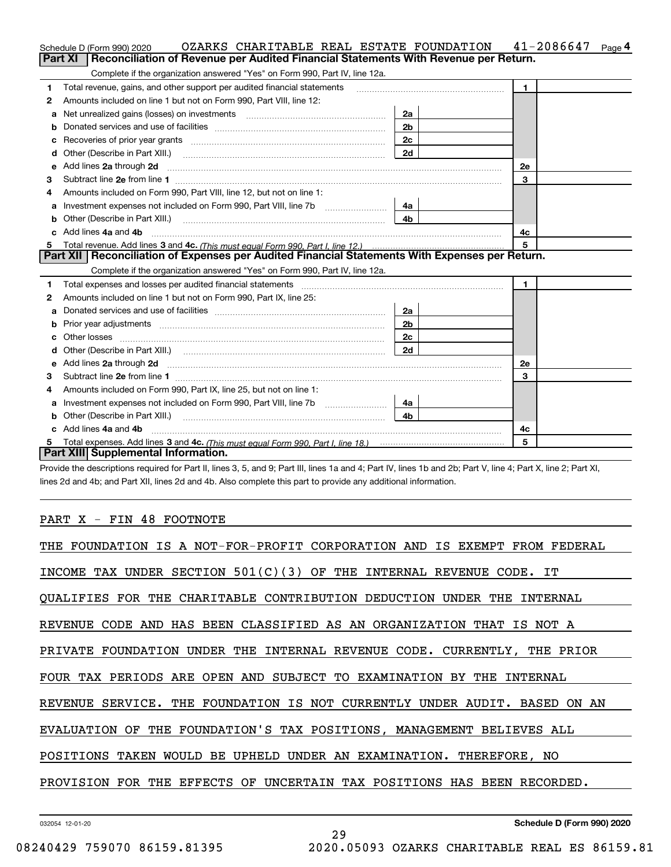|    | OZARKS CHARITABLE REAL ESTATE FOUNDATION<br>Schedule D (Form 990) 2020                                                                                                                                                              |                | 41-2086647<br>Page 4 |
|----|-------------------------------------------------------------------------------------------------------------------------------------------------------------------------------------------------------------------------------------|----------------|----------------------|
|    | Reconciliation of Revenue per Audited Financial Statements With Revenue per Return.<br>Part XI                                                                                                                                      |                |                      |
|    | Complete if the organization answered "Yes" on Form 990, Part IV, line 12a.                                                                                                                                                         |                |                      |
| 1  | Total revenue, gains, and other support per audited financial statements                                                                                                                                                            |                | $\mathbf{1}$         |
| 2  | Amounts included on line 1 but not on Form 990, Part VIII, line 12:                                                                                                                                                                 |                |                      |
| a  |                                                                                                                                                                                                                                     | 2a             |                      |
|    |                                                                                                                                                                                                                                     | 2 <sub>b</sub> |                      |
|    | Recoveries of prior year grants [11,111] Recoveries of prior year grants [11,111] Recoveries of prior year grants                                                                                                                   | 2c             |                      |
| d  | Other (Describe in Part XIII.) <b>Construction Contract Construction</b> (Describe in Part XIII.)                                                                                                                                   | 2d             |                      |
| е  | Add lines 2a through 2d                                                                                                                                                                                                             |                | <b>2e</b>            |
| з  |                                                                                                                                                                                                                                     |                | 3                    |
| 4  | Amounts included on Form 990, Part VIII, line 12, but not on line 1:                                                                                                                                                                |                |                      |
|    |                                                                                                                                                                                                                                     | 4а             |                      |
| b  | Other (Describe in Part XIII.) <b>Construction Contract Construction</b> (Describe in Part XIII.)                                                                                                                                   | 4 <sub>b</sub> |                      |
| c. | Add lines 4a and 4b                                                                                                                                                                                                                 |                | 4c                   |
|    |                                                                                                                                                                                                                                     |                | 5                    |
|    | Part XII   Reconciliation of Expenses per Audited Financial Statements With Expenses per Return.                                                                                                                                    |                |                      |
|    | Complete if the organization answered "Yes" on Form 990, Part IV, line 12a.                                                                                                                                                         |                |                      |
| 1  | Total expenses and losses per audited financial statements [11] [12] manuscription control expenses and losses per audited financial statements [12] manuscription of the statements [12] manuscription of the statements [12]      |                | $\mathbf{1}$         |
| 2  | Amounts included on line 1 but not on Form 990, Part IX, line 25:                                                                                                                                                                   |                |                      |
| a  |                                                                                                                                                                                                                                     | 2a             |                      |
|    |                                                                                                                                                                                                                                     | 2 <sub>b</sub> |                      |
| с  |                                                                                                                                                                                                                                     | 2 <sub>c</sub> |                      |
| d  |                                                                                                                                                                                                                                     | 2d             |                      |
| е  | Add lines 2a through 2d <b>contained a contained a contained a contained a</b> contained a contact the set of the set of the set of the set of the set of the set of the set of the set of the set of the set of the set of the set |                | 2е                   |
| 3  |                                                                                                                                                                                                                                     |                | 3                    |
| 4  | Amounts included on Form 990, Part IX, line 25, but not on line 1:                                                                                                                                                                  |                |                      |
| а  |                                                                                                                                                                                                                                     | 4a l           |                      |
| b  |                                                                                                                                                                                                                                     | 4b.            |                      |
|    | Add lines 4a and 4b                                                                                                                                                                                                                 |                | 4с                   |
|    |                                                                                                                                                                                                                                     |                | 5                    |
|    | Part XIII Supplemental Information.                                                                                                                                                                                                 |                |                      |

Provide the descriptions required for Part II, lines 3, 5, and 9; Part III, lines 1a and 4; Part IV, lines 1b and 2b; Part V, line 4; Part X, line 2; Part XI, lines 2d and 4b; and Part XII, lines 2d and 4b. Also complete this part to provide any additional information.

#### PART X - FIN 48 FOOTNOTE

| THE FOUNDATION IS A NOT-FOR-PROFIT CORPORATION AND IS EXEMPT FROM FEDERAL |
|---------------------------------------------------------------------------|
| INCOME TAX UNDER SECTION $501(C)(3)$ OF THE INTERNAL REVENUE CODE. IT     |
| QUALIFIES FOR THE CHARITABLE CONTRIBUTION DEDUCTION UNDER THE INTERNAL    |
| REVENUE CODE AND HAS BEEN CLASSIFIED AS AN ORGANIZATION THAT IS NOT A     |
| PRIVATE FOUNDATION UNDER THE INTERNAL REVENUE CODE. CURRENTLY, THE PRIOR  |
| FOUR TAX PERIODS ARE OPEN AND SUBJECT TO EXAMINATION BY THE INTERNAL      |
| REVENUE SERVICE. THE FOUNDATION IS NOT CURRENTLY UNDER AUDIT. BASED ON AN |
| EVALUATION OF THE FOUNDATION'S TAX POSITIONS, MANAGEMENT BELIEVES ALL     |
| POSITIONS TAKEN WOULD BE UPHELD UNDER AN EXAMINATION. THEREFORE, NO       |
| PROVISION FOR THE EFFECTS OF UNCERTAIN TAX POSITIONS HAS BEEN RECORDED.   |
|                                                                           |

29

032054 12-01-20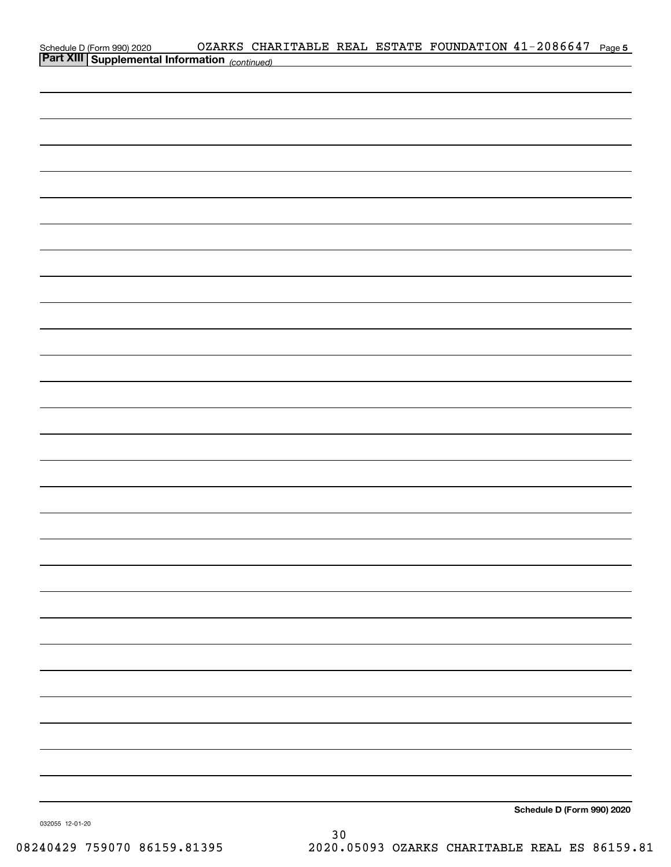|  | OZARKS CHARITABLE REAL ESTATE FOUNDATION 41-2086647 Page 5 |                                                                                                                     |                            |  |
|--|------------------------------------------------------------|---------------------------------------------------------------------------------------------------------------------|----------------------------|--|
|  |                                                            | <u> 1980 - Johann Barn, mars ann an t-Amhain an t-Amhain an t-Amhain an t-Amhain an t-Amhain an t-Amhain an t-A</u> |                            |  |
|  |                                                            |                                                                                                                     |                            |  |
|  |                                                            |                                                                                                                     |                            |  |
|  |                                                            |                                                                                                                     |                            |  |
|  |                                                            |                                                                                                                     |                            |  |
|  |                                                            |                                                                                                                     |                            |  |
|  |                                                            |                                                                                                                     |                            |  |
|  |                                                            |                                                                                                                     |                            |  |
|  |                                                            |                                                                                                                     |                            |  |
|  |                                                            |                                                                                                                     |                            |  |
|  |                                                            |                                                                                                                     |                            |  |
|  |                                                            |                                                                                                                     |                            |  |
|  |                                                            |                                                                                                                     |                            |  |
|  |                                                            |                                                                                                                     |                            |  |
|  |                                                            |                                                                                                                     |                            |  |
|  |                                                            |                                                                                                                     |                            |  |
|  |                                                            |                                                                                                                     |                            |  |
|  |                                                            |                                                                                                                     |                            |  |
|  |                                                            |                                                                                                                     |                            |  |
|  |                                                            |                                                                                                                     |                            |  |
|  |                                                            |                                                                                                                     |                            |  |
|  |                                                            |                                                                                                                     |                            |  |
|  |                                                            |                                                                                                                     |                            |  |
|  |                                                            |                                                                                                                     |                            |  |
|  |                                                            |                                                                                                                     |                            |  |
|  |                                                            |                                                                                                                     |                            |  |
|  |                                                            |                                                                                                                     |                            |  |
|  |                                                            |                                                                                                                     |                            |  |
|  |                                                            |                                                                                                                     |                            |  |
|  |                                                            |                                                                                                                     |                            |  |
|  |                                                            |                                                                                                                     |                            |  |
|  |                                                            |                                                                                                                     |                            |  |
|  |                                                            |                                                                                                                     |                            |  |
|  |                                                            |                                                                                                                     |                            |  |
|  |                                                            |                                                                                                                     |                            |  |
|  |                                                            |                                                                                                                     |                            |  |
|  |                                                            |                                                                                                                     |                            |  |
|  |                                                            |                                                                                                                     | Schedule D (Form 990) 2020 |  |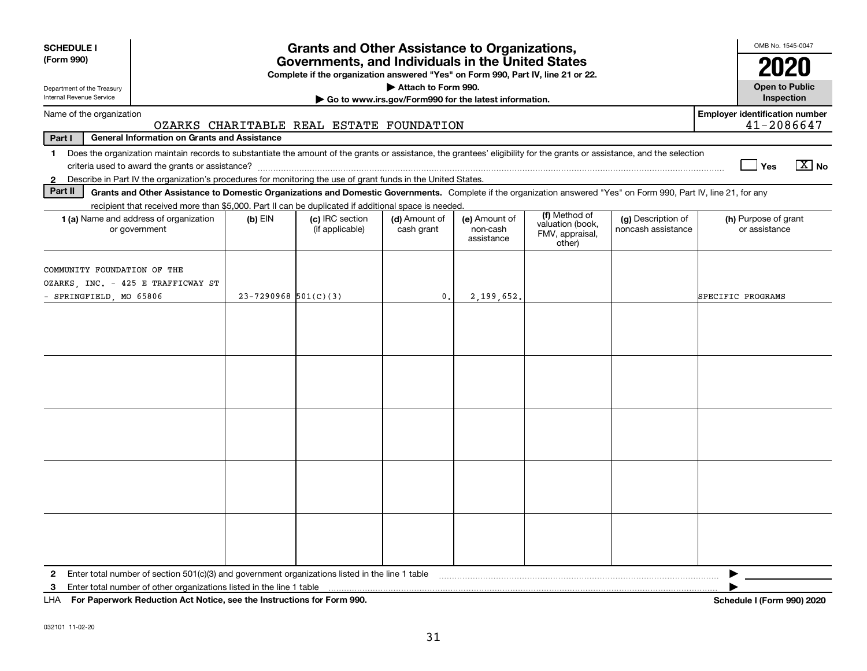| <b>SCHEDULE I</b><br>(Form 990)<br>Department of the Treasury<br>Internal Revenue Service                                                                                                                                                                                                                                | <b>Grants and Other Assistance to Organizations,</b><br>Governments, and Individuals in the United States<br>Complete if the organization answered "Yes" on Form 990, Part IV, line 21 or 22.<br>Attach to Form 990.<br>Go to www.irs.gov/Form990 for the latest information. |                                          |                             |                                         |                                                                |                                          |                                       |  |  |  |
|--------------------------------------------------------------------------------------------------------------------------------------------------------------------------------------------------------------------------------------------------------------------------------------------------------------------------|-------------------------------------------------------------------------------------------------------------------------------------------------------------------------------------------------------------------------------------------------------------------------------|------------------------------------------|-----------------------------|-----------------------------------------|----------------------------------------------------------------|------------------------------------------|---------------------------------------|--|--|--|
| Name of the organization                                                                                                                                                                                                                                                                                                 |                                                                                                                                                                                                                                                                               |                                          |                             |                                         |                                                                |                                          | <b>Employer identification number</b> |  |  |  |
| Part I<br><b>General Information on Grants and Assistance</b>                                                                                                                                                                                                                                                            |                                                                                                                                                                                                                                                                               | OZARKS CHARITABLE REAL ESTATE FOUNDATION |                             |                                         |                                                                |                                          | 41-2086647                            |  |  |  |
| Does the organization maintain records to substantiate the amount of the grants or assistance, the grantees' eligibility for the grants or assistance, and the selection<br>$\mathbf 1$<br>Describe in Part IV the organization's procedures for monitoring the use of grant funds in the United States.<br>$\mathbf{2}$ |                                                                                                                                                                                                                                                                               |                                          |                             |                                         |                                                                |                                          | $\boxed{\text{X}}$ No<br>∣ Yes        |  |  |  |
| Part II<br>Grants and Other Assistance to Domestic Organizations and Domestic Governments. Complete if the organization answered "Yes" on Form 990, Part IV, line 21, for any                                                                                                                                            |                                                                                                                                                                                                                                                                               |                                          |                             |                                         |                                                                |                                          |                                       |  |  |  |
| recipient that received more than \$5,000. Part II can be duplicated if additional space is needed.                                                                                                                                                                                                                      |                                                                                                                                                                                                                                                                               |                                          |                             |                                         |                                                                |                                          |                                       |  |  |  |
| <b>1 (a)</b> Name and address of organization<br>or government                                                                                                                                                                                                                                                           | $(b)$ EIN                                                                                                                                                                                                                                                                     | (c) IRC section<br>(if applicable)       | (d) Amount of<br>cash grant | (e) Amount of<br>non-cash<br>assistance | (f) Method of<br>valuation (book,<br>FMV, appraisal,<br>other) | (g) Description of<br>noncash assistance | (h) Purpose of grant<br>or assistance |  |  |  |
| COMMUNITY FOUNDATION OF THE<br>OZARKS, INC. - 425 E TRAFFICWAY ST<br>- SPRINGFIELD, MO 65806                                                                                                                                                                                                                             | $23 - 7290968$ 501(C)(3)                                                                                                                                                                                                                                                      |                                          | $\mathbf{0}$ .              | 2,199,652.                              |                                                                |                                          | SPECIFIC PROGRAMS                     |  |  |  |
|                                                                                                                                                                                                                                                                                                                          |                                                                                                                                                                                                                                                                               |                                          |                             |                                         |                                                                |                                          |                                       |  |  |  |
|                                                                                                                                                                                                                                                                                                                          |                                                                                                                                                                                                                                                                               |                                          |                             |                                         |                                                                |                                          |                                       |  |  |  |
|                                                                                                                                                                                                                                                                                                                          |                                                                                                                                                                                                                                                                               |                                          |                             |                                         |                                                                |                                          |                                       |  |  |  |
|                                                                                                                                                                                                                                                                                                                          |                                                                                                                                                                                                                                                                               |                                          |                             |                                         |                                                                |                                          |                                       |  |  |  |
|                                                                                                                                                                                                                                                                                                                          |                                                                                                                                                                                                                                                                               |                                          |                             |                                         |                                                                |                                          |                                       |  |  |  |
| Enter total number of section $501(c)(3)$ and government organizations listed in the line 1 table<br>$\mathbf{2}$<br>Enter total number of other organizations listed in the line 1 table<br>3<br>LHA For Paperwork Reduction Act Notice, see the Instructions for Form 990.                                             |                                                                                                                                                                                                                                                                               |                                          |                             |                                         |                                                                |                                          | <b>Schedule I (Form 990) 2020</b>     |  |  |  |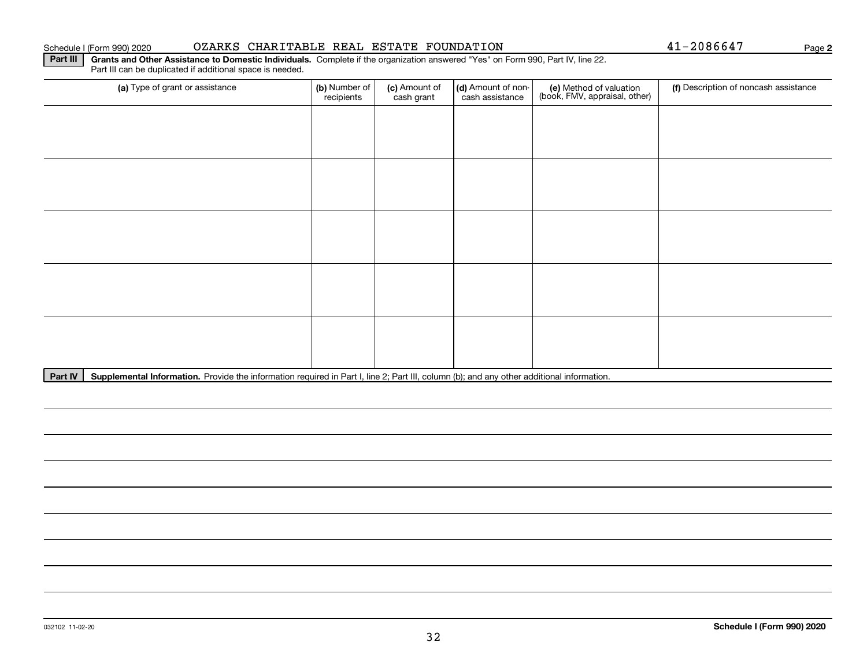#### Schedule I (Form 990) 2020 OZARKS CHARITABLE REAL ESTATE FOUNDATION Page

**Part III | Grants and Other Assistance to Domestic Individuals. Complete if the organization answered "Yes" on Form 990, Part IV, line 22.** Part III can be duplicated if additional space is needed.

| (a) Type of grant or assistance | (b) Number of<br>recipients | (c) Amount of<br>cash grant | (d) Amount of non-<br>cash assistance | (e) Method of valuation<br>(book, FMV, appraisal, other) | (f) Description of noncash assistance |
|---------------------------------|-----------------------------|-----------------------------|---------------------------------------|----------------------------------------------------------|---------------------------------------|
|                                 |                             |                             |                                       |                                                          |                                       |
|                                 |                             |                             |                                       |                                                          |                                       |
|                                 |                             |                             |                                       |                                                          |                                       |
|                                 |                             |                             |                                       |                                                          |                                       |
|                                 |                             |                             |                                       |                                                          |                                       |
|                                 |                             |                             |                                       |                                                          |                                       |
|                                 |                             |                             |                                       |                                                          |                                       |
|                                 |                             |                             |                                       |                                                          |                                       |
|                                 |                             |                             |                                       |                                                          |                                       |
|                                 |                             |                             |                                       |                                                          |                                       |

Part IV | Supplemental Information. Provide the information required in Part I, line 2; Part III, column (b); and any other additional information.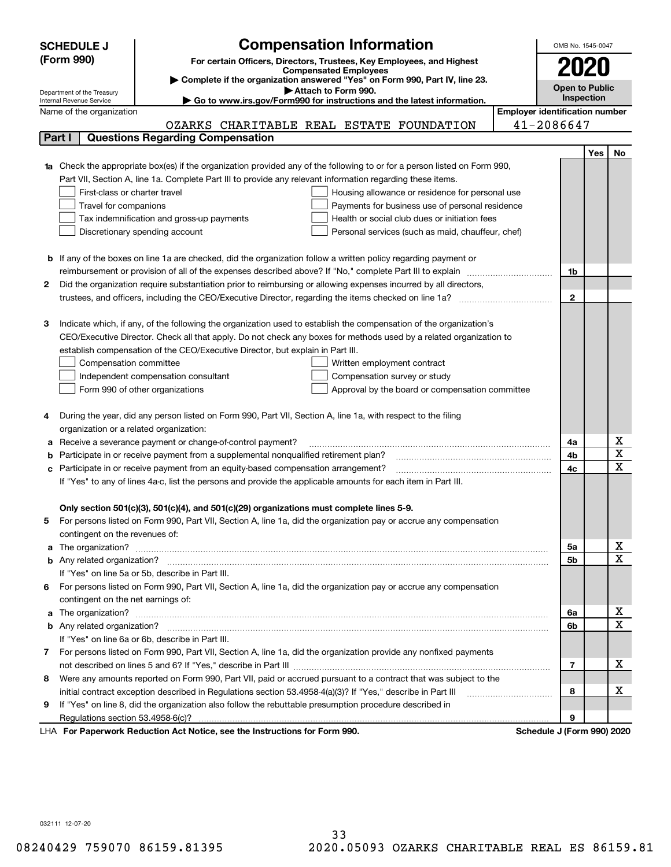|    | <b>SCHEDULE J</b>                                      | <b>Compensation Information</b>                                                                                             |                                       | OMB No. 1545-0047          |            |                              |  |
|----|--------------------------------------------------------|-----------------------------------------------------------------------------------------------------------------------------|---------------------------------------|----------------------------|------------|------------------------------|--|
|    | (Form 990)                                             |                                                                                                                             |                                       |                            |            |                              |  |
|    |                                                        | For certain Officers, Directors, Trustees, Key Employees, and Highest<br><b>Compensated Employees</b>                       |                                       |                            |            |                              |  |
|    |                                                        | Complete if the organization answered "Yes" on Form 990, Part IV, line 23.                                                  |                                       | Open to Public             |            |                              |  |
|    | Department of the Treasury<br>Internal Revenue Service | Attach to Form 990.<br>Go to www.irs.gov/Form990 for instructions and the latest information.                               |                                       |                            | Inspection |                              |  |
|    | Name of the organization                               |                                                                                                                             | <b>Employer identification number</b> |                            |            |                              |  |
|    |                                                        | OZARKS CHARITABLE REAL ESTATE FOUNDATION                                                                                    |                                       | 41-2086647                 |            |                              |  |
|    | Part I                                                 | <b>Questions Regarding Compensation</b>                                                                                     |                                       |                            |            |                              |  |
|    |                                                        |                                                                                                                             |                                       |                            | Yes        | No.                          |  |
|    |                                                        | 1a Check the appropriate box(es) if the organization provided any of the following to or for a person listed on Form 990,   |                                       |                            |            |                              |  |
|    |                                                        | Part VII, Section A, line 1a. Complete Part III to provide any relevant information regarding these items.                  |                                       |                            |            |                              |  |
|    | First-class or charter travel                          | Housing allowance or residence for personal use                                                                             |                                       |                            |            |                              |  |
|    | Travel for companions                                  | Payments for business use of personal residence                                                                             |                                       |                            |            |                              |  |
|    |                                                        | Health or social club dues or initiation fees<br>Tax indemnification and gross-up payments                                  |                                       |                            |            |                              |  |
|    |                                                        | Discretionary spending account<br>Personal services (such as maid, chauffeur, chef)                                         |                                       |                            |            |                              |  |
|    |                                                        |                                                                                                                             |                                       |                            |            |                              |  |
|    |                                                        | <b>b</b> If any of the boxes on line 1a are checked, did the organization follow a written policy regarding payment or      |                                       |                            |            |                              |  |
|    |                                                        | reimbursement or provision of all of the expenses described above? If "No," complete Part III to explain                    |                                       | 1b                         |            |                              |  |
| 2  |                                                        | Did the organization require substantiation prior to reimbursing or allowing expenses incurred by all directors,            |                                       |                            |            |                              |  |
|    |                                                        |                                                                                                                             |                                       | $\mathbf{2}$               |            |                              |  |
|    |                                                        |                                                                                                                             |                                       |                            |            |                              |  |
| З  |                                                        | Indicate which, if any, of the following the organization used to establish the compensation of the organization's          |                                       |                            |            |                              |  |
|    |                                                        | CEO/Executive Director. Check all that apply. Do not check any boxes for methods used by a related organization to          |                                       |                            |            |                              |  |
|    |                                                        | establish compensation of the CEO/Executive Director, but explain in Part III.                                              |                                       |                            |            |                              |  |
|    | Compensation committee                                 | Written employment contract                                                                                                 |                                       |                            |            |                              |  |
|    |                                                        | Independent compensation consultant<br>Compensation survey or study                                                         |                                       |                            |            |                              |  |
|    |                                                        | Form 990 of other organizations<br>Approval by the board or compensation committee                                          |                                       |                            |            |                              |  |
|    |                                                        |                                                                                                                             |                                       |                            |            |                              |  |
|    |                                                        | During the year, did any person listed on Form 990, Part VII, Section A, line 1a, with respect to the filing                |                                       |                            |            |                              |  |
|    | organization or a related organization:                |                                                                                                                             |                                       |                            |            |                              |  |
| а  |                                                        | Receive a severance payment or change-of-control payment?                                                                   |                                       | 4a                         |            | X<br>$\overline{\textbf{x}}$ |  |
|    |                                                        | Participate in or receive payment from a supplemental nonqualified retirement plan?                                         |                                       | 4b                         |            | $\overline{\mathbf{x}}$      |  |
|    |                                                        | c Participate in or receive payment from an equity-based compensation arrangement?                                          |                                       | 4c                         |            |                              |  |
|    |                                                        | If "Yes" to any of lines 4a-c, list the persons and provide the applicable amounts for each item in Part III.               |                                       |                            |            |                              |  |
|    |                                                        |                                                                                                                             |                                       |                            |            |                              |  |
|    |                                                        | Only section 501(c)(3), 501(c)(4), and 501(c)(29) organizations must complete lines 5-9.                                    |                                       |                            |            |                              |  |
| 5  |                                                        | For persons listed on Form 990, Part VII, Section A, line 1a, did the organization pay or accrue any compensation           |                                       |                            |            |                              |  |
|    | contingent on the revenues of:                         |                                                                                                                             |                                       | 5a                         |            | x                            |  |
|    |                                                        | a The organization? <b>Manual Community Community</b> Community Community Community Community Community Community Community |                                       | 5b                         |            | $\overline{\mathbf{x}}$      |  |
|    |                                                        | If "Yes" on line 5a or 5b, describe in Part III.                                                                            |                                       |                            |            |                              |  |
|    |                                                        | 6 For persons listed on Form 990, Part VII, Section A, line 1a, did the organization pay or accrue any compensation         |                                       |                            |            |                              |  |
|    | contingent on the net earnings of:                     |                                                                                                                             |                                       |                            |            |                              |  |
|    |                                                        |                                                                                                                             |                                       | 6a                         |            | х                            |  |
|    |                                                        |                                                                                                                             |                                       | 6b                         |            | $\mathbf X$                  |  |
|    |                                                        | If "Yes" on line 6a or 6b, describe in Part III.                                                                            |                                       |                            |            |                              |  |
|    |                                                        | 7 For persons listed on Form 990, Part VII, Section A, line 1a, did the organization provide any nonfixed payments          |                                       |                            |            |                              |  |
|    |                                                        |                                                                                                                             |                                       | 7                          |            | х                            |  |
| 8  |                                                        | Were any amounts reported on Form 990, Part VII, paid or accrued pursuant to a contract that was subject to the             |                                       |                            |            |                              |  |
|    |                                                        | initial contract exception described in Regulations section 53.4958-4(a)(3)? If "Yes," describe in Part III                 |                                       | 8                          |            | х                            |  |
| 9. |                                                        | If "Yes" on line 8, did the organization also follow the rebuttable presumption procedure described in                      |                                       |                            |            |                              |  |
|    |                                                        |                                                                                                                             |                                       | 9                          |            |                              |  |
|    |                                                        | expects Reduction Act Notice, see the Instructions for Ferm 000                                                             |                                       | Pohodulo I (Form 000) 2020 |            |                              |  |

LHA For Paperwork Reduction Act Notice, see the Instructions for Form 990. Schedule J (Form 990) 2020

032111 12-07-20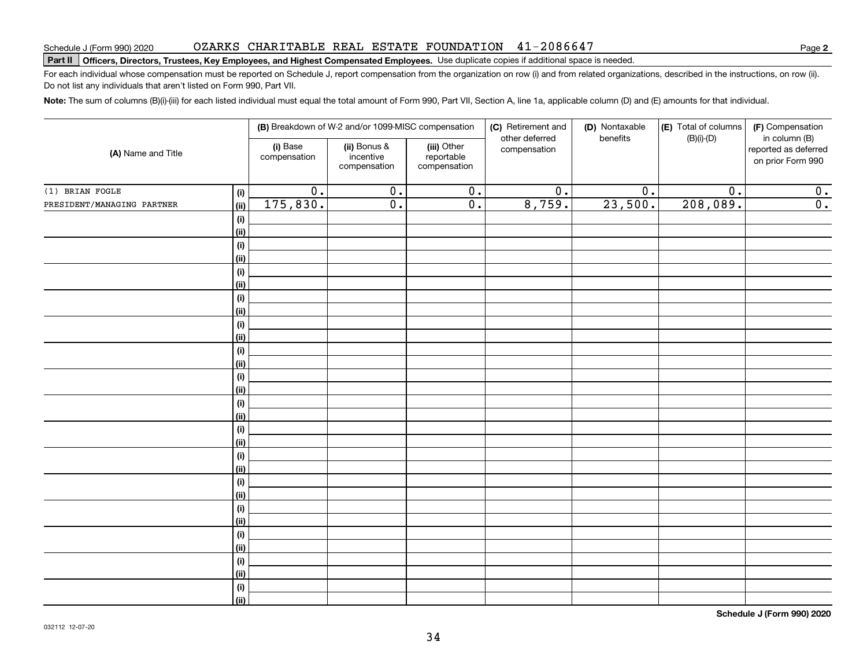Do not list any individuals that aren't listed on Form 990, Part VII.

|                            |      |                          | (B) Breakdown of W-2 and/or 1099-MISC compensation |                                           | (C) Retirement and<br>other deferred | (D) Nontaxable<br>benefits | (E) Total of columns<br>$(B)(i)-(D)$ | (F) Compensation<br>in column (B)         |
|----------------------------|------|--------------------------|----------------------------------------------------|-------------------------------------------|--------------------------------------|----------------------------|--------------------------------------|-------------------------------------------|
| (A) Name and Title         |      | (i) Base<br>compensation | (ii) Bonus &<br>incentive<br>compensation          | (iii) Other<br>reportable<br>compensation | compensation                         |                            |                                      | reported as deferred<br>on prior Form 990 |
| (1) BRIAN FOGLE            | (i)  | $\overline{0}$ .         | $\overline{0}$ .                                   | $\overline{0}$ .                          | $\overline{0}$ .                     | $\overline{0}$ .           | $\overline{0}$ .                     | $\overline{\mathbf{0}}$ .                 |
| PRESIDENT/MANAGING PARTNER | (ii) | 175,830.                 | $\overline{0}$ .                                   | $\overline{0}$ .                          | 8,759.                               | 23,500.                    | 208,089.                             | $\overline{0}$ .                          |
|                            | (i)  |                          |                                                    |                                           |                                      |                            |                                      |                                           |
|                            | (ii) |                          |                                                    |                                           |                                      |                            |                                      |                                           |
|                            | (i)  |                          |                                                    |                                           |                                      |                            |                                      |                                           |
|                            | (ii) |                          |                                                    |                                           |                                      |                            |                                      |                                           |
|                            | (i)  |                          |                                                    |                                           |                                      |                            |                                      |                                           |
|                            | (ii) |                          |                                                    |                                           |                                      |                            |                                      |                                           |
|                            | (i)  |                          |                                                    |                                           |                                      |                            |                                      |                                           |
|                            | (ii) |                          |                                                    |                                           |                                      |                            |                                      |                                           |
|                            | (i)  |                          |                                                    |                                           |                                      |                            |                                      |                                           |
|                            | (ii) |                          |                                                    |                                           |                                      |                            |                                      |                                           |
|                            | (i)  |                          |                                                    |                                           |                                      |                            |                                      |                                           |
|                            | (ii) |                          |                                                    |                                           |                                      |                            |                                      |                                           |
|                            | (i)  |                          |                                                    |                                           |                                      |                            |                                      |                                           |
|                            | (ii) |                          |                                                    |                                           |                                      |                            |                                      |                                           |
|                            | (i)  |                          |                                                    |                                           |                                      |                            |                                      |                                           |
|                            | (ii) |                          |                                                    |                                           |                                      |                            |                                      |                                           |
|                            | (i)  |                          |                                                    |                                           |                                      |                            |                                      |                                           |
|                            | (ii) |                          |                                                    |                                           |                                      |                            |                                      |                                           |
|                            | (i)  |                          |                                                    |                                           |                                      |                            |                                      |                                           |
|                            | (ii) |                          |                                                    |                                           |                                      |                            |                                      |                                           |
|                            | (i)  |                          |                                                    |                                           |                                      |                            |                                      |                                           |
|                            | (ii) |                          |                                                    |                                           |                                      |                            |                                      |                                           |
|                            | (i)  |                          |                                                    |                                           |                                      |                            |                                      |                                           |
|                            | (ii) |                          |                                                    |                                           |                                      |                            |                                      |                                           |
|                            | (i)  |                          |                                                    |                                           |                                      |                            |                                      |                                           |
|                            | (ii) |                          |                                                    |                                           |                                      |                            |                                      |                                           |
|                            | (i)  |                          |                                                    |                                           |                                      |                            |                                      |                                           |
|                            | (ii) |                          |                                                    |                                           |                                      |                            |                                      |                                           |
|                            | (i)  |                          |                                                    |                                           |                                      |                            |                                      |                                           |
|                            | (ii) |                          |                                                    |                                           |                                      |                            |                                      |                                           |

For each individual whose compensation must be reported on Schedule J, report compensation from the organization on row (i) and from related organizations, described in the instructions, on row (ii).

#### **Part II Officers, Directors, Trustees, Key Employees, and Highest Compensated Employees.**  Schedule J (Form 990) 2020 Page Use duplicate copies if additional space is needed. OZARKS CHARITABLE REAL ESTATE FOUNDATION 41-2086647

**Schedule J (Form 990) 2020**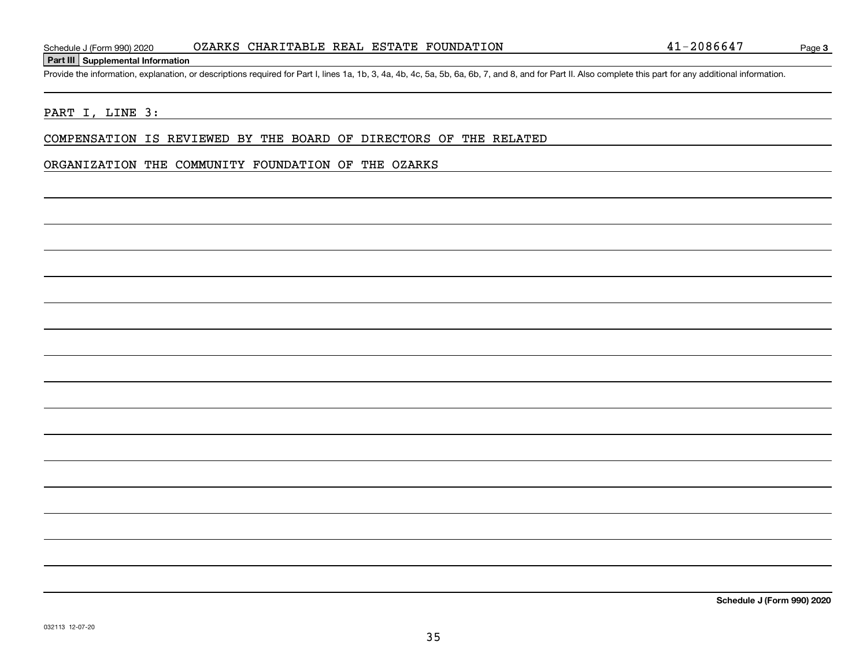#### **Part III Supplemental Information**

Schedule J (Form 990) 2020 02ARKS CHARITABLE REAL ESTATE FOUNDATION 41-2086647<br>Part III Supplemental Information<br>Provide the information, explanation, or descriptions required for Part I, lines 1a, 1b, 3, 4a, 4b, 4c, 5a,

#### PART I, LINE 3:

COMPENSATION IS REVIEWED BY THE BOARD OF DIRECTORS OF THE RELATED

#### ORGANIZATION THE COMMUNITY FOUNDATION OF THE OZARKS

**Schedule J (Form 990) 2020**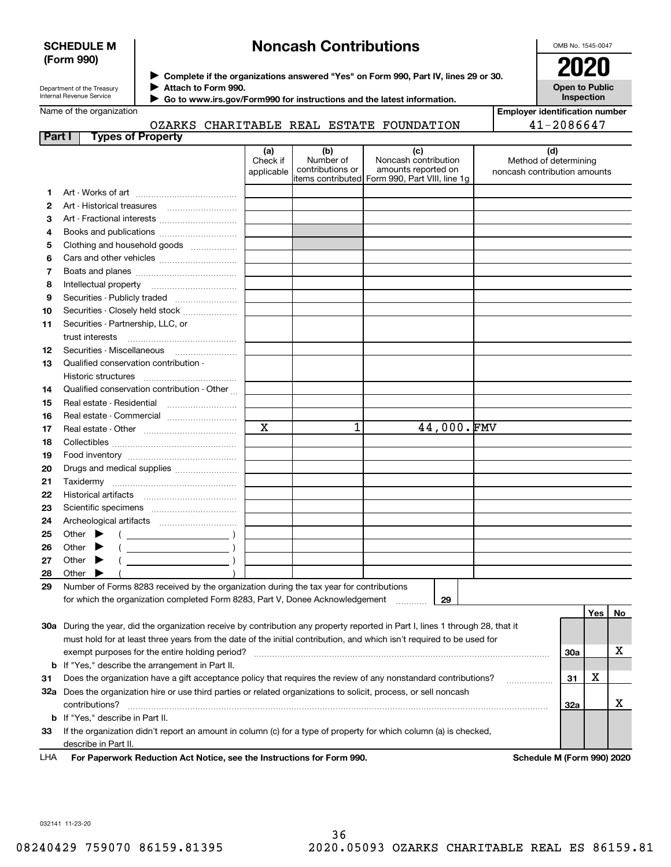#### **SCHEDULE M (Form 990)**

## **Noncash Contributions**

OMB No. 1545-0047

| Department of the Treasury |
|----------------------------|
| Internal Revenue Service   |

**Complete if the organizations answered "Yes" on Form 990, Part IV, lines 29 or 30.** <sup>J</sup>**2020 Attach to Form 990.** J

**Open to Public Inspection**

**Employer identification number**

41-2086647

Name of the organization

 **Go to www.irs.gov/Form990 for instructions and the latest information.** J

## OZARKS CHARITABLE REAL ESTATE FOUNDATION

| Part I   | <b>Types of Property</b>                                                                                                       |                               |                                      |                                                                                                        |                                                              |            |     |    |
|----------|--------------------------------------------------------------------------------------------------------------------------------|-------------------------------|--------------------------------------|--------------------------------------------------------------------------------------------------------|--------------------------------------------------------------|------------|-----|----|
|          |                                                                                                                                | (a)<br>Check if<br>applicable | (b)<br>Number of<br>contributions or | (c)<br>Noncash contribution<br>amounts reported on<br> items contributed  Form 990, Part VIII, line 1g | (d)<br>Method of determining<br>noncash contribution amounts |            |     |    |
| 1.       |                                                                                                                                |                               |                                      |                                                                                                        |                                                              |            |     |    |
| 2        | Art - Historical treasures                                                                                                     |                               |                                      |                                                                                                        |                                                              |            |     |    |
| 3        | Art - Fractional interests                                                                                                     |                               |                                      |                                                                                                        |                                                              |            |     |    |
| 4        | Books and publications                                                                                                         |                               |                                      |                                                                                                        |                                                              |            |     |    |
| 5        | Clothing and household goods                                                                                                   |                               |                                      |                                                                                                        |                                                              |            |     |    |
| 6        |                                                                                                                                |                               |                                      |                                                                                                        |                                                              |            |     |    |
| 7        |                                                                                                                                |                               |                                      |                                                                                                        |                                                              |            |     |    |
| 8        |                                                                                                                                |                               |                                      |                                                                                                        |                                                              |            |     |    |
| 9        | Securities - Publicly traded                                                                                                   |                               |                                      |                                                                                                        |                                                              |            |     |    |
| 10       | Securities - Closely held stock                                                                                                |                               |                                      |                                                                                                        |                                                              |            |     |    |
| 11       | Securities - Partnership, LLC, or                                                                                              |                               |                                      |                                                                                                        |                                                              |            |     |    |
|          | trust interests                                                                                                                |                               |                                      |                                                                                                        |                                                              |            |     |    |
| 12       |                                                                                                                                |                               |                                      |                                                                                                        |                                                              |            |     |    |
| 13       | Qualified conservation contribution -                                                                                          |                               |                                      |                                                                                                        |                                                              |            |     |    |
|          | Historic structures                                                                                                            |                               |                                      |                                                                                                        |                                                              |            |     |    |
| 14       | Qualified conservation contribution - Other                                                                                    |                               |                                      |                                                                                                        |                                                              |            |     |    |
| 15       |                                                                                                                                |                               |                                      |                                                                                                        |                                                              |            |     |    |
| 16       | Real estate - Commercial                                                                                                       |                               |                                      |                                                                                                        |                                                              |            |     |    |
| 17       |                                                                                                                                | $\mathbf X$                   | 1                                    | 44,000.FMV                                                                                             |                                                              |            |     |    |
| 18       |                                                                                                                                |                               |                                      |                                                                                                        |                                                              |            |     |    |
| 19       |                                                                                                                                |                               |                                      |                                                                                                        |                                                              |            |     |    |
| 20       | Drugs and medical supplies                                                                                                     |                               |                                      |                                                                                                        |                                                              |            |     |    |
| 21       |                                                                                                                                |                               |                                      |                                                                                                        |                                                              |            |     |    |
| 22       |                                                                                                                                |                               |                                      |                                                                                                        |                                                              |            |     |    |
| 23       |                                                                                                                                |                               |                                      |                                                                                                        |                                                              |            |     |    |
| 24<br>25 | Other $\blacktriangleright$                                                                                                    |                               |                                      |                                                                                                        |                                                              |            |     |    |
| 26       | $\overline{\phantom{a}}$<br>$\overline{\phantom{a}}$ )<br>Other                                                                |                               |                                      |                                                                                                        |                                                              |            |     |    |
| 27       | $\overline{\phantom{a}}$ )<br>Other<br>▸                                                                                       |                               |                                      |                                                                                                        |                                                              |            |     |    |
| 28       | Other<br>▶                                                                                                                     |                               |                                      |                                                                                                        |                                                              |            |     |    |
| 29       | Number of Forms 8283 received by the organization during the tax year for contributions                                        |                               |                                      |                                                                                                        |                                                              |            |     |    |
|          | for which the organization completed Form 8283, Part V, Donee Acknowledgement                                                  |                               |                                      | 29                                                                                                     |                                                              |            |     |    |
|          |                                                                                                                                |                               |                                      |                                                                                                        |                                                              |            | Yes | No |
|          | 30a During the year, did the organization receive by contribution any property reported in Part I, lines 1 through 28, that it |                               |                                      |                                                                                                        |                                                              |            |     |    |
|          | must hold for at least three years from the date of the initial contribution, and which isn't required to be used for          |                               |                                      |                                                                                                        |                                                              |            |     |    |
|          | exempt purposes for the entire holding period?                                                                                 |                               |                                      |                                                                                                        |                                                              | <b>30a</b> |     | х  |
|          | <b>b</b> If "Yes," describe the arrangement in Part II.                                                                        |                               |                                      |                                                                                                        |                                                              |            |     |    |
| 31       | Does the organization have a gift acceptance policy that requires the review of any nonstandard contributions?                 |                               |                                      |                                                                                                        |                                                              | 31         | X   |    |
|          | 32a Does the organization hire or use third parties or related organizations to solicit, process, or sell noncash              |                               |                                      |                                                                                                        |                                                              |            |     |    |
|          | contributions?                                                                                                                 |                               |                                      |                                                                                                        |                                                              | 32a        |     | x  |
|          | <b>b</b> If "Yes," describe in Part II.                                                                                        |                               |                                      |                                                                                                        |                                                              |            |     |    |
| 33       | If the organization didn't report an amount in column (c) for a type of property for which column (a) is checked,              |                               |                                      |                                                                                                        |                                                              |            |     |    |

describe in Part II.

**For Paperwork Reduction Act Notice, see the Instructions for Form 990. Schedule M (Form 990) 2020** LHA

032141 11-23-20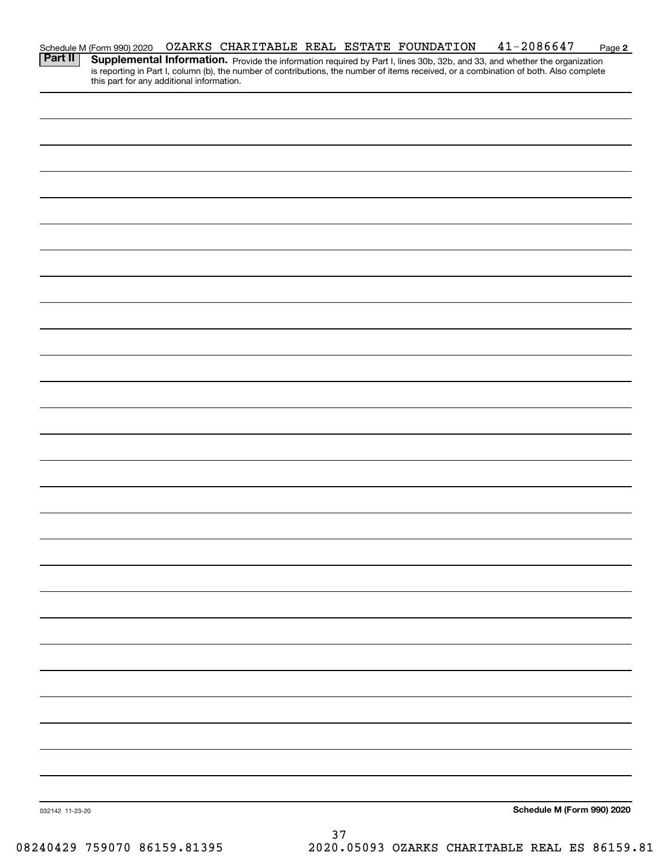|                 | Schedule M (Form 990) 2020                |  |    | OZARKS CHARITABLE REAL ESTATE FOUNDATION | $41 - 2086647$                                                                                                                                                                                                                                                       | Page 2 |
|-----------------|-------------------------------------------|--|----|------------------------------------------|----------------------------------------------------------------------------------------------------------------------------------------------------------------------------------------------------------------------------------------------------------------------|--------|
| <b>Part II</b>  | this part for any additional information. |  |    |                                          | Supplemental Information. Provide the information required by Part I, lines 30b, 32b, and 33, and whether the organization<br>is reporting in Part I, column (b), the number of contributions, the number of items received, or a combination of both. Also complete |        |
|                 |                                           |  |    |                                          |                                                                                                                                                                                                                                                                      |        |
|                 |                                           |  |    |                                          |                                                                                                                                                                                                                                                                      |        |
|                 |                                           |  |    |                                          |                                                                                                                                                                                                                                                                      |        |
|                 |                                           |  |    |                                          |                                                                                                                                                                                                                                                                      |        |
|                 |                                           |  |    |                                          |                                                                                                                                                                                                                                                                      |        |
|                 |                                           |  |    |                                          |                                                                                                                                                                                                                                                                      |        |
|                 |                                           |  |    |                                          |                                                                                                                                                                                                                                                                      |        |
|                 |                                           |  |    |                                          |                                                                                                                                                                                                                                                                      |        |
|                 |                                           |  |    |                                          |                                                                                                                                                                                                                                                                      |        |
|                 |                                           |  |    |                                          |                                                                                                                                                                                                                                                                      |        |
|                 |                                           |  |    |                                          |                                                                                                                                                                                                                                                                      |        |
|                 |                                           |  |    |                                          |                                                                                                                                                                                                                                                                      |        |
|                 |                                           |  |    |                                          |                                                                                                                                                                                                                                                                      |        |
|                 |                                           |  |    |                                          |                                                                                                                                                                                                                                                                      |        |
|                 |                                           |  |    |                                          |                                                                                                                                                                                                                                                                      |        |
|                 |                                           |  |    |                                          |                                                                                                                                                                                                                                                                      |        |
|                 |                                           |  |    |                                          |                                                                                                                                                                                                                                                                      |        |
|                 |                                           |  |    |                                          |                                                                                                                                                                                                                                                                      |        |
|                 |                                           |  |    |                                          |                                                                                                                                                                                                                                                                      |        |
|                 |                                           |  |    |                                          |                                                                                                                                                                                                                                                                      |        |
|                 |                                           |  |    |                                          |                                                                                                                                                                                                                                                                      |        |
|                 |                                           |  |    |                                          |                                                                                                                                                                                                                                                                      |        |
|                 |                                           |  |    |                                          |                                                                                                                                                                                                                                                                      |        |
|                 |                                           |  |    |                                          |                                                                                                                                                                                                                                                                      |        |
|                 |                                           |  |    |                                          |                                                                                                                                                                                                                                                                      |        |
|                 |                                           |  |    |                                          |                                                                                                                                                                                                                                                                      |        |
|                 |                                           |  |    |                                          |                                                                                                                                                                                                                                                                      |        |
|                 |                                           |  |    |                                          |                                                                                                                                                                                                                                                                      |        |
|                 |                                           |  |    |                                          |                                                                                                                                                                                                                                                                      |        |
|                 |                                           |  |    |                                          |                                                                                                                                                                                                                                                                      |        |
|                 |                                           |  |    |                                          |                                                                                                                                                                                                                                                                      |        |
| 032142 11-23-20 |                                           |  |    |                                          | Schedule M (Form 990) 2020                                                                                                                                                                                                                                           |        |
|                 |                                           |  | 37 |                                          |                                                                                                                                                                                                                                                                      |        |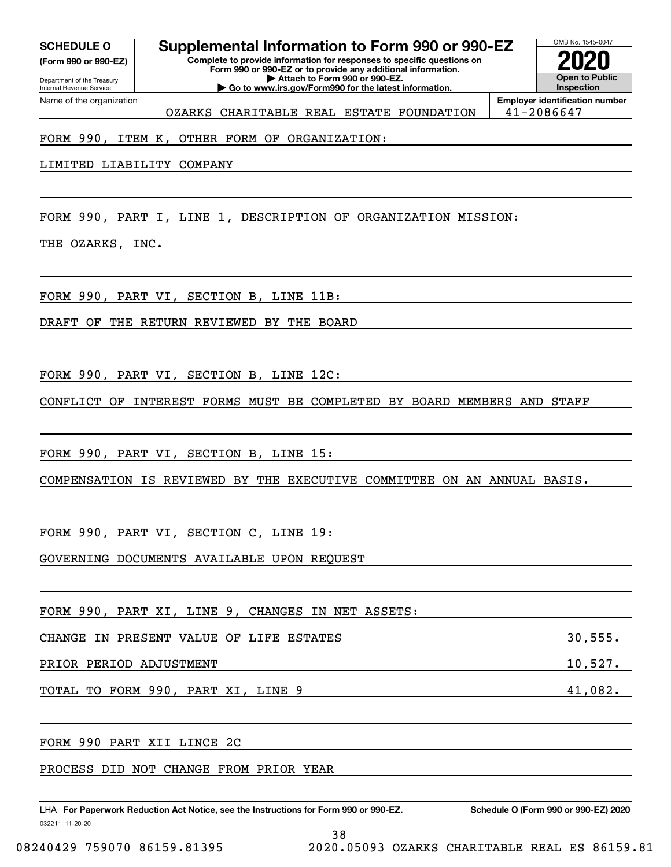**(Form 990 or 990-EZ)**

Department of the Treasury Internal Revenue Service Name of the organization

## **Complete to provide information for responses to specific questions on SCHEDULE O Supplemental Information to Form 990 or 990-EZ**

**Form 990 or 990-EZ or to provide any additional information. | Attach to Form 990 or 990-EZ. | Go to www.irs.gov/Form990 for the latest information.**



OZARKS CHARITABLE REAL ESTATE FOUNDATION | 41-2086647

**Employer identification number**

#### FORM 990, ITEM K, OTHER FORM OF ORGANIZATION:

LIMITED LIABILITY COMPANY

FORM 990, PART I, LINE 1, DESCRIPTION OF ORGANIZATION MISSION:

THE OZARKS, INC.

FORM 990, PART VI, SECTION B, LINE 11B:

DRAFT OF THE RETURN REVIEWED BY THE BOARD

FORM 990, PART VI, SECTION B, LINE 12C:

CONFLICT OF INTEREST FORMS MUST BE COMPLETED BY BOARD MEMBERS AND STAFF

FORM 990, PART VI, SECTION B, LINE 15:

COMPENSATION IS REVIEWED BY THE EXECUTIVE COMMITTEE ON AN ANNUAL BASIS.

FORM 990, PART VI, SECTION C, LINE 19:

GOVERNING DOCUMENTS AVAILABLE UPON REQUEST

| FORM 990, PART XI, LINE 9, CHANGES IN NET ASSETS: |         |
|---------------------------------------------------|---------|
| CHANGE IN PRESENT VALUE OF LIFE ESTATES           | 30,555. |
| PRIOR PERIOD ADJUSTMENT                           | 10,527. |
| TOTAL TO FORM 990, PART XI, LINE 9                | 41,082. |

38

FORM 990 PART XII LINCE 2C

PROCESS DID NOT CHANGE FROM PRIOR YEAR

032211 11-20-20 LHA For Paperwork Reduction Act Notice, see the Instructions for Form 990 or 990-EZ. Schedule O (Form 990 or 990-EZ) 2020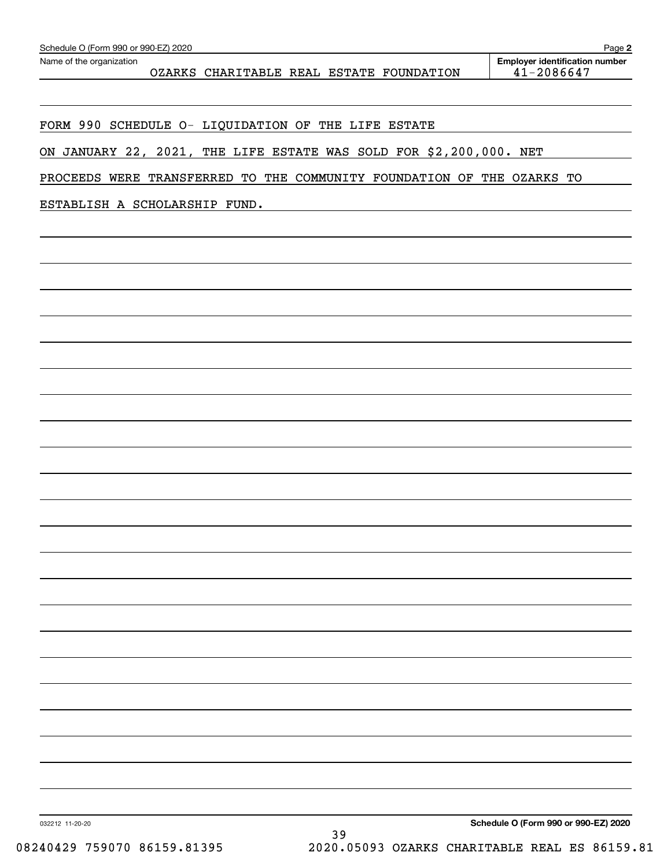| Schedule O (Form 990 or 990-EZ) 2020<br>Name of the organization       | Page 2<br><b>Employer identification number</b> |
|------------------------------------------------------------------------|-------------------------------------------------|
| OZARKS CHARITABLE REAL ESTATE FOUNDATION                               | $41 - 2086647$                                  |
|                                                                        |                                                 |
| FORM 990 SCHEDULE O- LIQUIDATION OF THE LIFE ESTATE                    |                                                 |
| ON JANUARY 22, 2021, THE LIFE ESTATE WAS SOLD FOR \$2,200,000. NET     |                                                 |
| PROCEEDS WERE TRANSFERRED TO THE COMMUNITY FOUNDATION OF THE OZARKS TO |                                                 |
| ESTABLISH A SCHOLARSHIP FUND.                                          |                                                 |
|                                                                        |                                                 |
|                                                                        |                                                 |

**Schedule O (Form 990 or 990-EZ) 2020**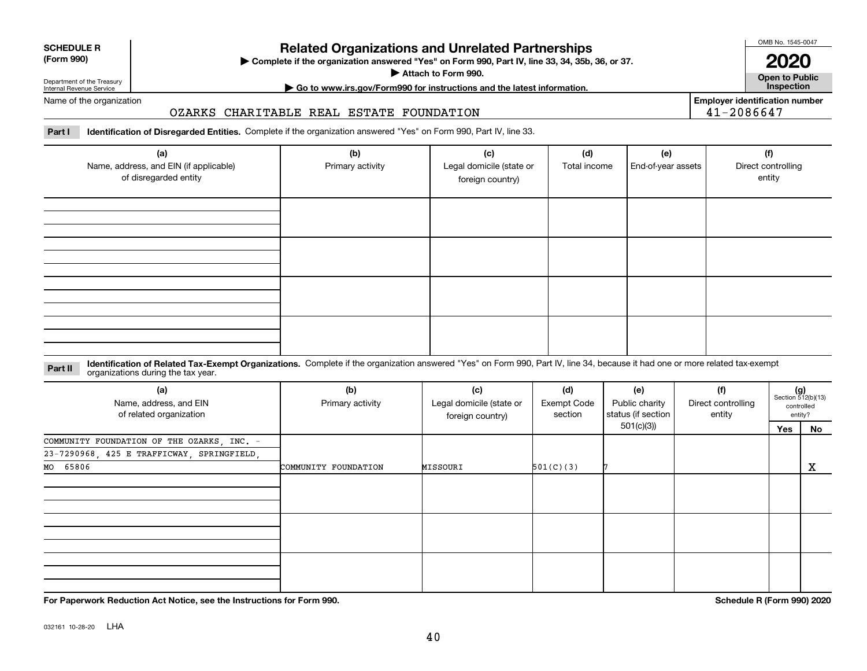| name |  |
|------|--|
|      |  |

## **Related Organizations and Unrelated Partnerships**

**Complete if the organization answered "Yes" on Form 990, Part IV, line 33, 34, 35b, 36, or 37.** |

**Attach to Form 990.**  |

OMB No. 1545-0047

**Open to Public**

**2020**

**Employer identification number**

41-2086647

## **| Go to www.irs.gov/Form990 for instructions and the latest information. Inspection**

Name of the organization

Department of the Treasury Internal Revenue Service

**SCHEDULE R (Form 990)**

#### OZARKS CHARITABLE REAL ESTATE FOUNDATION

**Part I Identification of Disregarded Entities.**  Complete if the organization answered "Yes" on Form 990, Part IV, line 33.

| (a)<br>Name, address, and EIN (if applicable)<br>of disregarded entity | (b)<br>Primary activity | (c)<br>Legal domicile (state or<br>foreign country) | (d)<br>Total income | (e)<br>End-of-year assets | (f)<br>Direct controlling<br>entity |
|------------------------------------------------------------------------|-------------------------|-----------------------------------------------------|---------------------|---------------------------|-------------------------------------|
|                                                                        |                         |                                                     |                     |                           |                                     |
|                                                                        |                         |                                                     |                     |                           |                                     |
|                                                                        |                         |                                                     |                     |                           |                                     |
|                                                                        |                         |                                                     |                     |                           |                                     |

#### **Identification of Related Tax-Exempt Organizations.** Complete if the organization answered "Yes" on Form 990, Part IV, line 34, because it had one or more related tax-exempt **Part II** organizations during the tax year.

| (a)<br>Name, address, and EIN<br>of related organization | (b)<br>Primary activity | (c)<br>Legal domicile (state or<br>foreign country) | (d)<br><b>Exempt Code</b><br>section | (e)<br>Public charity<br>status (if section | (f)<br>Direct controlling<br>entity |     | $(g)$<br>Section 512(b)(13)<br>controlled<br>entity? |
|----------------------------------------------------------|-------------------------|-----------------------------------------------------|--------------------------------------|---------------------------------------------|-------------------------------------|-----|------------------------------------------------------|
|                                                          |                         |                                                     |                                      | 501(c)(3)                                   |                                     | Yes | No                                                   |
| COMMUNITY FOUNDATION OF THE OZARKS, INC. -               |                         |                                                     |                                      |                                             |                                     |     |                                                      |
| 23-7290968, 425 E TRAFFICWAY, SPRINGFIELD,               |                         |                                                     |                                      |                                             |                                     |     |                                                      |
| MO 65806                                                 | COMMUNITY FOUNDATION    | MISSOURI                                            | 501(C)(3)                            |                                             |                                     |     | $\mathbf X$                                          |
|                                                          |                         |                                                     |                                      |                                             |                                     |     |                                                      |
|                                                          |                         |                                                     |                                      |                                             |                                     |     |                                                      |
|                                                          |                         |                                                     |                                      |                                             |                                     |     |                                                      |
|                                                          |                         |                                                     |                                      |                                             |                                     |     |                                                      |
|                                                          |                         |                                                     |                                      |                                             |                                     |     |                                                      |
|                                                          |                         |                                                     |                                      |                                             |                                     |     |                                                      |
|                                                          |                         |                                                     |                                      |                                             |                                     |     |                                                      |
|                                                          |                         |                                                     |                                      |                                             |                                     |     |                                                      |
|                                                          |                         |                                                     |                                      |                                             |                                     |     |                                                      |

**For Paperwork Reduction Act Notice, see the Instructions for Form 990. Schedule R (Form 990) 2020**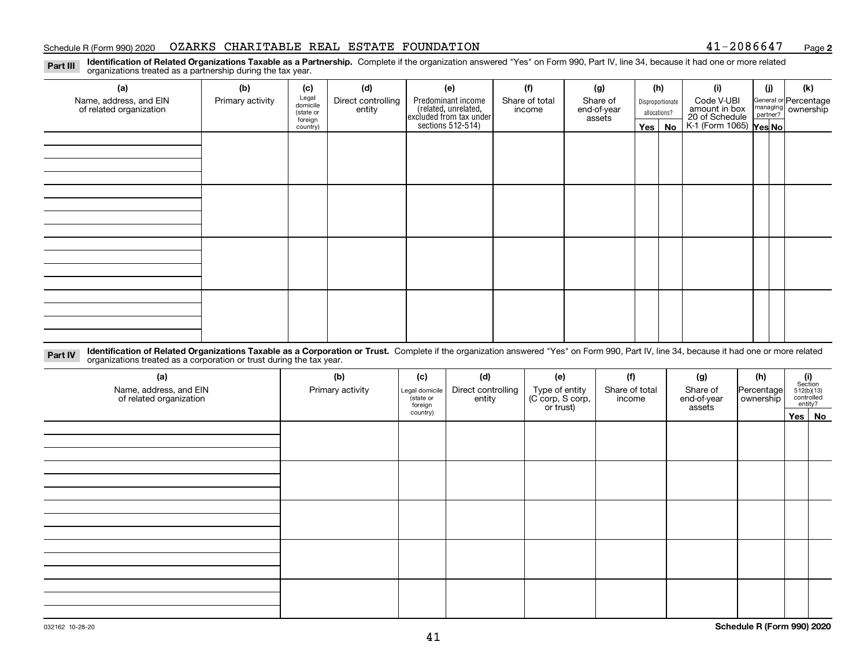#### Schedule R (Form 990) 2020 OZARKS CHARITABLE REAL ESTATE FOUNDATION 41-2086647 <sub>Page</sub>

**2**

**Identification of Related Organizations Taxable as a Partnership.** Complete if the organization answered "Yes" on Form 990, Part IV, line 34, because it had one or more related **Part III** organizations treated as a partnership during the tax year.

| (a)                     | (b)              | (c)                  | (d)                | (e)                                                                 | (f)            | (g)                   |  | (h)              | (i)                                      | (j) | (k)                                                       |
|-------------------------|------------------|----------------------|--------------------|---------------------------------------------------------------------|----------------|-----------------------|--|------------------|------------------------------------------|-----|-----------------------------------------------------------|
| Name, address, and EIN  | Primary activity | Legal<br>domicile    | Direct controlling | Predominant income                                                  | Share of total | Share of              |  | Disproportionate | Code V-UBI<br>amount in box              |     | General or Percentage<br>managing<br>partner?<br>partner? |
| of related organization |                  | (state or<br>foreign | entity             | related, unrelated,<br>excluded from tax under<br>sections 512-514) | income         | end-of-year<br>assets |  | allocations?     | 20 of Schedule<br>K-1 (Form 1065) Yes No |     |                                                           |
|                         |                  | country)             |                    |                                                                     |                |                       |  | Yes   No         |                                          |     |                                                           |
|                         |                  |                      |                    |                                                                     |                |                       |  |                  |                                          |     |                                                           |
|                         |                  |                      |                    |                                                                     |                |                       |  |                  |                                          |     |                                                           |
|                         |                  |                      |                    |                                                                     |                |                       |  |                  |                                          |     |                                                           |
|                         |                  |                      |                    |                                                                     |                |                       |  |                  |                                          |     |                                                           |
|                         |                  |                      |                    |                                                                     |                |                       |  |                  |                                          |     |                                                           |
|                         |                  |                      |                    |                                                                     |                |                       |  |                  |                                          |     |                                                           |
|                         |                  |                      |                    |                                                                     |                |                       |  |                  |                                          |     |                                                           |
|                         |                  |                      |                    |                                                                     |                |                       |  |                  |                                          |     |                                                           |
|                         |                  |                      |                    |                                                                     |                |                       |  |                  |                                          |     |                                                           |
|                         |                  |                      |                    |                                                                     |                |                       |  |                  |                                          |     |                                                           |
|                         |                  |                      |                    |                                                                     |                |                       |  |                  |                                          |     |                                                           |
|                         |                  |                      |                    |                                                                     |                |                       |  |                  |                                          |     |                                                           |
|                         |                  |                      |                    |                                                                     |                |                       |  |                  |                                          |     |                                                           |
|                         |                  |                      |                    |                                                                     |                |                       |  |                  |                                          |     |                                                           |
|                         |                  |                      |                    |                                                                     |                |                       |  |                  |                                          |     |                                                           |
|                         |                  |                      |                    |                                                                     |                |                       |  |                  |                                          |     |                                                           |
|                         |                  |                      |                    |                                                                     |                |                       |  |                  |                                          |     |                                                           |

**Identification of Related Organizations Taxable as a Corporation or Trust.** Complete if the organization answered "Yes" on Form 990, Part IV, line 34, because it had one or more related **Part IV** organizations treated as a corporation or trust during the tax year.

| (a)<br>Name, address, and EIN<br>of related organization | (b)<br>Primary activity | (c)<br>Legal domicile<br>state or<br>foreign | (d)<br>Direct controlling<br>entity | (e)<br>Type of entity<br>(C corp, S corp,<br>or trust) | (f)<br>Share of total<br>income | (g)<br>Share of<br>end-of-year<br>assets | (h)<br>Percentage<br>ownership | $(i)$ Section<br>512(b)(13)<br>controlled<br>entity? |  |  |  |
|----------------------------------------------------------|-------------------------|----------------------------------------------|-------------------------------------|--------------------------------------------------------|---------------------------------|------------------------------------------|--------------------------------|------------------------------------------------------|--|--|--|
|                                                          |                         | country)                                     |                                     |                                                        |                                 |                                          |                                | Yes No                                               |  |  |  |
|                                                          |                         |                                              |                                     |                                                        |                                 |                                          |                                |                                                      |  |  |  |
|                                                          |                         |                                              |                                     |                                                        |                                 |                                          |                                |                                                      |  |  |  |
|                                                          |                         |                                              |                                     |                                                        |                                 |                                          |                                |                                                      |  |  |  |
|                                                          |                         |                                              |                                     |                                                        |                                 |                                          |                                |                                                      |  |  |  |
|                                                          |                         |                                              |                                     |                                                        |                                 |                                          |                                |                                                      |  |  |  |
|                                                          |                         |                                              |                                     |                                                        |                                 |                                          |                                |                                                      |  |  |  |
|                                                          |                         |                                              |                                     |                                                        |                                 |                                          |                                |                                                      |  |  |  |
|                                                          |                         |                                              |                                     |                                                        |                                 |                                          |                                |                                                      |  |  |  |
|                                                          |                         |                                              |                                     |                                                        |                                 |                                          |                                |                                                      |  |  |  |
|                                                          |                         |                                              |                                     |                                                        |                                 |                                          |                                |                                                      |  |  |  |
|                                                          |                         |                                              |                                     |                                                        |                                 |                                          |                                |                                                      |  |  |  |
|                                                          |                         |                                              |                                     |                                                        |                                 |                                          |                                |                                                      |  |  |  |
|                                                          |                         |                                              |                                     |                                                        |                                 |                                          |                                |                                                      |  |  |  |
|                                                          |                         |                                              |                                     |                                                        |                                 |                                          |                                |                                                      |  |  |  |
|                                                          |                         |                                              |                                     |                                                        |                                 |                                          |                                |                                                      |  |  |  |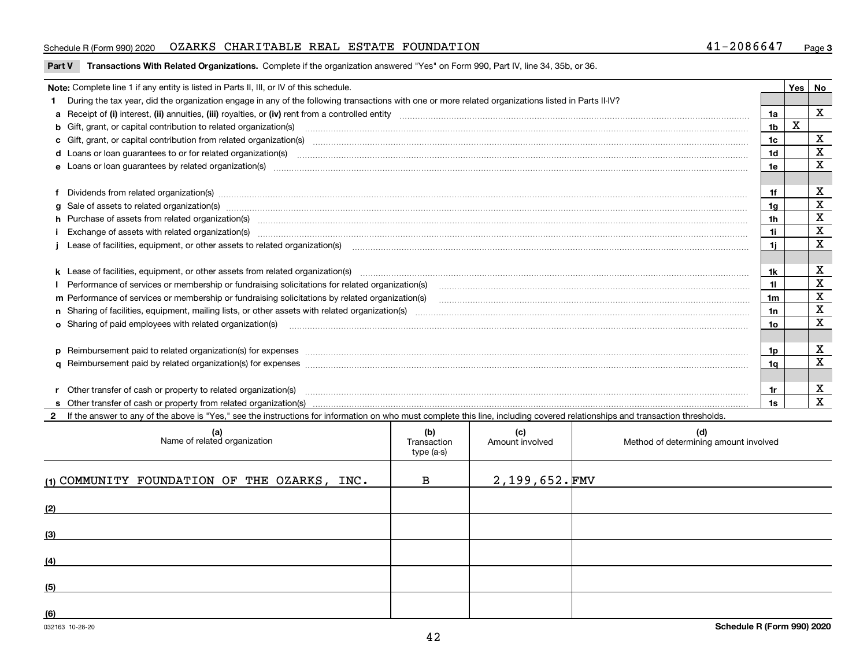#### Schedule R (Form 990) 2020 OZARKS CHARITABLE REAL ESTATE FOUNDATION 41-2086647 <sub>Page</sub>

#### **Part V** T**ransactions With Related Organizations.** Complete if the organization answered "Yes" on Form 990, Part IV, line 34, 35b, or 36.

| Note: Complete line 1 if any entity is listed in Parts II, III, or IV of this schedule.                                                                                                                                        |     | <b>Yes</b> | No          |
|--------------------------------------------------------------------------------------------------------------------------------------------------------------------------------------------------------------------------------|-----|------------|-------------|
| During the tax year, did the organization engage in any of the following transactions with one or more related organizations listed in Parts II-IV?                                                                            |     |            |             |
|                                                                                                                                                                                                                                | 1a  |            | X           |
| b Gift, grant, or capital contribution to related organization(s) manufactured and contribution to related organization(s)                                                                                                     | 1b  | X          |             |
| c Gift, grant, or capital contribution from related organization(s)                                                                                                                                                            | 1c  |            | х           |
| d Loans or loan guarantees to or for related organization(s) committion contracts are constructed as a contract or contract or contract or contract or contract or contract or contract or contract or contract or contract or | 1d  |            | X           |
| e Loans or loan quarantees by related organization(s)                                                                                                                                                                          | 1e  |            | X           |
|                                                                                                                                                                                                                                |     |            |             |
| f Dividends from related organization(s) manufactured and contract and contract or produced and contract and contract and contract and contract and contract and contract and contract and contract and contract and contract  | 1f  |            | х           |
| g Sale of assets to related organization(s) www.assettion.com/www.assettion.com/www.assettion.com/www.assettion.com/www.assettion.com/www.assettion.com/www.assettion.com/www.assettion.com/www.assettion.com/www.assettion.co | 1g  |            | $\mathbf X$ |
| h Purchase of assets from related organization(s) manufactured and content and content and content and content and content and content and content and content and content and content and content and content and content and | 1h  |            | х           |
| Exchange of assets with related organization(s) manufactured and content and content and content and content and content and content and content and content and content and content and content and content and content and c | 1i. |            | $\mathbf X$ |
|                                                                                                                                                                                                                                | 1i. |            | X           |
|                                                                                                                                                                                                                                |     |            |             |
|                                                                                                                                                                                                                                | 1k. |            | х           |
| Performance of services or membership or fundraising solicitations for related organization(s)                                                                                                                                 | 11  |            | $\mathbf X$ |
| m Performance of services or membership or fundraising solicitations by related organization(s)                                                                                                                                | 1m  |            | $\mathbf X$ |
|                                                                                                                                                                                                                                | 1n  |            | $\mathbf X$ |
| o Sharing of paid employees with related organization(s) manufactured and content to the content of the content of the content of the content of the content of the content of the content of the content of the content of th | 10  |            | X           |
|                                                                                                                                                                                                                                |     |            |             |
| p Reimbursement paid to related organization(s) for expenses [111] All and the content of the content of the content of the content of the content of the content of the content of the content of the content of the content  | 1p. |            | х           |
|                                                                                                                                                                                                                                | 1q  |            | $\mathbf X$ |
|                                                                                                                                                                                                                                |     |            |             |
| r Other transfer of cash or property to related organization(s)                                                                                                                                                                | 1r  |            | х           |
|                                                                                                                                                                                                                                | 1s  |            | x           |

**2**If the answer to any of the above is "Yes," see the instructions for information on who must complete this line, including covered relationships and transaction thresholds.

| (a)<br>Name of related organization          | (b)<br>Transaction<br>type (a-s) | (c)<br>Amount involved | (d)<br>Method of determining amount involved |
|----------------------------------------------|----------------------------------|------------------------|----------------------------------------------|
| (1) COMMUNITY FOUNDATION OF THE OZARKS, INC. | $\mathbf B$                      | $2,199,652.\,$ FMV     |                                              |
| (2)                                          |                                  |                        |                                              |
| (3)                                          |                                  |                        |                                              |
| (4)                                          |                                  |                        |                                              |
| (5)                                          |                                  |                        |                                              |
| (6)                                          |                                  |                        |                                              |

 $\overline{\phantom{a}}$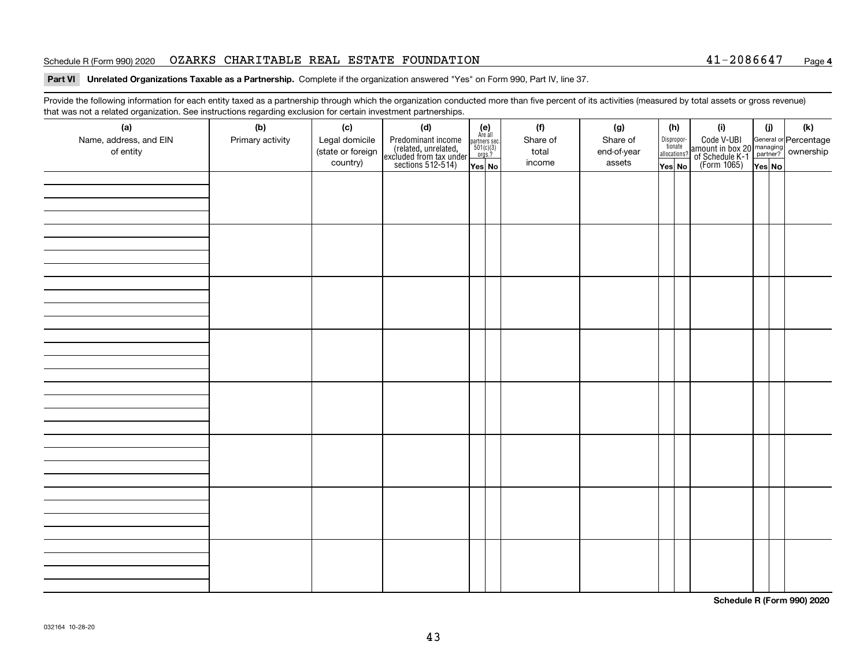#### Schedule R (Form 990) 2020 OZARKS CHARITABLE REAL ESTATE FOUNDATION 41-2086647 <sub>Page</sub>

#### **4**

#### **Part VI Unrelated Organizations Taxable as a Partnership. Complete if the organization answered "Yes" on Form 990, Part IV, line 37.**

Provide the following information for each entity taxed as a partnership through which the organization conducted more than five percent of its activities (measured by total assets or gross revenue) that was not a related organization. See instructions regarding exclusion for certain investment partnerships.

| (a)<br>Name, address, and EIN<br>of entity | $\tilde{}$<br>(b)<br>Primary activity | (c)<br>Legal domicile<br>(state or foreign | (d)<br>Predominant income<br>(related, unrelated,<br>excluded from tax under<br>sections 512-514) | $\begin{array}{c}\n\text{partners} \sec.\n\\ \n501(c)(3)\n\\ \n0rgs.?\n\end{array}$ | $(e)$<br>Are all | (f)<br>Share of<br>total | (g)<br>Share of<br>end-of-year | (h)<br>Dispropor-<br>tionate<br>allocations? |  | (i)<br>Code V-UBI<br>amount in box 20 managing<br>of Schedule K-1<br>(Form 1065)<br>$\overline{Yes}$ No | (i)    | (k) |  |
|--------------------------------------------|---------------------------------------|--------------------------------------------|---------------------------------------------------------------------------------------------------|-------------------------------------------------------------------------------------|------------------|--------------------------|--------------------------------|----------------------------------------------|--|---------------------------------------------------------------------------------------------------------|--------|-----|--|
|                                            |                                       | country)                                   |                                                                                                   | Yes No                                                                              |                  | income                   | assets                         | Yes No                                       |  |                                                                                                         | Yes No |     |  |
|                                            |                                       |                                            |                                                                                                   |                                                                                     |                  |                          |                                |                                              |  |                                                                                                         |        |     |  |
|                                            |                                       |                                            |                                                                                                   |                                                                                     |                  |                          |                                |                                              |  |                                                                                                         |        |     |  |
|                                            |                                       |                                            |                                                                                                   |                                                                                     |                  |                          |                                |                                              |  |                                                                                                         |        |     |  |
|                                            |                                       |                                            |                                                                                                   |                                                                                     |                  |                          |                                |                                              |  |                                                                                                         |        |     |  |
|                                            |                                       |                                            |                                                                                                   |                                                                                     |                  |                          |                                |                                              |  |                                                                                                         |        |     |  |
|                                            |                                       |                                            |                                                                                                   |                                                                                     |                  |                          |                                |                                              |  |                                                                                                         |        |     |  |
|                                            |                                       |                                            |                                                                                                   |                                                                                     |                  |                          |                                |                                              |  |                                                                                                         |        |     |  |
|                                            |                                       |                                            |                                                                                                   |                                                                                     |                  |                          |                                |                                              |  |                                                                                                         |        |     |  |
|                                            |                                       |                                            |                                                                                                   |                                                                                     |                  |                          |                                |                                              |  |                                                                                                         |        |     |  |
|                                            |                                       |                                            |                                                                                                   |                                                                                     |                  |                          |                                |                                              |  |                                                                                                         |        |     |  |
|                                            |                                       |                                            |                                                                                                   |                                                                                     |                  |                          |                                |                                              |  |                                                                                                         |        |     |  |
|                                            |                                       |                                            |                                                                                                   |                                                                                     |                  |                          |                                |                                              |  |                                                                                                         |        |     |  |
|                                            |                                       |                                            |                                                                                                   |                                                                                     |                  |                          |                                |                                              |  |                                                                                                         |        |     |  |
|                                            |                                       |                                            |                                                                                                   |                                                                                     |                  |                          |                                |                                              |  |                                                                                                         |        |     |  |
|                                            |                                       |                                            |                                                                                                   |                                                                                     |                  |                          |                                |                                              |  |                                                                                                         |        |     |  |
|                                            |                                       |                                            |                                                                                                   |                                                                                     |                  |                          |                                |                                              |  |                                                                                                         |        |     |  |
|                                            |                                       |                                            |                                                                                                   |                                                                                     |                  |                          |                                |                                              |  |                                                                                                         |        |     |  |
|                                            |                                       |                                            |                                                                                                   |                                                                                     |                  |                          |                                |                                              |  |                                                                                                         |        |     |  |
|                                            |                                       |                                            |                                                                                                   |                                                                                     |                  |                          |                                |                                              |  |                                                                                                         |        |     |  |
|                                            |                                       |                                            |                                                                                                   |                                                                                     |                  |                          |                                |                                              |  |                                                                                                         |        |     |  |
|                                            |                                       |                                            |                                                                                                   |                                                                                     |                  |                          |                                |                                              |  |                                                                                                         |        |     |  |
|                                            |                                       |                                            |                                                                                                   |                                                                                     |                  |                          |                                |                                              |  |                                                                                                         |        |     |  |
|                                            |                                       |                                            |                                                                                                   |                                                                                     |                  |                          |                                |                                              |  |                                                                                                         |        |     |  |

**Schedule R (Form 990) 2020**